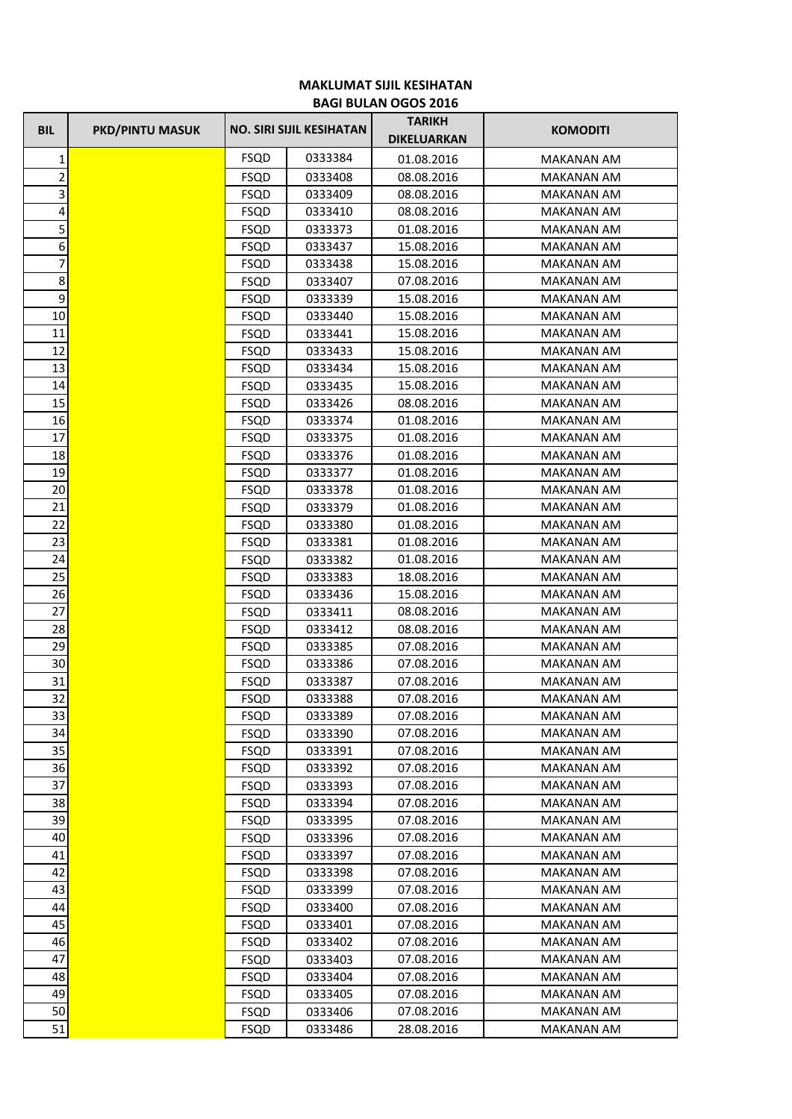## **MAKLUMAT SIJIL KESIHATAN BAGI BULAN OGOS 2016**

| <b>BIL</b>              | <b>PKD/PINTU MASUK</b> |             | <b>NO. SIRI SIJIL KESIHATAN</b> | <b>TARIKH</b><br><b>DIKELUARKAN</b> | <b>KOMODITI</b>   |
|-------------------------|------------------------|-------------|---------------------------------|-------------------------------------|-------------------|
| 1                       |                        | <b>FSQD</b> | 0333384                         | 01.08.2016                          | MAKANAN AM        |
| $\overline{\mathbf{c}}$ |                        | <b>FSQD</b> | 0333408                         | 08.08.2016                          | <b>MAKANAN AM</b> |
| $\overline{\mathbf{3}}$ |                        | <b>FSQD</b> | 0333409                         | 08.08.2016                          | <b>MAKANAN AM</b> |
| 4                       |                        | <b>FSQD</b> | 0333410                         | 08.08.2016                          | MAKANAN AM        |
| 5                       |                        | <b>FSQD</b> | 0333373                         | 01.08.2016                          | MAKANAN AM        |
| 6                       |                        | <b>FSQD</b> | 0333437                         | 15.08.2016                          | MAKANAN AM        |
| $\overline{7}$          |                        | <b>FSQD</b> | 0333438                         | 15.08.2016                          | <b>MAKANAN AM</b> |
| 8                       |                        | <b>FSQD</b> | 0333407                         | 07.08.2016                          | <b>MAKANAN AM</b> |
| $\boldsymbol{9}$        |                        | <b>FSQD</b> | 0333339                         | 15.08.2016                          | <b>MAKANAN AM</b> |
| 10                      |                        | <b>FSQD</b> | 0333440                         | 15.08.2016                          | <b>MAKANAN AM</b> |
| 11                      |                        | <b>FSQD</b> | 0333441                         | 15.08.2016                          | <b>MAKANAN AM</b> |
| 12                      |                        | <b>FSQD</b> | 0333433                         | 15.08.2016                          | <b>MAKANAN AM</b> |
| 13                      |                        | <b>FSQD</b> | 0333434                         | 15.08.2016                          | <b>MAKANAN AM</b> |
| 14                      |                        | <b>FSQD</b> | 0333435                         | 15.08.2016                          | <b>MAKANAN AM</b> |
| 15                      |                        | <b>FSQD</b> | 0333426                         | 08.08.2016                          | <b>MAKANAN AM</b> |
| 16                      |                        | <b>FSQD</b> | 0333374                         | 01.08.2016                          | MAKANAN AM        |
| 17                      |                        | <b>FSQD</b> | 0333375                         | 01.08.2016                          | <b>MAKANAN AM</b> |
| 18                      |                        | <b>FSQD</b> | 0333376                         | 01.08.2016                          | <b>MAKANAN AM</b> |
| 19                      |                        | <b>FSQD</b> | 0333377                         | 01.08.2016                          | <b>MAKANAN AM</b> |
| 20                      |                        | <b>FSQD</b> | 0333378                         | 01.08.2016                          | <b>MAKANAN AM</b> |
| 21                      |                        | <b>FSQD</b> | 0333379                         | 01.08.2016                          | <b>MAKANAN AM</b> |
| 22                      |                        | <b>FSQD</b> | 0333380                         | 01.08.2016                          | <b>MAKANAN AM</b> |
| 23                      |                        | <b>FSQD</b> | 0333381                         | 01.08.2016                          | <b>MAKANAN AM</b> |
| 24                      |                        | <b>FSQD</b> | 0333382                         | 01.08.2016                          | MAKANAN AM        |
| 25                      |                        | <b>FSQD</b> | 0333383                         | 18.08.2016                          | <b>MAKANAN AM</b> |
| 26                      |                        | <b>FSQD</b> | 0333436                         | 15.08.2016                          | MAKANAN AM        |
| 27                      |                        | <b>FSQD</b> | 0333411                         | 08.08.2016                          | MAKANAN AM        |
| 28                      |                        | <b>FSQD</b> | 0333412                         | 08.08.2016                          | <b>MAKANAN AM</b> |
| 29                      |                        | <b>FSQD</b> | 0333385                         | 07.08.2016                          | <b>MAKANAN AM</b> |
| 30                      |                        | <b>FSQD</b> | 0333386                         | 07.08.2016                          | <b>MAKANAN AM</b> |
| 31                      |                        | <b>FSQD</b> | 0333387                         | 07.08.2016                          | <b>MAKANAN AM</b> |
| 32                      |                        | FSQD        | 0333388                         | 07.08.2016                          | MAKANAN AM        |
| 33                      |                        | <b>FSQD</b> | 0333389                         | 07.08.2016                          | <b>MAKANAN AM</b> |
| 34                      |                        | <b>FSQD</b> | 0333390                         | 07.08.2016                          | <b>MAKANAN AM</b> |
| 35                      |                        | <b>FSQD</b> | 0333391                         | 07.08.2016                          | <b>MAKANAN AM</b> |
| 36                      |                        | <b>FSQD</b> | 0333392                         | 07.08.2016                          | <b>MAKANAN AM</b> |
| 37                      |                        | <b>FSQD</b> | 0333393                         | 07.08.2016                          | MAKANAN AM        |
| 38                      |                        | <b>FSQD</b> | 0333394                         | 07.08.2016                          | MAKANAN AM        |
| 39                      |                        | FSQD        | 0333395                         | 07.08.2016                          | <b>MAKANAN AM</b> |
| 40                      |                        | <b>FSQD</b> | 0333396                         | 07.08.2016                          | MAKANAN AM        |
| 41                      |                        | <b>FSQD</b> | 0333397                         | 07.08.2016                          | <b>MAKANAN AM</b> |
| 42                      |                        | FSQD        | 0333398                         | 07.08.2016                          | MAKANAN AM        |
| 43                      |                        | <b>FSQD</b> | 0333399                         | 07.08.2016                          | MAKANAN AM        |
| 44                      |                        | <b>FSQD</b> | 0333400                         | 07.08.2016                          | MAKANAN AM        |
| 45                      |                        | <b>FSQD</b> | 0333401                         | 07.08.2016                          | MAKANAN AM        |
| 46                      |                        | <b>FSQD</b> | 0333402                         | 07.08.2016                          | <b>MAKANAN AM</b> |
| 47                      |                        | FSQD        | 0333403                         | 07.08.2016                          | MAKANAN AM        |
| 48                      |                        | <b>FSQD</b> | 0333404                         | 07.08.2016                          | MAKANAN AM        |
| 49                      |                        | <b>FSQD</b> | 0333405                         | 07.08.2016                          | MAKANAN AM        |
| 50                      |                        | <b>FSQD</b> | 0333406                         | 07.08.2016                          | MAKANAN AM        |
| 51                      |                        | <b>FSQD</b> | 0333486                         | 28.08.2016                          | MAKANAN AM        |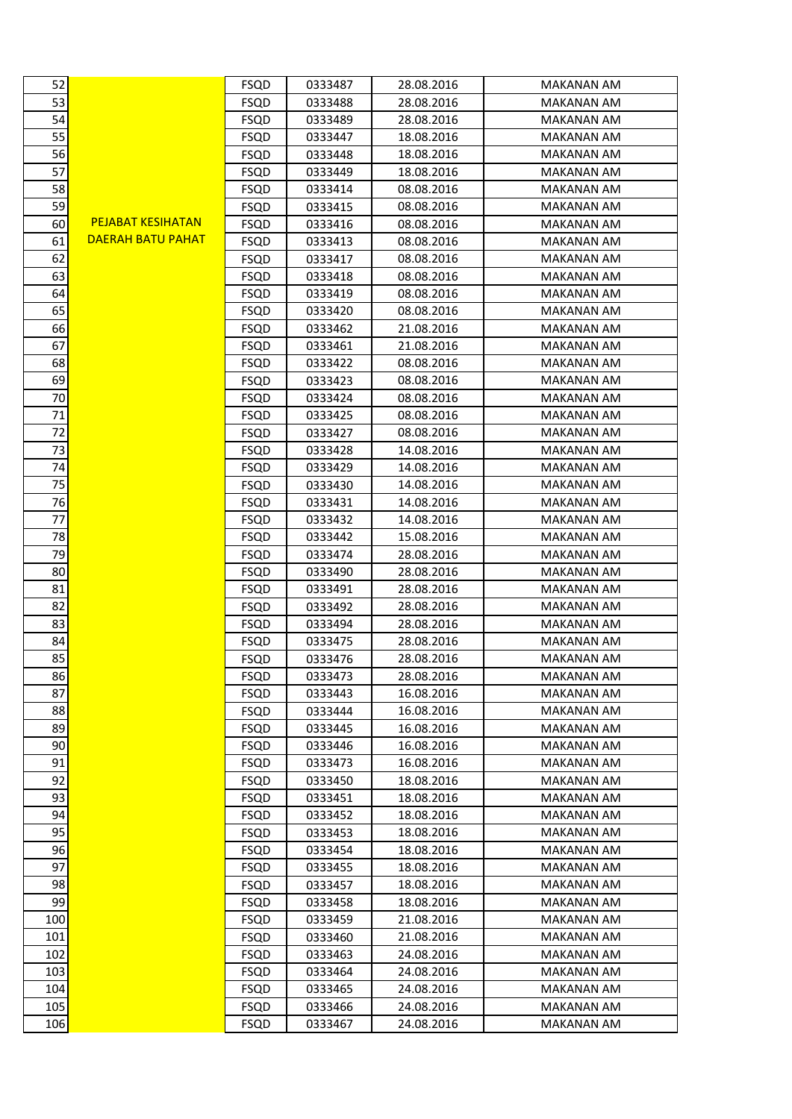| 52  |                          | <b>FSQD</b> | 0333487 | 28.08.2016 | <b>MAKANAN AM</b> |
|-----|--------------------------|-------------|---------|------------|-------------------|
| 53  |                          | <b>FSQD</b> | 0333488 | 28.08.2016 | MAKANAN AM        |
| 54  |                          | <b>FSQD</b> | 0333489 | 28.08.2016 | <b>MAKANAN AM</b> |
| 55  |                          | <b>FSQD</b> | 0333447 | 18.08.2016 | MAKANAN AM        |
| 56  |                          | <b>FSQD</b> | 0333448 | 18.08.2016 | MAKANAN AM        |
| 57  |                          | <b>FSQD</b> | 0333449 | 18.08.2016 | <b>MAKANAN AM</b> |
| 58  |                          | <b>FSQD</b> | 0333414 | 08.08.2016 | MAKANAN AM        |
| 59  |                          | <b>FSQD</b> | 0333415 | 08.08.2016 | <b>MAKANAN AM</b> |
| 60  | <b>PEJABAT KESIHATAN</b> | <b>FSQD</b> | 0333416 | 08.08.2016 | <b>MAKANAN AM</b> |
| 61  | DAERAH BATU PAHAT        | <b>FSQD</b> | 0333413 | 08.08.2016 | MAKANAN AM        |
| 62  |                          | <b>FSQD</b> | 0333417 | 08.08.2016 | MAKANAN AM        |
| 63  |                          | <b>FSQD</b> | 0333418 | 08.08.2016 | <b>MAKANAN AM</b> |
| 64  |                          | <b>FSQD</b> | 0333419 | 08.08.2016 | MAKANAN AM        |
| 65  |                          | <b>FSQD</b> | 0333420 | 08.08.2016 | MAKANAN AM        |
| 66  |                          | <b>FSQD</b> | 0333462 | 21.08.2016 | <b>MAKANAN AM</b> |
| 67  |                          | <b>FSQD</b> | 0333461 | 21.08.2016 | <b>MAKANAN AM</b> |
| 68  |                          | <b>FSQD</b> | 0333422 | 08.08.2016 | <b>MAKANAN AM</b> |
| 69  |                          | <b>FSQD</b> | 0333423 | 08.08.2016 | MAKANAN AM        |
| 70  |                          |             | 0333424 | 08.08.2016 | <b>MAKANAN AM</b> |
| 71  |                          | <b>FSQD</b> |         |            |                   |
|     |                          | <b>FSQD</b> | 0333425 | 08.08.2016 | MAKANAN AM        |
| 72  |                          | <b>FSQD</b> | 0333427 | 08.08.2016 | MAKANAN AM        |
| 73  |                          | <b>FSQD</b> | 0333428 | 14.08.2016 | <b>MAKANAN AM</b> |
| 74  |                          | <b>FSQD</b> | 0333429 | 14.08.2016 | <b>MAKANAN AM</b> |
| 75  |                          | <b>FSQD</b> | 0333430 | 14.08.2016 | MAKANAN AM        |
| 76  |                          | <b>FSQD</b> | 0333431 | 14.08.2016 | MAKANAN AM        |
| 77  |                          | <b>FSQD</b> | 0333432 | 14.08.2016 | <b>MAKANAN AM</b> |
| 78  |                          | <b>FSQD</b> | 0333442 | 15.08.2016 | MAKANAN AM        |
| 79  |                          | <b>FSQD</b> | 0333474 | 28.08.2016 | MAKANAN AM        |
| 80  |                          | FSQD        | 0333490 | 28.08.2016 | MAKANAN AM        |
| 81  |                          | <b>FSQD</b> | 0333491 | 28.08.2016 | MAKANAN AM        |
| 82  |                          | <b>FSQD</b> | 0333492 | 28.08.2016 | <b>MAKANAN AM</b> |
| 83  |                          | <b>FSQD</b> | 0333494 | 28.08.2016 | <b>MAKANAN AM</b> |
| 84  |                          | <b>FSQD</b> | 0333475 | 28.08.2016 | <b>MAKANAN AM</b> |
| 85  |                          | <b>FSQD</b> | 0333476 | 28.08.2016 | <b>MAKANAN AM</b> |
| 86  |                          | <b>FSQD</b> | 0333473 | 28.08.2016 | <b>MAKANAN AM</b> |
| 87  |                          | <b>FSQD</b> | 0333443 | 16.08.2016 | <b>MAKANAN AM</b> |
| 88  |                          | <b>FSQD</b> | 0333444 | 16.08.2016 | <b>MAKANAN AM</b> |
| 89  |                          | <b>FSQD</b> | 0333445 | 16.08.2016 | <b>MAKANAN AM</b> |
| 90  |                          | <b>FSQD</b> | 0333446 | 16.08.2016 | <b>MAKANAN AM</b> |
| 91  |                          | <b>FSQD</b> | 0333473 | 16.08.2016 | <b>MAKANAN AM</b> |
| 92  |                          | <b>FSQD</b> | 0333450 | 18.08.2016 | <b>MAKANAN AM</b> |
| 93  |                          | <b>FSQD</b> | 0333451 | 18.08.2016 | <b>MAKANAN AM</b> |
| 94  |                          | FSQD        | 0333452 | 18.08.2016 | <b>MAKANAN AM</b> |
| 95  |                          | <b>FSQD</b> | 0333453 | 18.08.2016 | <b>MAKANAN AM</b> |
| 96  |                          | <b>FSQD</b> | 0333454 | 18.08.2016 | <b>MAKANAN AM</b> |
| 97  |                          | FSQD        | 0333455 | 18.08.2016 | MAKANAN AM        |
| 98  |                          | <b>FSQD</b> | 0333457 | 18.08.2016 | MAKANAN AM        |
| 99  |                          | <b>FSQD</b> | 0333458 | 18.08.2016 | <b>MAKANAN AM</b> |
| 100 |                          | <b>FSQD</b> | 0333459 | 21.08.2016 | MAKANAN AM        |
| 101 |                          | <b>FSQD</b> | 0333460 | 21.08.2016 | <b>MAKANAN AM</b> |
| 102 |                          | FSQD        | 0333463 | 24.08.2016 | <b>MAKANAN AM</b> |
| 103 |                          | <b>FSQD</b> | 0333464 | 24.08.2016 | <b>MAKANAN AM</b> |
| 104 |                          | <b>FSQD</b> | 0333465 | 24.08.2016 | <b>MAKANAN AM</b> |
| 105 |                          | <b>FSQD</b> | 0333466 | 24.08.2016 | MAKANAN AM        |
| 106 |                          | <b>FSQD</b> | 0333467 | 24.08.2016 | <b>MAKANAN AM</b> |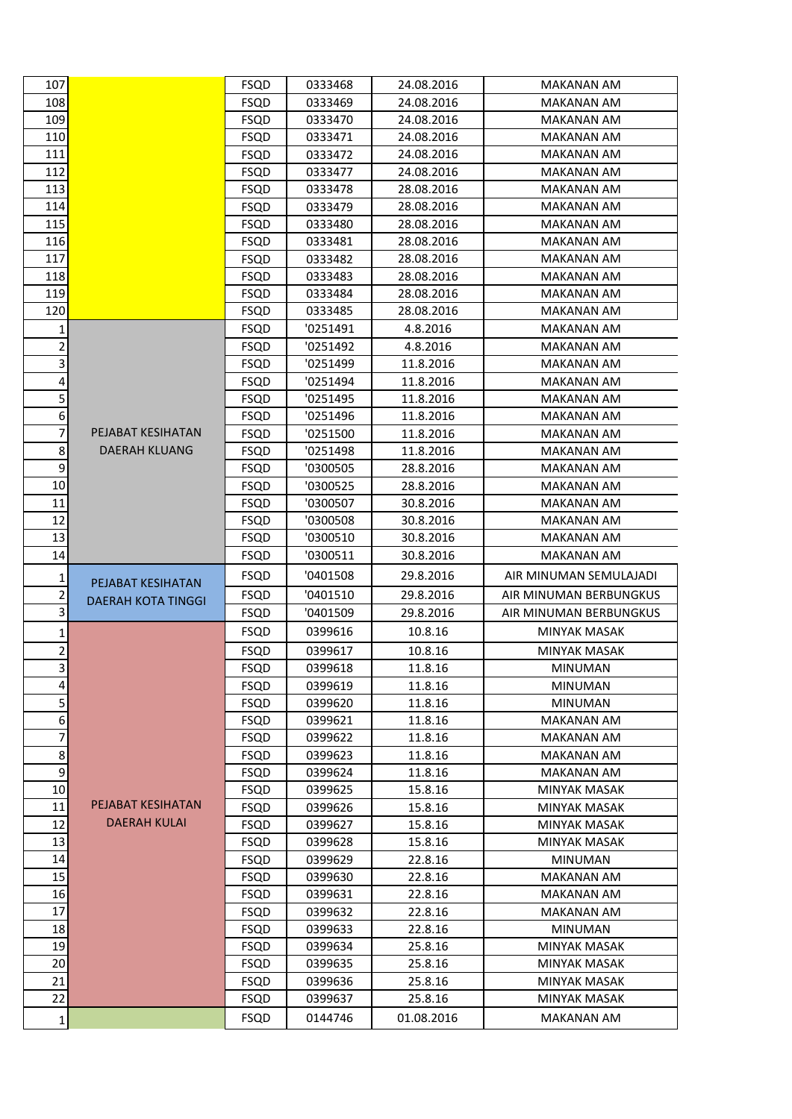| 107                                                |                           | <b>FSQD</b>                | 0333468            | 24.08.2016             | MAKANAN AM                            |
|----------------------------------------------------|---------------------------|----------------------------|--------------------|------------------------|---------------------------------------|
| 108                                                |                           | <b>FSQD</b>                | 0333469            | 24.08.2016             | <b>MAKANAN AM</b>                     |
| 109                                                |                           | <b>FSQD</b>                | 0333470            | 24.08.2016             | MAKANAN AM                            |
| 110                                                |                           | <b>FSQD</b>                | 0333471            | 24.08.2016             | MAKANAN AM                            |
| 111                                                |                           | <b>FSQD</b>                | 0333472            | 24.08.2016             | MAKANAN AM                            |
| 112                                                |                           | <b>FSQD</b>                | 0333477            | 24.08.2016             | <b>MAKANAN AM</b>                     |
| 113                                                |                           | <b>FSQD</b>                | 0333478            | 28.08.2016             | <b>MAKANAN AM</b>                     |
| 114                                                |                           | <b>FSQD</b>                | 0333479            | 28.08.2016             | MAKANAN AM                            |
| 115                                                |                           | <b>FSQD</b>                | 0333480            | 28.08.2016             | <b>MAKANAN AM</b>                     |
| 116                                                |                           | <b>FSQD</b>                | 0333481            | 28.08.2016             | <b>MAKANAN AM</b>                     |
| 117                                                |                           | <b>FSQD</b>                | 0333482            | 28.08.2016             | <b>MAKANAN AM</b>                     |
| 118                                                |                           | <b>FSQD</b>                | 0333483            | 28.08.2016             | <b>MAKANAN AM</b>                     |
| 119                                                |                           | <b>FSQD</b>                | 0333484            | 28.08.2016             | <b>MAKANAN AM</b>                     |
| 120                                                |                           | <b>FSQD</b>                | 0333485            | 28.08.2016             | MAKANAN AM                            |
| 1                                                  |                           | <b>FSQD</b>                | '0251491           | 4.8.2016               | <b>MAKANAN AM</b>                     |
| $\overline{2}$                                     |                           | <b>FSQD</b>                | '0251492           | 4.8.2016               | MAKANAN AM                            |
| $\vert$ 3                                          |                           | <b>FSQD</b>                | '0251499           | 11.8.2016              | <b>MAKANAN AM</b>                     |
| $\overline{4}$                                     |                           | <b>FSQD</b>                | '0251494           | 11.8.2016              | MAKANAN AM                            |
| 5                                                  |                           | <b>FSQD</b>                | '0251495           | 11.8.2016              | MAKANAN AM                            |
| 6                                                  |                           | <b>FSQD</b>                | '0251496           | 11.8.2016              | <b>MAKANAN AM</b>                     |
| 7                                                  | PEJABAT KESIHATAN         | <b>FSQD</b>                | '0251500           | 11.8.2016              | MAKANAN AM                            |
| $\bf 8$                                            | DAERAH KLUANG             | <b>FSQD</b>                | '0251498           | 11.8.2016              | <b>MAKANAN AM</b>                     |
| $\overline{9}$                                     |                           | <b>FSQD</b>                | '0300505           | 28.8.2016              | <b>MAKANAN AM</b>                     |
| 10                                                 |                           | <b>FSQD</b>                | '0300525           | 28.8.2016              | MAKANAN AM                            |
| 11                                                 |                           | <b>FSQD</b>                | '0300507           | 30.8.2016              | MAKANAN AM                            |
| 12                                                 |                           | <b>FSQD</b>                | '0300508           | 30.8.2016              | <b>MAKANAN AM</b>                     |
| 13                                                 |                           | <b>FSQD</b>                | '0300510           | 30.8.2016              | MAKANAN AM                            |
| 14                                                 |                           | <b>FSQD</b>                | '0300511           | 30.8.2016              | MAKANAN AM                            |
|                                                    |                           | <b>FSQD</b>                | '0401508           | 29.8.2016              | AIR MINUMAN SEMULAJADI                |
| 1                                                  | PEJABAT KESIHATAN         |                            |                    |                        |                                       |
| $\overline{\mathbf{c}}$<br>$\overline{\mathbf{3}}$ | <b>DAERAH KOTA TINGGI</b> | <b>FSQD</b>                | '0401510           | 29.8.2016<br>29.8.2016 | AIR MINUMAN BERBUNGKUS                |
|                                                    |                           | <b>FSQD</b>                | '0401509           |                        | AIR MINUMAN BERBUNGKUS                |
| 1                                                  |                           | <b>FSQD</b>                | 0399616            | 10.8.16                | <b>MINYAK MASAK</b>                   |
| $\overline{2}$                                     |                           | <b>FSQD</b>                | 0399617            | 10.8.16                | <b>MINYAK MASAK</b>                   |
| $\vert$ 3                                          |                           | <b>FSQD</b>                | 0399618            | 11.8.16                | <b>MINUMAN</b>                        |
| $\overline{a}$                                     |                           | <b>FSQD</b>                | 0399619            | 11.8.16                | MINUMAN                               |
| 5                                                  |                           | <b>FSQD</b>                | 0399620            | 11.8.16                | MINUMAN                               |
| 6                                                  |                           | <b>FSQD</b>                | 0399621            | 11.8.16                | <b>MAKANAN AM</b>                     |
| 7                                                  |                           | <b>FSQD</b>                | 0399622            | 11.8.16                | <b>MAKANAN AM</b>                     |
| 8 <sup>1</sup>                                     |                           | <b>FSQD</b>                | 0399623            | 11.8.16                | <b>MAKANAN AM</b>                     |
| $\overline{9}$                                     |                           | <b>FSQD</b>                | 0399624            | 11.8.16                | MAKANAN AM                            |
| 10                                                 | PEJABAT KESIHATAN         | <b>FSQD</b>                | 0399625            | 15.8.16                | <b>MINYAK MASAK</b>                   |
| 11                                                 | <b>DAERAH KULAI</b>       | <b>FSQD</b>                | 0399626            | 15.8.16                | MINYAK MASAK                          |
| 12                                                 |                           | <b>FSQD</b>                | 0399627            | 15.8.16                | MINYAK MASAK                          |
| 13                                                 |                           | <b>FSQD</b>                | 0399628            | 15.8.16                | MINYAK MASAK                          |
| 14                                                 |                           | <b>FSQD</b>                | 0399629            | 22.8.16                | <b>MINUMAN</b>                        |
| 15                                                 |                           | <b>FSQD</b>                | 0399630            | 22.8.16                | MAKANAN AM                            |
| 16<br>17                                           |                           | <b>FSQD</b>                | 0399631            | 22.8.16                | MAKANAN AM                            |
| 18                                                 |                           | <b>FSQD</b>                | 0399632            | 22.8.16                | <b>MAKANAN AM</b>                     |
| 19                                                 |                           | <b>FSQD</b>                | 0399633            | 22.8.16                | <b>MINUMAN</b><br><b>MINYAK MASAK</b> |
| 20                                                 |                           | <b>FSQD</b><br><b>FSQD</b> | 0399634<br>0399635 | 25.8.16<br>25.8.16     | MINYAK MASAK                          |
|                                                    |                           |                            |                    |                        |                                       |
|                                                    |                           |                            |                    |                        |                                       |
| 21                                                 |                           | <b>FSQD</b>                | 0399636            | 25.8.16                | MINYAK MASAK                          |
| 22<br>$1\vert$                                     |                           | <b>FSQD</b><br><b>FSQD</b> | 0399637<br>0144746 | 25.8.16<br>01.08.2016  | MINYAK MASAK<br><b>MAKANAN AM</b>     |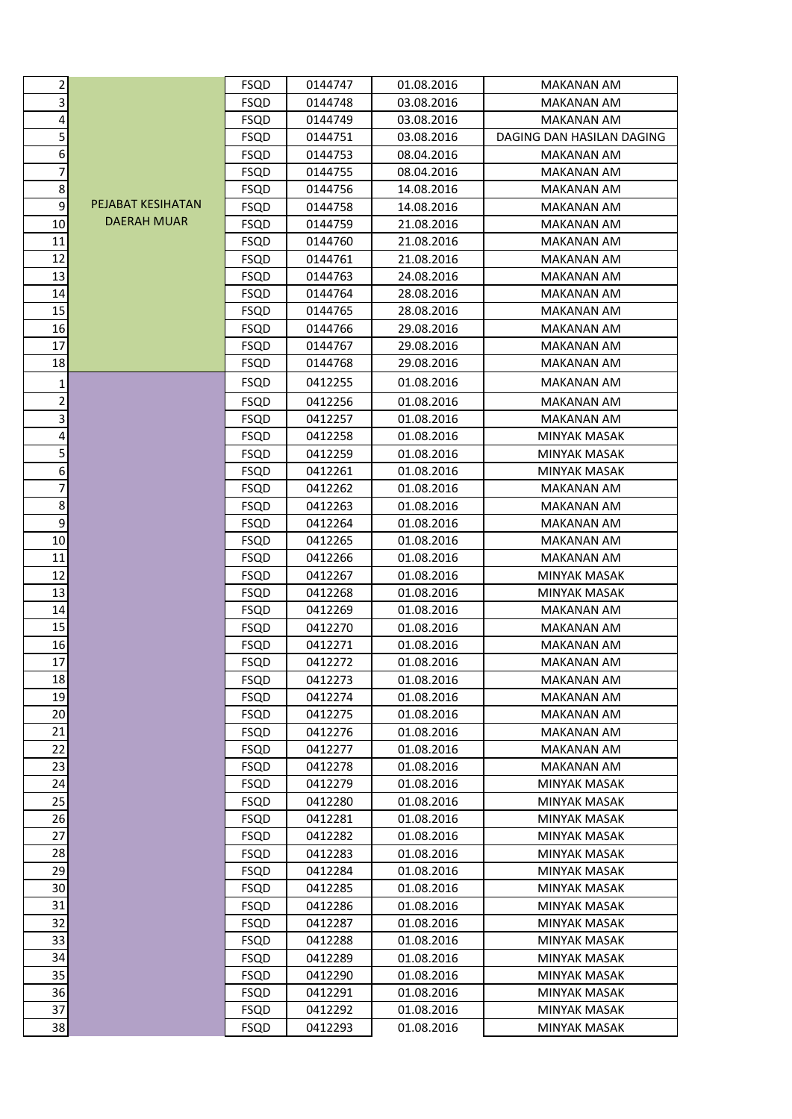| $\mathbf{2}$     |                          | <b>FSQD</b> | 0144747 | 01.08.2016 | MAKANAN AM                |
|------------------|--------------------------|-------------|---------|------------|---------------------------|
| 3                |                          | <b>FSQD</b> | 0144748 | 03.08.2016 | MAKANAN AM                |
| 4                |                          | <b>FSQD</b> | 0144749 | 03.08.2016 | <b>MAKANAN AM</b>         |
| 5                |                          | <b>FSQD</b> | 0144751 | 03.08.2016 | DAGING DAN HASILAN DAGING |
| 6 <sup>1</sup>   |                          | <b>FSQD</b> | 0144753 | 08.04.2016 | MAKANAN AM                |
| 7                |                          | <b>FSQD</b> | 0144755 | 08.04.2016 | MAKANAN AM                |
| $\bf 8$          |                          | <b>FSQD</b> | 0144756 | 14.08.2016 | <b>MAKANAN AM</b>         |
| $\overline{9}$   | <b>PEJABAT KESIHATAN</b> | <b>FSQD</b> | 0144758 | 14.08.2016 | <b>MAKANAN AM</b>         |
| 10               | <b>DAERAH MUAR</b>       | <b>FSQD</b> | 0144759 | 21.08.2016 | MAKANAN AM                |
| 11               |                          | <b>FSQD</b> | 0144760 | 21.08.2016 | <b>MAKANAN AM</b>         |
| 12               |                          | <b>FSQD</b> | 0144761 | 21.08.2016 | <b>MAKANAN AM</b>         |
| 13               |                          | <b>FSQD</b> | 0144763 | 24.08.2016 | MAKANAN AM                |
| 14               |                          | <b>FSQD</b> | 0144764 | 28.08.2016 | <b>MAKANAN AM</b>         |
| 15               |                          | <b>FSQD</b> | 0144765 | 28.08.2016 | MAKANAN AM                |
| 16               |                          | <b>FSQD</b> | 0144766 | 29.08.2016 | MAKANAN AM                |
| 17               |                          | <b>FSQD</b> | 0144767 | 29.08.2016 | MAKANAN AM                |
| 18               |                          | <b>FSQD</b> | 0144768 | 29.08.2016 | <b>MAKANAN AM</b>         |
| $\mathbf 1$      |                          | <b>FSQD</b> | 0412255 | 01.08.2016 | <b>MAKANAN AM</b>         |
| $\overline{2}$   |                          | <b>FSQD</b> | 0412256 | 01.08.2016 | MAKANAN AM                |
| υ                |                          | <b>FSQD</b> | 0412257 | 01.08.2016 | <b>MAKANAN AM</b>         |
| 4                |                          | <b>FSQD</b> | 0412258 | 01.08.2016 | <b>MINYAK MASAK</b>       |
| 5                |                          | <b>FSQD</b> | 0412259 | 01.08.2016 | MINYAK MASAK              |
| $6 \mid$         |                          | <b>FSQD</b> | 0412261 | 01.08.2016 | MINYAK MASAK              |
| $\overline{7}$   |                          | <b>FSQD</b> | 0412262 | 01.08.2016 | MAKANAN AM                |
| 8 <sup>1</sup>   |                          | <b>FSQD</b> | 0412263 | 01.08.2016 | MAKANAN AM                |
| $\boldsymbol{9}$ |                          | <b>FSQD</b> | 0412264 | 01.08.2016 | MAKANAN AM                |
| 10               |                          | <b>FSQD</b> | 0412265 | 01.08.2016 | <b>MAKANAN AM</b>         |
| 11               |                          | <b>FSQD</b> | 0412266 | 01.08.2016 | MAKANAN AM                |
| 12               |                          | <b>FSQD</b> | 0412267 | 01.08.2016 | MINYAK MASAK              |
| 13               |                          | <b>FSQD</b> | 0412268 | 01.08.2016 | MINYAK MASAK              |
| 14               |                          | <b>FSQD</b> | 0412269 | 01.08.2016 | <b>MAKANAN AM</b>         |
| 15               |                          | <b>FSQD</b> | 0412270 | 01.08.2016 | <b>MAKANAN AM</b>         |
| 16               |                          | <b>FSQD</b> | 0412271 | 01.08.2016 | <b>MAKANAN AM</b>         |
| 17               |                          | <b>FSQD</b> | 0412272 | 01.08.2016 | MAKANAN AM                |
| 18               |                          | <b>FSQD</b> | 0412273 | 01.08.2016 | <b>MAKANAN AM</b>         |
| 19               |                          | <b>FSQD</b> | 0412274 | 01.08.2016 | MAKANAN AM                |
| 20               |                          | <b>FSQD</b> | 0412275 | 01.08.2016 | <b>MAKANAN AM</b>         |
| 21               |                          | <b>FSQD</b> | 0412276 | 01.08.2016 | <b>MAKANAN AM</b>         |
| 22               |                          | <b>FSQD</b> | 0412277 | 01.08.2016 | <b>MAKANAN AM</b>         |
| 23               |                          | <b>FSQD</b> | 0412278 | 01.08.2016 | MAKANAN AM                |
| 24               |                          | <b>FSQD</b> | 0412279 | 01.08.2016 | MINYAK MASAK              |
| 25               |                          | <b>FSQD</b> | 0412280 | 01.08.2016 | <b>MINYAK MASAK</b>       |
| 26               |                          | <b>FSQD</b> | 0412281 | 01.08.2016 | MINYAK MASAK              |
| 27               |                          | <b>FSQD</b> | 0412282 | 01.08.2016 | MINYAK MASAK              |
| 28               |                          | <b>FSQD</b> | 0412283 | 01.08.2016 | <b>MINYAK MASAK</b>       |
| 29               |                          | <b>FSQD</b> | 0412284 | 01.08.2016 | MINYAK MASAK              |
| 30               |                          | <b>FSQD</b> | 0412285 | 01.08.2016 | MINYAK MASAK              |
| 31               |                          | <b>FSQD</b> | 0412286 | 01.08.2016 | MINYAK MASAK              |
| 32               |                          | <b>FSQD</b> | 0412287 | 01.08.2016 | MINYAK MASAK              |
| 33               |                          | <b>FSQD</b> | 0412288 | 01.08.2016 | MINYAK MASAK              |
| 34               |                          | <b>FSQD</b> | 0412289 | 01.08.2016 | <b>MINYAK MASAK</b>       |
| 35               |                          | <b>FSQD</b> | 0412290 | 01.08.2016 | MINYAK MASAK              |
| 36               |                          | <b>FSQD</b> | 0412291 | 01.08.2016 | MINYAK MASAK              |
| 37               |                          | FSQD        | 0412292 | 01.08.2016 | <b>MINYAK MASAK</b>       |
| 38               |                          | <b>FSQD</b> | 0412293 | 01.08.2016 | MINYAK MASAK              |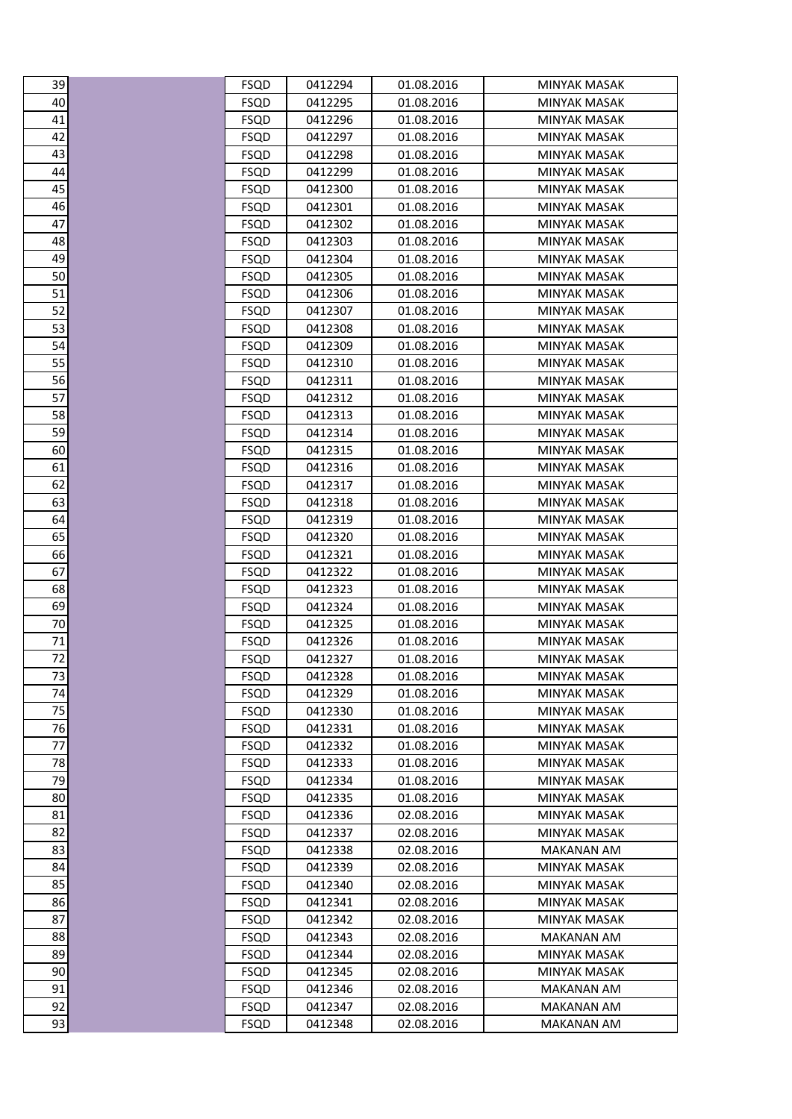| 39              | <b>FSQD</b> | 0412294 | 01.08.2016 | MINYAK MASAK        |
|-----------------|-------------|---------|------------|---------------------|
| $\overline{40}$ | <b>FSQD</b> | 0412295 | 01.08.2016 | <b>MINYAK MASAK</b> |
| $\overline{41}$ | <b>FSQD</b> | 0412296 | 01.08.2016 | <b>MINYAK MASAK</b> |
| 42              | <b>FSQD</b> | 0412297 | 01.08.2016 | <b>MINYAK MASAK</b> |
| 43              | <b>FSQD</b> | 0412298 | 01.08.2016 | <b>MINYAK MASAK</b> |
| 44              | <b>FSQD</b> | 0412299 | 01.08.2016 | <b>MINYAK MASAK</b> |
| 45              | <b>FSQD</b> | 0412300 | 01.08.2016 | MINYAK MASAK        |
|                 | <b>FSQD</b> | 0412301 | 01.08.2016 | <b>MINYAK MASAK</b> |
| 46<br>47        | <b>FSQD</b> | 0412302 | 01.08.2016 | <b>MINYAK MASAK</b> |
| 48              | <b>FSQD</b> | 0412303 | 01.08.2016 | MINYAK MASAK        |
| 49              | <b>FSQD</b> | 0412304 | 01.08.2016 | <b>MINYAK MASAK</b> |
| $\overline{50}$ | <b>FSQD</b> | 0412305 | 01.08.2016 | <b>MINYAK MASAK</b> |
| $\overline{51}$ | <b>FSQD</b> | 0412306 | 01.08.2016 | <b>MINYAK MASAK</b> |
| 52              | <b>FSQD</b> | 0412307 | 01.08.2016 | <b>MINYAK MASAK</b> |
| 53              | <b>FSQD</b> | 0412308 | 01.08.2016 | <b>MINYAK MASAK</b> |
| 54              | <b>FSQD</b> | 0412309 | 01.08.2016 | <b>MINYAK MASAK</b> |
|                 | <b>FSQD</b> | 0412310 | 01.08.2016 | <b>MINYAK MASAK</b> |
| 55<br>56        | <b>FSQD</b> | 0412311 | 01.08.2016 | MINYAK MASAK        |
| 57              | <b>FSQD</b> | 0412312 | 01.08.2016 | <b>MINYAK MASAK</b> |
| 58              | <b>FSQD</b> | 0412313 | 01.08.2016 | <b>MINYAK MASAK</b> |
| 59              | <b>FSQD</b> | 0412314 | 01.08.2016 | <b>MINYAK MASAK</b> |
| 60              | <b>FSQD</b> | 0412315 | 01.08.2016 | <b>MINYAK MASAK</b> |
| $\overline{61}$ | <b>FSQD</b> | 0412316 | 01.08.2016 | <b>MINYAK MASAK</b> |
| $\overline{62}$ | <b>FSQD</b> | 0412317 | 01.08.2016 | <b>MINYAK MASAK</b> |
| 63              | <b>FSQD</b> | 0412318 | 01.08.2016 | <b>MINYAK MASAK</b> |
| 64              | <b>FSQD</b> | 0412319 | 01.08.2016 | <b>MINYAK MASAK</b> |
| 65              | <b>FSQD</b> | 0412320 | 01.08.2016 | <b>MINYAK MASAK</b> |
| 66              | <b>FSQD</b> | 0412321 | 01.08.2016 | <b>MINYAK MASAK</b> |
| 67              | <b>FSQD</b> | 0412322 | 01.08.2016 | MINYAK MASAK        |
| 68              | <b>FSQD</b> | 0412323 | 01.08.2016 | <b>MINYAK MASAK</b> |
| 69              | <b>FSQD</b> | 0412324 | 01.08.2016 | <b>MINYAK MASAK</b> |
| 70              | <b>FSQD</b> | 0412325 | 01.08.2016 | MINYAK MASAK        |
| 71              | <b>FSQD</b> | 0412326 | 01.08.2016 | MINYAK MASAK        |
| $\overline{72}$ | <b>FSQD</b> | 0412327 | 01.08.2016 | <b>MINYAK MASAK</b> |
| $\frac{73}{2}$  | <b>FSQD</b> | 0412328 | 01.08.2016 | <b>MINYAK MASAK</b> |
| 74              | <b>FSQD</b> | 0412329 | 01.08.2016 | MINYAK MASAK        |
| 75              | <b>FSQD</b> | 0412330 | 01.08.2016 | <b>MINYAK MASAK</b> |
| 76              | <b>FSQD</b> | 0412331 | 01.08.2016 | <b>MINYAK MASAK</b> |
| 77              | <b>FSQD</b> | 0412332 | 01.08.2016 | MINYAK MASAK        |
| 78              | <b>FSQD</b> | 0412333 | 01.08.2016 | MINYAK MASAK        |
| 79              | <b>FSQD</b> | 0412334 | 01.08.2016 | <b>MINYAK MASAK</b> |
| 80              | <b>FSQD</b> | 0412335 | 01.08.2016 | <b>MINYAK MASAK</b> |
| 81              | <b>FSQD</b> | 0412336 | 02.08.2016 | MINYAK MASAK        |
| 82              | <b>FSQD</b> | 0412337 | 02.08.2016 | MINYAK MASAK        |
| 83              | <b>FSQD</b> | 0412338 | 02.08.2016 | <b>MAKANAN AM</b>   |
| 84              | <b>FSQD</b> | 0412339 | 02.08.2016 | MINYAK MASAK        |
| 85              | <b>FSQD</b> | 0412340 | 02.08.2016 | MINYAK MASAK        |
| 86              | <b>FSQD</b> | 0412341 | 02.08.2016 | MINYAK MASAK        |
| 87              | <b>FSQD</b> | 0412342 | 02.08.2016 | <b>MINYAK MASAK</b> |
| 88              | <b>FSQD</b> | 0412343 | 02.08.2016 | <b>MAKANAN AM</b>   |
| 89              | <b>FSQD</b> | 0412344 | 02.08.2016 | MINYAK MASAK        |
| $\frac{90}{2}$  | <b>FSQD</b> | 0412345 | 02.08.2016 | MINYAK MASAK        |
| $\frac{91}{1}$  | <b>FSQD</b> | 0412346 | 02.08.2016 | <b>MAKANAN AM</b>   |
| 92              | <b>FSQD</b> | 0412347 | 02.08.2016 | <b>MAKANAN AM</b>   |
| 93              | <b>FSQD</b> | 0412348 | 02.08.2016 | <b>MAKANAN AM</b>   |

| 39                             |  |
|--------------------------------|--|
| 40                             |  |
| 41                             |  |
| $\ddot{a}$<br>,                |  |
| 43<br>ś                        |  |
| 44                             |  |
| 45                             |  |
|                                |  |
| 5<br>46                        |  |
| 47                             |  |
| $\overline{48}$<br>ξ           |  |
| 49                             |  |
| 50                             |  |
| C<br>$\mathbf{1}$              |  |
| C<br>,                         |  |
| C<br>$\ddot{\phantom{0}}$<br>Ŝ |  |
| C<br>ة;                        |  |
| C<br>$\overline{\mathbf{5}}$   |  |
| C<br>56<br>J                   |  |
| c                              |  |
| ľ<br>.<br>8                    |  |
| C<br>¢                         |  |
| J                              |  |
| Е<br>)<br>õС                   |  |
| 61                             |  |
| ,<br>б                         |  |
| ļ<br>t<br>j,                   |  |
| 6<br>ı                         |  |
| C                              |  |
| $\overline{6}$                 |  |
| 66<br>)                        |  |
| Е                              |  |
| Е<br>.<br>د<br>ξ               |  |
| t<br>59                        |  |
| 70                             |  |
| 71                             |  |
| <sup>)</sup><br>ï<br>j         |  |
| Š                              |  |
| ı                              |  |
| I                              |  |
| f<br>I                         |  |
|                                |  |
| ξ                              |  |
| )<br>C                         |  |
| ٤<br>)<br>30                   |  |
| ۶<br>1                         |  |
| ,<br>8                         |  |
| 83                             |  |
| 84                             |  |
| 85<br>j                        |  |
| 86<br>J                        |  |
| 87                             |  |
| 88                             |  |
| 89<br>€                        |  |
| C<br>)<br>)                    |  |
| 91                             |  |
| ,<br>$\mathbf$<br>)            |  |
| $\mathbf$<br>S<br>):           |  |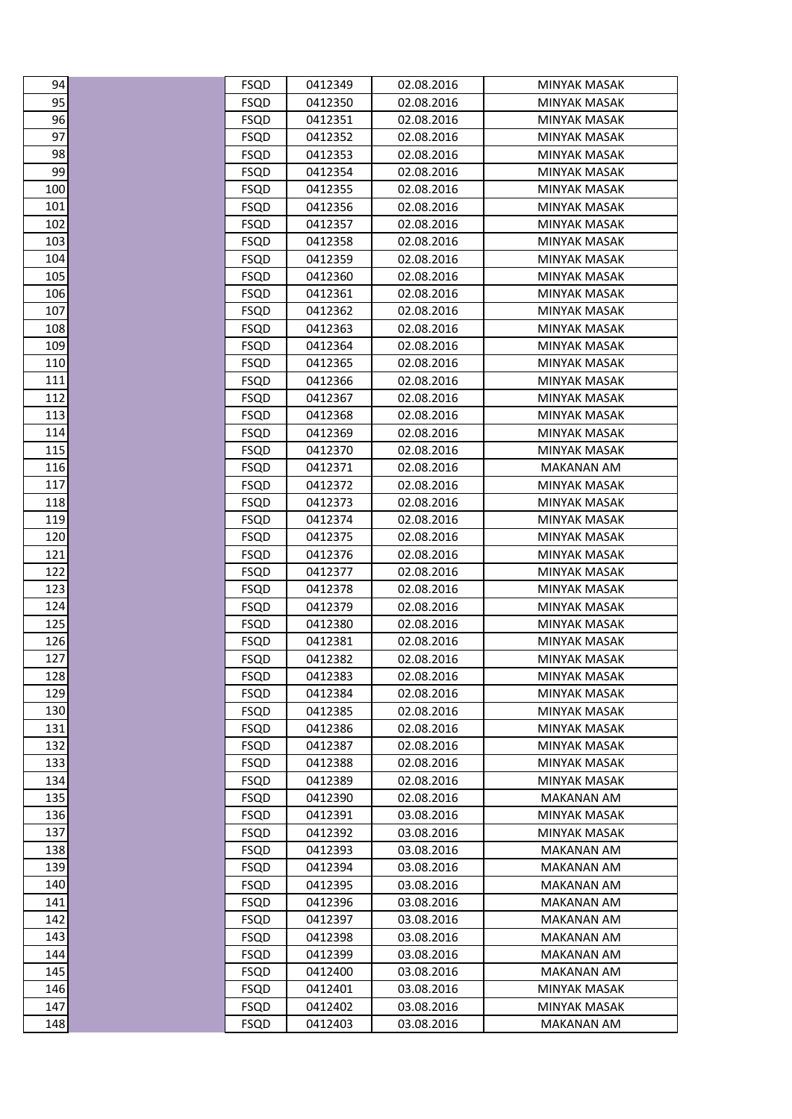| 94         | FSQD                       | 0412349            | 02.08.2016               | MINYAK MASAK                      |
|------------|----------------------------|--------------------|--------------------------|-----------------------------------|
| 95         | <b>FSQD</b>                | 0412350            | 02.08.2016               | <b>MINYAK MASAK</b>               |
| 96         | <b>FSQD</b>                | 0412351            | 02.08.2016               | <b>MINYAK MASAK</b>               |
| 97         | <b>FSQD</b>                | 0412352            | 02.08.2016               | MINYAK MASAK                      |
| 98         | <b>FSQD</b>                | 0412353            | 02.08.2016               | <b>MINYAK MASAK</b>               |
| 99         | <b>FSQD</b>                | 0412354            | 02.08.2016               | <b>MINYAK MASAK</b>               |
| 100        | <b>FSQD</b>                | 0412355            | 02.08.2016               | MINYAK MASAK                      |
| 101        | <b>FSQD</b>                | 0412356            | 02.08.2016               | MINYAK MASAK                      |
| 102        | <b>FSQD</b>                | 0412357            | 02.08.2016               | <b>MINYAK MASAK</b>               |
| 103        | <b>FSQD</b>                | 0412358            | 02.08.2016               | MINYAK MASAK                      |
| 104        | <b>FSQD</b>                | 0412359            | 02.08.2016               | <b>MINYAK MASAK</b>               |
| 105        | <b>FSQD</b>                | 0412360            | 02.08.2016               | <b>MINYAK MASAK</b>               |
| 106        | <b>FSQD</b>                | 0412361            | 02.08.2016               | MINYAK MASAK                      |
| 107        | <b>FSQD</b>                | 0412362            | 02.08.2016               | <b>MINYAK MASAK</b>               |
| 108        | <b>FSQD</b>                | 0412363            | 02.08.2016               | <b>MINYAK MASAK</b>               |
| 109        | <b>FSQD</b>                | 0412364            | 02.08.2016               | <b>MINYAK MASAK</b>               |
| 110        | <b>FSQD</b>                | 0412365            | 02.08.2016               | <b>MINYAK MASAK</b>               |
| 111        | <b>FSQD</b>                | 0412366            | 02.08.2016               | MINYAK MASAK                      |
| 112        | <b>FSQD</b>                | 0412367            | 02.08.2016               | MINYAK MASAK                      |
| 113        | <b>FSQD</b>                | 0412368            | 02.08.2016               | <b>MINYAK MASAK</b>               |
| 114        | <b>FSQD</b>                | 0412369            | 02.08.2016               | MINYAK MASAK                      |
| 115        | <b>FSQD</b>                | 0412370            | 02.08.2016               | MINYAK MASAK                      |
| 116        | <b>FSQD</b>                | 0412371            | 02.08.2016               | <b>MAKANAN AM</b>                 |
| 117        | <b>FSQD</b>                | 0412372            | 02.08.2016               | <b>MINYAK MASAK</b>               |
| 118        | <b>FSQD</b>                | 0412373            | 02.08.2016               | <b>MINYAK MASAK</b>               |
| 119        | <b>FSQD</b>                | 0412374            | 02.08.2016               | MINYAK MASAK                      |
| 120        | <b>FSQD</b>                | 0412375            | 02.08.2016               | <b>MINYAK MASAK</b>               |
| 121        | <b>FSQD</b>                | 0412376            | 02.08.2016               | <b>MINYAK MASAK</b>               |
| 122        | <b>FSQD</b>                | 0412377            | 02.08.2016               | MINYAK MASAK                      |
| 123        | <b>FSQD</b>                | 0412378            | 02.08.2016               | MINYAK MASAK                      |
| 124        | <b>FSQD</b>                | 0412379            | 02.08.2016               | MINYAK MASAK                      |
| 125        | <b>FSQD</b>                | 0412380            | 02.08.2016               | MINYAK MASAK                      |
| 126        | <b>FSQD</b>                | 0412381            | 02.08.2016               | <b>MINYAK MASAK</b>               |
| 127        | <b>FSQD</b>                | 0412382            | 02.08.2016               | <b>MINYAK MASAK</b>               |
| 128        | <b>FSQD</b>                | 0412383            | 02.08.2016               | <b>MINYAK MASAK</b>               |
| 129        | <b>FSQD</b>                | 0412384            | 02.08.2016               | MINYAK MASAK                      |
| 130        | <b>FSQD</b>                | 0412385            | 02.08.2016               | MINYAK MASAK                      |
| 131<br>132 | <b>FSQD</b>                | 0412386            | 02.08.2016               | MINYAK MASAK                      |
| 133        | <b>FSQD</b>                | 0412387            | 02.08.2016               | MINYAK MASAK                      |
| 134        | FSQD                       | 0412388<br>0412389 | 02.08.2016               | MINYAK MASAK                      |
| 135        | <b>FSQD</b><br><b>FSQD</b> | 0412390            | 02.08.2016<br>02.08.2016 | MINYAK MASAK<br><b>MAKANAN AM</b> |
| 136        | <b>FSQD</b>                | 0412391            | 03.08.2016               | MINYAK MASAK                      |
| 137        | <b>FSQD</b>                | 0412392            | 03.08.2016               | MINYAK MASAK                      |
| 138        | <b>FSQD</b>                | 0412393            | 03.08.2016               | <b>MAKANAN AM</b>                 |
| 139        | <b>FSQD</b>                | 0412394            | 03.08.2016               | MAKANAN AM                        |
| 140        | <b>FSQD</b>                | 0412395            | 03.08.2016               | <b>MAKANAN AM</b>                 |
| 141        | <b>FSQD</b>                | 0412396            | 03.08.2016               | MAKANAN AM                        |
| 142        | <b>FSQD</b>                | 0412397            | 03.08.2016               | MAKANAN AM                        |
| 143        | <b>FSQD</b>                | 0412398            | 03.08.2016               | <b>MAKANAN AM</b>                 |
| 144        | <b>FSQD</b>                | 0412399            | 03.08.2016               | MAKANAN AM                        |
| 145        | <b>FSQD</b>                | 0412400            | 03.08.2016               | <b>MAKANAN AM</b>                 |
| 146        | <b>FSQD</b>                | 0412401            | 03.08.2016               | MINYAK MASAK                      |
| 147        | <b>FSQD</b>                | 0412402            | 03.08.2016               | MINYAK MASAK                      |
| 148        | <b>FSQD</b>                | 0412403            | 03.08.2016               | <b>MAKANAN AM</b>                 |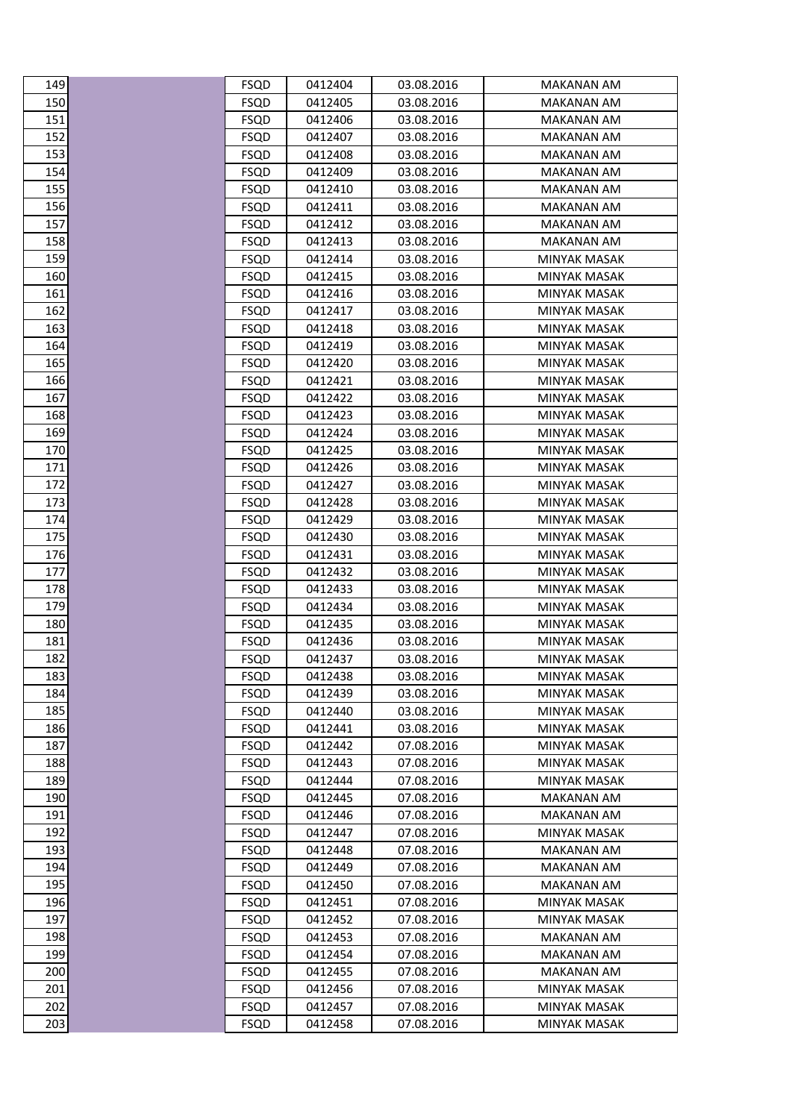| 149        | FSQD                       | 0412404            | 03.08.2016               | MAKANAN AM                          |
|------------|----------------------------|--------------------|--------------------------|-------------------------------------|
| 150        | <b>FSQD</b>                | 0412405            | 03.08.2016               | <b>MAKANAN AM</b>                   |
| 151        | <b>FSQD</b>                | 0412406            | 03.08.2016               | <b>MAKANAN AM</b>                   |
| 152        | FSQD                       | 0412407            | 03.08.2016               | MAKANAN AM                          |
| 153        | <b>FSQD</b>                | 0412408            | 03.08.2016               | MAKANAN AM                          |
| 154        | <b>FSQD</b>                | 0412409            | 03.08.2016               | <b>MAKANAN AM</b>                   |
| 155        | <b>FSQD</b>                | 0412410            | 03.08.2016               | <b>MAKANAN AM</b>                   |
| 156        | FSQD                       | 0412411            | 03.08.2016               | <b>MAKANAN AM</b>                   |
| 157        | FSQD                       | 0412412            | 03.08.2016               | MAKANAN AM                          |
| 158        | <b>FSQD</b>                | 0412413            | 03.08.2016               | <b>MAKANAN AM</b>                   |
| 159        | <b>FSQD</b>                | 0412414            | 03.08.2016               | <b>MINYAK MASAK</b>                 |
| 160        | <b>FSQD</b>                | 0412415            | 03.08.2016               | MINYAK MASAK                        |
| 161        | FSQD                       | 0412416            | 03.08.2016               | <b>MINYAK MASAK</b>                 |
| 162        | <b>FSQD</b>                | 0412417            | 03.08.2016               | <b>MINYAK MASAK</b>                 |
| 163        | FSQD                       | 0412418            | 03.08.2016               | MINYAK MASAK                        |
| 164        | <b>FSQD</b>                | 0412419            | 03.08.2016               | MINYAK MASAK                        |
| 165        | <b>FSQD</b>                | 0412420            | 03.08.2016               | <b>MINYAK MASAK</b>                 |
| 166        | <b>FSQD</b>                | 0412421            | 03.08.2016               | MINYAK MASAK                        |
| 167        | <b>FSQD</b>                | 0412422            | 03.08.2016               | <b>MINYAK MASAK</b>                 |
| 168        | FSQD                       | 0412423            | 03.08.2016               | <b>MINYAK MASAK</b>                 |
| 169        | <b>FSQD</b>                | 0412424            | 03.08.2016               | MINYAK MASAK                        |
| 170        | <b>FSQD</b>                | 0412425            | 03.08.2016               | MINYAK MASAK                        |
| 171        | FSQD                       | 0412426            | 03.08.2016               | MINYAK MASAK                        |
| 172        | FSQD                       | 0412427            | 03.08.2016               | <b>MINYAK MASAK</b>                 |
| 173        | <b>FSQD</b>                | 0412428            | 03.08.2016               | <b>MINYAK MASAK</b>                 |
| 174        | <b>FSQD</b>                | 0412429            | 03.08.2016               | MINYAK MASAK                        |
| 175        | <b>FSQD</b>                | 0412430            | 03.08.2016               | MINYAK MASAK                        |
| 176<br>177 | <b>FSQD</b>                | 0412431            | 03.08.2016               | <b>MINYAK MASAK</b>                 |
| 178        | <b>FSQD</b><br><b>FSQD</b> | 0412432<br>0412433 | 03.08.2016<br>03.08.2016 | MINYAK MASAK<br><b>MINYAK MASAK</b> |
| 179        | <b>FSQD</b>                | 0412434            | 03.08.2016               | <b>MINYAK MASAK</b>                 |
| 180        | <b>FSQD</b>                | 0412435            | 03.08.2016               | MINYAK MASAK                        |
| 181        | <b>FSQD</b>                | 0412436            | 03.08.2016               | <b>MINYAK MASAK</b>                 |
| 182        | <b>FSQD</b>                | 0412437            | 03.08.2016               | MINYAK MASAK                        |
| 183        | <b>FSQD</b>                | 0412438            | 03.08.2016               | <b>MINYAK MASAK</b>                 |
| 184        | <b>FSQD</b>                | 0412439            | 03.08.2016               | <b>MINYAK MASAK</b>                 |
| 185        | FSQD                       | 0412440            | 03.08.2016               | MINYAK MASAK                        |
| 186        | <b>FSQD</b>                | 0412441            | 03.08.2016               | <b>MINYAK MASAK</b>                 |
| 187        | <b>FSQD</b>                | 0412442            | 07.08.2016               | MINYAK MASAK                        |
| 188        | <b>FSQD</b>                | 0412443            | 07.08.2016               | MINYAK MASAK                        |
| 189        | <b>FSQD</b>                | 0412444            | 07.08.2016               | <b>MINYAK MASAK</b>                 |
| 190        | <b>FSQD</b>                | 0412445            | 07.08.2016               | <b>MAKANAN AM</b>                   |
| 191        | <b>FSQD</b>                | 0412446            | 07.08.2016               | <b>MAKANAN AM</b>                   |
| 192        | <b>FSQD</b>                | 0412447            | 07.08.2016               | <b>MINYAK MASAK</b>                 |
| 193        | <b>FSQD</b>                | 0412448            | 07.08.2016               | MAKANAN AM                          |
| 194        | <b>FSQD</b>                | 0412449            | 07.08.2016               | <b>MAKANAN AM</b>                   |
| 195        | <b>FSQD</b>                | 0412450            | 07.08.2016               | <b>MAKANAN AM</b>                   |
| 196        | FSQD                       | 0412451            | 07.08.2016               | MINYAK MASAK                        |
| 197        | <b>FSQD</b>                | 0412452            | 07.08.2016               | MINYAK MASAK                        |
| 198        | <b>FSQD</b>                | 0412453            | 07.08.2016               | <b>MAKANAN AM</b>                   |
| 199        | <b>FSQD</b>                | 0412454            | 07.08.2016               | <b>MAKANAN AM</b>                   |
| 200        | <b>FSQD</b>                | 0412455            | 07.08.2016               | <b>MAKANAN AM</b>                   |
| 201        | <b>FSQD</b>                | 0412456            | 07.08.2016               | MINYAK MASAK                        |
| 202<br>203 | <b>FSQD</b>                | 0412457            | 07.08.2016               | MINYAK MASAK<br><b>MINYAK MASAK</b> |
|            | <b>FSQD</b>                | 0412458            | 07.08.2016               |                                     |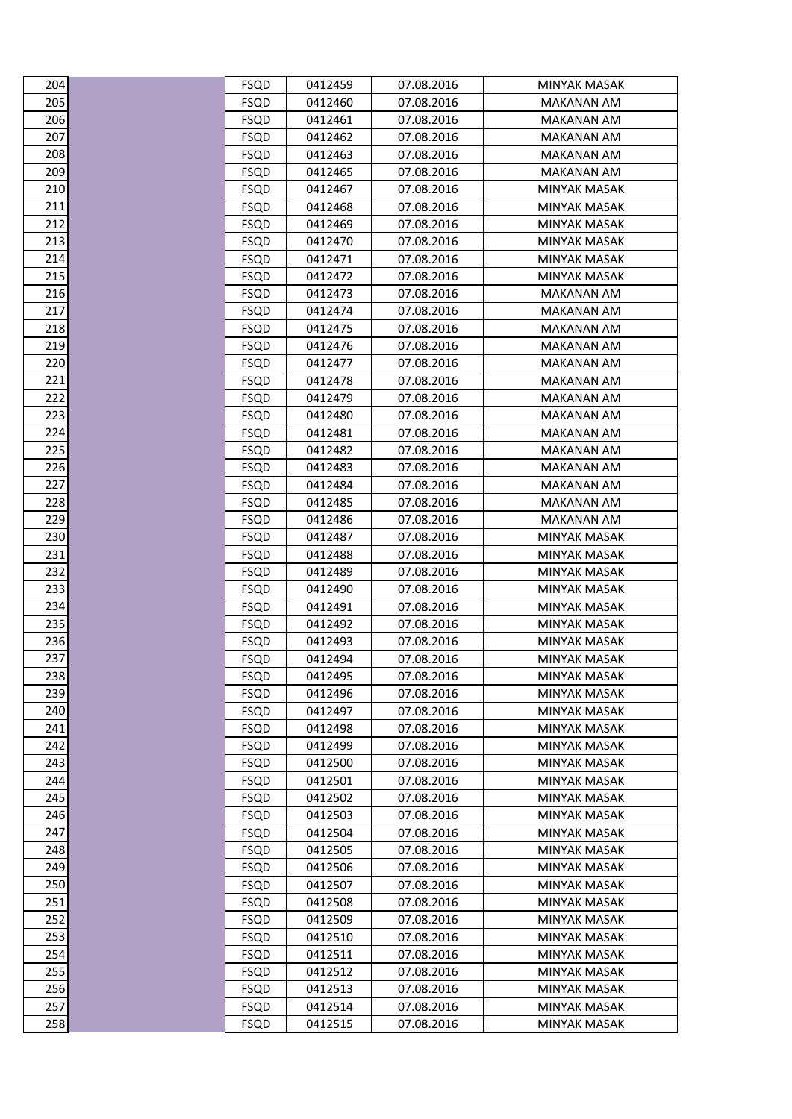| 204        | <b>FSQD</b>                | 0412459            | 07.08.2016               | MINYAK MASAK                        |
|------------|----------------------------|--------------------|--------------------------|-------------------------------------|
| 205        | <b>FSQD</b>                | 0412460            | 07.08.2016               | <b>MAKANAN AM</b>                   |
| 206        | FSQD                       | 0412461            | 07.08.2016               | MAKANAN AM                          |
| 207        | <b>FSQD</b>                | 0412462            | 07.08.2016               | MAKANAN AM                          |
| 208        | <b>FSQD</b>                | 0412463            | 07.08.2016               | <b>MAKANAN AM</b>                   |
| 209        | <b>FSQD</b>                | 0412465            | 07.08.2016               | <b>MAKANAN AM</b>                   |
| 210        | <b>FSQD</b>                | 0412467            | 07.08.2016               | <b>MINYAK MASAK</b>                 |
| 211        | <b>FSQD</b>                | 0412468            | 07.08.2016               | <b>MINYAK MASAK</b>                 |
| 212        | <b>FSQD</b>                | 0412469            | 07.08.2016               | MINYAK MASAK                        |
| 213        | <b>FSQD</b>                | 0412470            | 07.08.2016               | MINYAK MASAK                        |
| 214        | <b>FSQD</b>                | 0412471            | 07.08.2016               | <b>MINYAK MASAK</b>                 |
| 215        | <b>FSQD</b>                | 0412472            | 07.08.2016               | MINYAK MASAK                        |
| 216        | <b>FSQD</b>                | 0412473            | 07.08.2016               | MAKANAN AM                          |
| 217        | FSQD                       | 0412474            | 07.08.2016               | MAKANAN AM                          |
| 218        | <b>FSQD</b>                | 0412475            | 07.08.2016               | MAKANAN AM                          |
| 219        | <b>FSQD</b>                | 0412476            | 07.08.2016               | <b>MAKANAN AM</b>                   |
| 220        | <b>FSQD</b>                | 0412477            | 07.08.2016               | MAKANAN AM                          |
| 221        | <b>FSQD</b>                | 0412478            | 07.08.2016               | <b>MAKANAN AM</b>                   |
| 222        | <b>FSQD</b>                | 0412479            | 07.08.2016               | <b>MAKANAN AM</b>                   |
| 223        | <b>FSQD</b>                | 0412480            | 07.08.2016               | <b>MAKANAN AM</b>                   |
| 224        | <b>FSQD</b>                | 0412481            | 07.08.2016               | <b>MAKANAN AM</b>                   |
| 225        | <b>FSQD</b>                | 0412482            | 07.08.2016               | <b>MAKANAN AM</b>                   |
| 226        | <b>FSQD</b>                | 0412483            | 07.08.2016               | MAKANAN AM                          |
| 227        | <b>FSQD</b>                | 0412484            | 07.08.2016               | <b>MAKANAN AM</b>                   |
| 228        | FSQD                       | 0412485            | 07.08.2016               | MAKANAN AM                          |
| 229        | <b>FSQD</b>                | 0412486            | 07.08.2016               | MAKANAN AM                          |
| 230        | <b>FSQD</b>                | 0412487            | 07.08.2016               | <b>MINYAK MASAK</b>                 |
| 231        | <b>FSQD</b>                | 0412488            | 07.08.2016               | MINYAK MASAK                        |
| 232        | <b>FSQD</b>                | 0412489            | 07.08.2016               | MINYAK MASAK                        |
| 233        | <b>FSQD</b>                | 0412490            | 07.08.2016               | <b>MINYAK MASAK</b>                 |
| 234        | <b>FSQD</b>                | 0412491            | 07.08.2016               | <b>MINYAK MASAK</b>                 |
| 235        | <b>FSQD</b>                | 0412492            | 07.08.2016               | MINYAK MASAK                        |
| 236        | <b>FSQD</b>                | 0412493            | 07.08.2016               | <b>MINYAK MASAK</b>                 |
| 237        | <b>FSQD</b>                | 0412494            | 07.08.2016               | <b>MINYAK MASAK</b>                 |
| 238        | <b>FSQD</b>                | 0412495            | 07.08.2016               | MINYAK MASAK                        |
| 239        | <b>FSQD</b>                | 0412496            | 07.08.2016               | <b>MINYAK MASAK</b>                 |
| 240        | <b>FSQD</b>                | 0412497            | 07.08.2016               | MINYAK MASAK                        |
| 241        | <b>FSQD</b>                | 0412498            | 07.08.2016               | <b>MINYAK MASAK</b>                 |
| 242<br>243 | <b>FSQD</b>                | 0412499            | 07.08.2016               | MINYAK MASAK                        |
| 244        | <b>FSQD</b>                | 0412500            | 07.08.2016               | <b>MINYAK MASAK</b>                 |
| 245        | <b>FSQD</b>                | 0412501            | 07.08.2016<br>07.08.2016 | <b>MINYAK MASAK</b>                 |
|            | FSQD                       | 0412502<br>0412503 | 07.08.2016               | MINYAK MASAK                        |
| 246<br>247 | <b>FSQD</b>                |                    |                          | MINYAK MASAK<br><b>MINYAK MASAK</b> |
| 248        | <b>FSQD</b>                | 0412504<br>0412505 | 07.08.2016               |                                     |
| 249        | <b>FSQD</b><br><b>FSQD</b> | 0412506            | 07.08.2016<br>07.08.2016 | MINYAK MASAK<br><b>MINYAK MASAK</b> |
|            |                            | 0412507            | 07.08.2016               |                                     |
| 250<br>251 | FSQD<br><b>FSQD</b>        | 0412508            | 07.08.2016               | MINYAK MASAK<br>MINYAK MASAK        |
| 252        |                            |                    |                          | <b>MINYAK MASAK</b>                 |
| 253        | <b>FSQD</b>                | 0412509<br>0412510 | 07.08.2016<br>07.08.2016 |                                     |
| 254        | <b>FSQD</b><br><b>FSQD</b> | 0412511            | 07.08.2016               | MINYAK MASAK<br><b>MINYAK MASAK</b> |
| 255        | <b>FSQD</b>                | 0412512            | 07.08.2016               | <b>MINYAK MASAK</b>                 |
| 256        | <b>FSQD</b>                | 0412513            | 07.08.2016               | MINYAK MASAK                        |
| 257        | <b>FSQD</b>                | 0412514            | 07.08.2016               | MINYAK MASAK                        |
| 258        | <b>FSQD</b>                | 0412515            | 07.08.2016               | <b>MINYAK MASAK</b>                 |
|            |                            |                    |                          |                                     |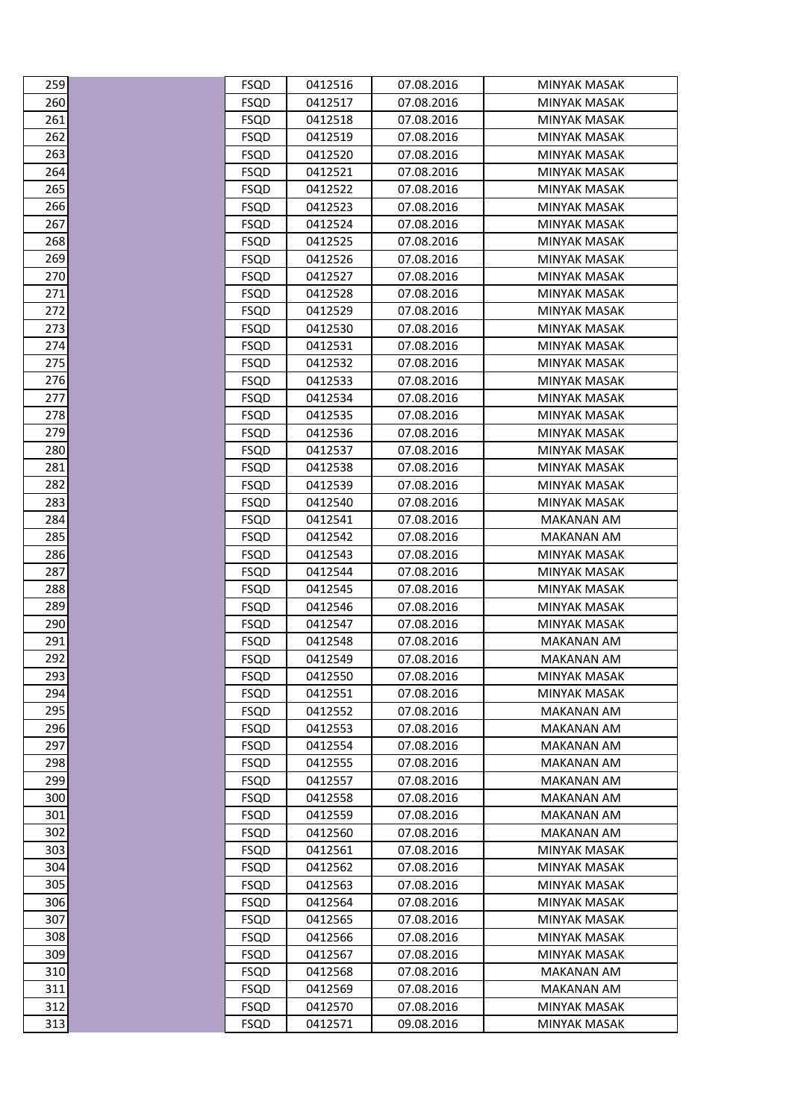| 259        | FSQD                       | 0412516            | 07.08.2016               | MINYAK MASAK                             |
|------------|----------------------------|--------------------|--------------------------|------------------------------------------|
| 260        | <b>FSQD</b>                | 0412517            | 07.08.2016               | <b>MINYAK MASAK</b>                      |
| 261        | <b>FSQD</b>                | 0412518            | 07.08.2016               | <b>MINYAK MASAK</b>                      |
| 262        | FSQD                       | 0412519            | 07.08.2016               | MINYAK MASAK                             |
| 263        | <b>FSQD</b>                | 0412520            | 07.08.2016               | MINYAK MASAK                             |
| 264        | <b>FSQD</b>                | 0412521            | 07.08.2016               | <b>MINYAK MASAK</b>                      |
| 265        | <b>FSQD</b>                | 0412522            | 07.08.2016               | MINYAK MASAK                             |
| 266        | FSQD                       | 0412523            | 07.08.2016               | <b>MINYAK MASAK</b>                      |
| 267        | FSQD                       | 0412524            | 07.08.2016               | MINYAK MASAK                             |
| 268        | FSQD                       | 0412525            | 07.08.2016               | MINYAK MASAK                             |
| 269        | <b>FSQD</b>                | 0412526            | 07.08.2016               | <b>MINYAK MASAK</b>                      |
| 270        | FSQD                       | 0412527            | 07.08.2016               | MINYAK MASAK                             |
| 271        | <b>FSQD</b>                | 0412528            | 07.08.2016               | <b>MINYAK MASAK</b>                      |
| 272        | <b>FSQD</b>                | 0412529            | 07.08.2016               | <b>MINYAK MASAK</b>                      |
| 273        | FSQD                       | 0412530            | 07.08.2016               | MINYAK MASAK                             |
| 274        | <b>FSQD</b>                | 0412531            | 07.08.2016               | MINYAK MASAK                             |
| 275        | <b>FSQD</b>                | 0412532            | 07.08.2016               | <b>MINYAK MASAK</b>                      |
| 276        | <b>FSQD</b>                | 0412533            | 07.08.2016               | MINYAK MASAK                             |
| 277        | <b>FSQD</b>                | 0412534            | 07.08.2016               | <b>MINYAK MASAK</b>                      |
| 278        | <b>FSQD</b>                | 0412535            | 07.08.2016               | <b>MINYAK MASAK</b>                      |
| 279        | <b>FSQD</b>                | 0412536            | 07.08.2016               | MINYAK MASAK                             |
| 280        | <b>FSQD</b>                | 0412537            | 07.08.2016               | MINYAK MASAK                             |
| 281        | FSQD                       | 0412538            | 07.08.2016               | MINYAK MASAK                             |
| 282        | <b>FSQD</b>                | 0412539            | 07.08.2016               | MINYAK MASAK                             |
| 283        | <b>FSQD</b>                | 0412540            | 07.08.2016               | <b>MINYAK MASAK</b>                      |
| 284        | <b>FSQD</b>                | 0412541            | 07.08.2016               | MAKANAN AM                               |
| 285<br>286 | <b>FSQD</b>                | 0412542            | 07.08.2016               | MAKANAN AM<br><b>MINYAK MASAK</b>        |
| 287        | <b>FSQD</b><br><b>FSQD</b> | 0412543<br>0412544 | 07.08.2016<br>07.08.2016 | MINYAK MASAK                             |
| 288        | <b>FSQD</b>                | 0412545            | 07.08.2016               | MINYAK MASAK                             |
| 289        | <b>FSQD</b>                | 0412546            | 07.08.2016               | MINYAK MASAK                             |
| 290        | <b>FSQD</b>                | 0412547            | 07.08.2016               | MINYAK MASAK                             |
| 291        | <b>FSQD</b>                | 0412548            | 07.08.2016               | <b>MAKANAN AM</b>                        |
| 292        | <b>FSQD</b>                | 0412549            | 07.08.2016               | <b>MAKANAN AM</b>                        |
| 293        | <b>FSQD</b>                | 0412550            | 07.08.2016               | <b>MINYAK MASAK</b>                      |
| 294        | <b>FSQD</b>                | 0412551            | 07.08.2016               | <b>MINYAK MASAK</b>                      |
| 295        | <b>FSQD</b>                | 0412552            | 07.08.2016               | MAKANAN AM                               |
| 296        | <b>FSQD</b>                | 0412553            | 07.08.2016               | <b>MAKANAN AM</b>                        |
| 297        | <b>FSQD</b>                | 0412554            | 07.08.2016               | <b>MAKANAN AM</b>                        |
| 298        | <b>FSQD</b>                | 0412555            | 07.08.2016               | MAKANAN AM                               |
| 299        | <b>FSQD</b>                | 0412557            | 07.08.2016               | <b>MAKANAN AM</b>                        |
| 300        | <b>FSQD</b>                | 0412558            | 07.08.2016               | <b>MAKANAN AM</b>                        |
| 301        | <b>FSQD</b>                | 0412559            | 07.08.2016               | <b>MAKANAN AM</b>                        |
| 302        | <b>FSQD</b>                | 0412560            | 07.08.2016               | <b>MAKANAN AM</b>                        |
| 303        | <b>FSQD</b>                | 0412561            | 07.08.2016               | MINYAK MASAK                             |
| 304        | <b>FSQD</b>                | 0412562            | 07.08.2016               | MINYAK MASAK                             |
| 305        | <b>FSQD</b>                | 0412563            | 07.08.2016               | <b>MINYAK MASAK</b>                      |
| 306        | FSQD                       | 0412564            | 07.08.2016               | MINYAK MASAK                             |
| 307        | <b>FSQD</b>                | 0412565            | 07.08.2016               | MINYAK MASAK                             |
| 308<br>309 | <b>FSQD</b>                | 0412566            | 07.08.2016               | <b>MINYAK MASAK</b>                      |
| 310        | <b>FSQD</b><br><b>FSQD</b> | 0412567<br>0412568 | 07.08.2016<br>07.08.2016 | <b>MINYAK MASAK</b><br><b>MAKANAN AM</b> |
| 311        | <b>FSQD</b>                | 0412569            | 07.08.2016               | <b>MAKANAN AM</b>                        |
| 312        | <b>FSQD</b>                | 0412570            | 07.08.2016               | MINYAK MASAK                             |
| 313        | <b>FSQD</b>                | 0412571            | 09.08.2016               | <b>MINYAK MASAK</b>                      |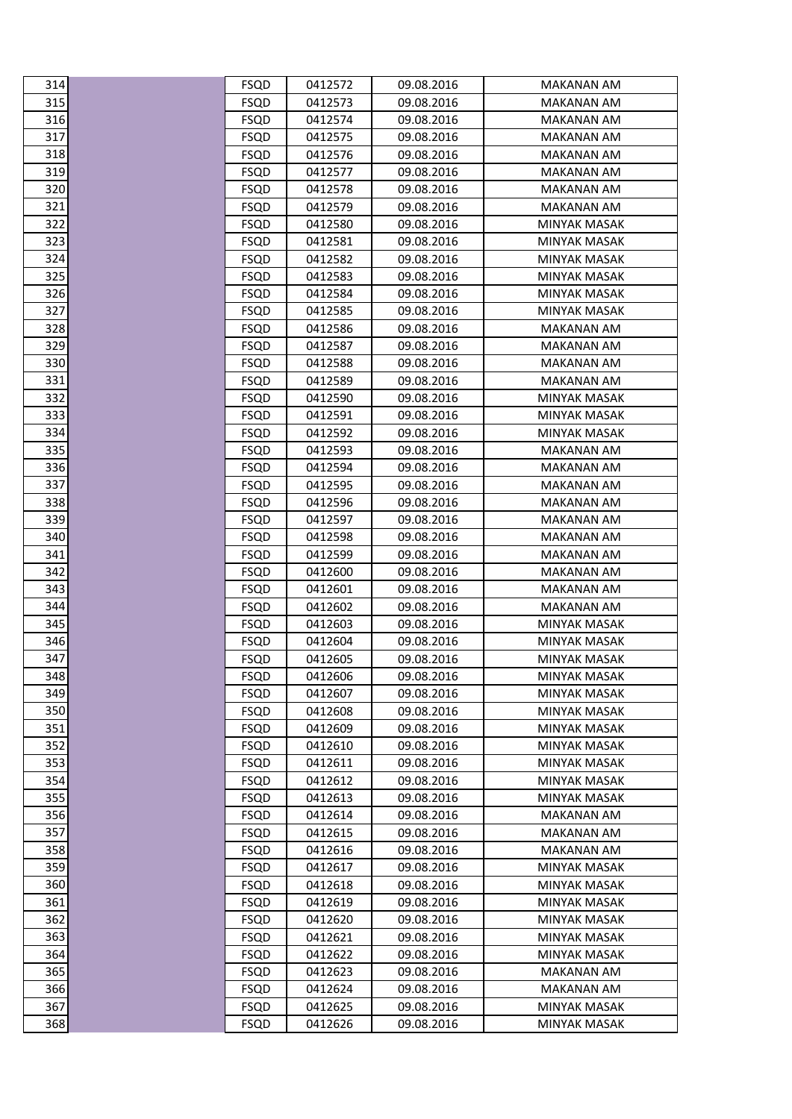| 314        | <b>FSQD</b>                | 0412572            | 09.08.2016               | MAKANAN AM                      |
|------------|----------------------------|--------------------|--------------------------|---------------------------------|
| 315        | <b>FSQD</b>                | 0412573            | 09.08.2016               | <b>MAKANAN AM</b>               |
| 316        | <b>FSQD</b>                | 0412574            | 09.08.2016               | <b>MAKANAN AM</b>               |
| 317        | FSQD                       | 0412575            | 09.08.2016               | MAKANAN AM                      |
| 318        | <b>FSQD</b>                | 0412576            | 09.08.2016               | MAKANAN AM                      |
| 319        | <b>FSQD</b>                | 0412577            | 09.08.2016               | <b>MAKANAN AM</b>               |
| 320        | <b>FSQD</b>                | 0412578            | 09.08.2016               | MAKANAN AM                      |
| 321        | <b>FSQD</b>                | 0412579            | 09.08.2016               | <b>MAKANAN AM</b>               |
| 322        | <b>FSQD</b>                | 0412580            | 09.08.2016               | <b>MINYAK MASAK</b>             |
| 323        | <b>FSQD</b>                | 0412581            | 09.08.2016               | MINYAK MASAK                    |
| 324        | <b>FSQD</b>                | 0412582            | 09.08.2016               | <b>MINYAK MASAK</b>             |
| 325        | <b>FSQD</b>                | 0412583            | 09.08.2016               | MINYAK MASAK                    |
| 326        | <b>FSQD</b>                | 0412584            | 09.08.2016               | MINYAK MASAK                    |
| 327        | <b>FSQD</b>                | 0412585            | 09.08.2016               | <b>MINYAK MASAK</b>             |
| 328        | FSQD                       | 0412586            | 09.08.2016               | MAKANAN AM                      |
| 329        | <b>FSQD</b>                | 0412587            | 09.08.2016               | <b>MAKANAN AM</b>               |
| 330        | <b>FSQD</b>                | 0412588            | 09.08.2016               | <b>MAKANAN AM</b>               |
| 331        | <b>FSQD</b>                | 0412589            | 09.08.2016               | <b>MAKANAN AM</b>               |
| 332        | <b>FSQD</b>                | 0412590            | 09.08.2016               | <b>MINYAK MASAK</b>             |
| 333        | FSQD                       | 0412591            | 09.08.2016               | <b>MINYAK MASAK</b>             |
| 334        | <b>FSQD</b>                | 0412592            | 09.08.2016               | MINYAK MASAK                    |
| 335        | <b>FSQD</b>                | 0412593            | 09.08.2016               | MAKANAN AM                      |
| 336        | <b>FSQD</b>                | 0412594            | 09.08.2016               | MAKANAN AM                      |
| 337        | <b>FSQD</b>                | 0412595            | 09.08.2016               | MAKANAN AM                      |
| 338        | <b>FSQD</b>                | 0412596            | 09.08.2016               | <b>MAKANAN AM</b>               |
| 339        | FSQD                       | 0412597            | 09.08.2016               | MAKANAN AM                      |
| 340<br>341 | <b>FSQD</b>                | 0412598            | 09.08.2016               | MAKANAN AM                      |
| 342        | <b>FSQD</b>                | 0412599<br>0412600 | 09.08.2016               | <b>MAKANAN AM</b>               |
| 343        | <b>FSQD</b><br><b>FSQD</b> | 0412601            | 09.08.2016<br>09.08.2016 | MAKANAN AM<br><b>MAKANAN AM</b> |
| 344        | <b>FSQD</b>                | 0412602            | 09.08.2016               | MAKANAN AM                      |
| 345        | <b>FSQD</b>                | 0412603            | 09.08.2016               | MINYAK MASAK                    |
| 346        | <b>FSQD</b>                | 0412604            | 09.08.2016               | <b>MINYAK MASAK</b>             |
| 347        | <b>FSQD</b>                | 0412605            | 09.08.2016               | <b>MINYAK MASAK</b>             |
| 348        | <b>FSQD</b>                | 0412606            | 09.08.2016               | <b>MINYAK MASAK</b>             |
| 349        | <b>FSQD</b>                | 0412607            | 09.08.2016               | <b>MINYAK MASAK</b>             |
| 350        | FSQD                       | 0412608            | 09.08.2016               | MINYAK MASAK                    |
| 351        | <b>FSQD</b>                | 0412609            | 09.08.2016               | MINYAK MASAK                    |
| 352        | <b>FSQD</b>                | 0412610            | 09.08.2016               | <b>MINYAK MASAK</b>             |
| 353        | <b>FSQD</b>                | 0412611            | 09.08.2016               | MINYAK MASAK                    |
| 354        | <b>FSQD</b>                | 0412612            | 09.08.2016               | <b>MINYAK MASAK</b>             |
| 355        | <b>FSQD</b>                | 0412613            | 09.08.2016               | <b>MINYAK MASAK</b>             |
| 356        | <b>FSQD</b>                | 0412614            | 09.08.2016               | MAKANAN AM                      |
| 357        | <b>FSQD</b>                | 0412615            | 09.08.2016               | MAKANAN AM                      |
| 358        | <b>FSQD</b>                | 0412616            | 09.08.2016               | MAKANAN AM                      |
| 359        | <b>FSQD</b>                | 0412617            | 09.08.2016               | MINYAK MASAK                    |
| 360        | <b>FSQD</b>                | 0412618            | 09.08.2016               | <b>MINYAK MASAK</b>             |
| 361        | FSQD                       | 0412619            | 09.08.2016               | MINYAK MASAK                    |
| 362        | <b>FSQD</b>                | 0412620            | 09.08.2016               | MINYAK MASAK                    |
| 363        | <b>FSQD</b>                | 0412621            | 09.08.2016               | <b>MINYAK MASAK</b>             |
| 364        | <b>FSQD</b>                | 0412622            | 09.08.2016               | MINYAK MASAK                    |
| 365        | <b>FSQD</b>                | 0412623            | 09.08.2016               | MAKANAN AM                      |
| 366        | <b>FSQD</b>                | 0412624            | 09.08.2016               | <b>MAKANAN AM</b>               |
| 367        | <b>FSQD</b>                | 0412625            | 09.08.2016               | <b>MINYAK MASAK</b>             |
| 368        | <b>FSQD</b>                | 0412626            | 09.08.2016               | <b>MINYAK MASAK</b>             |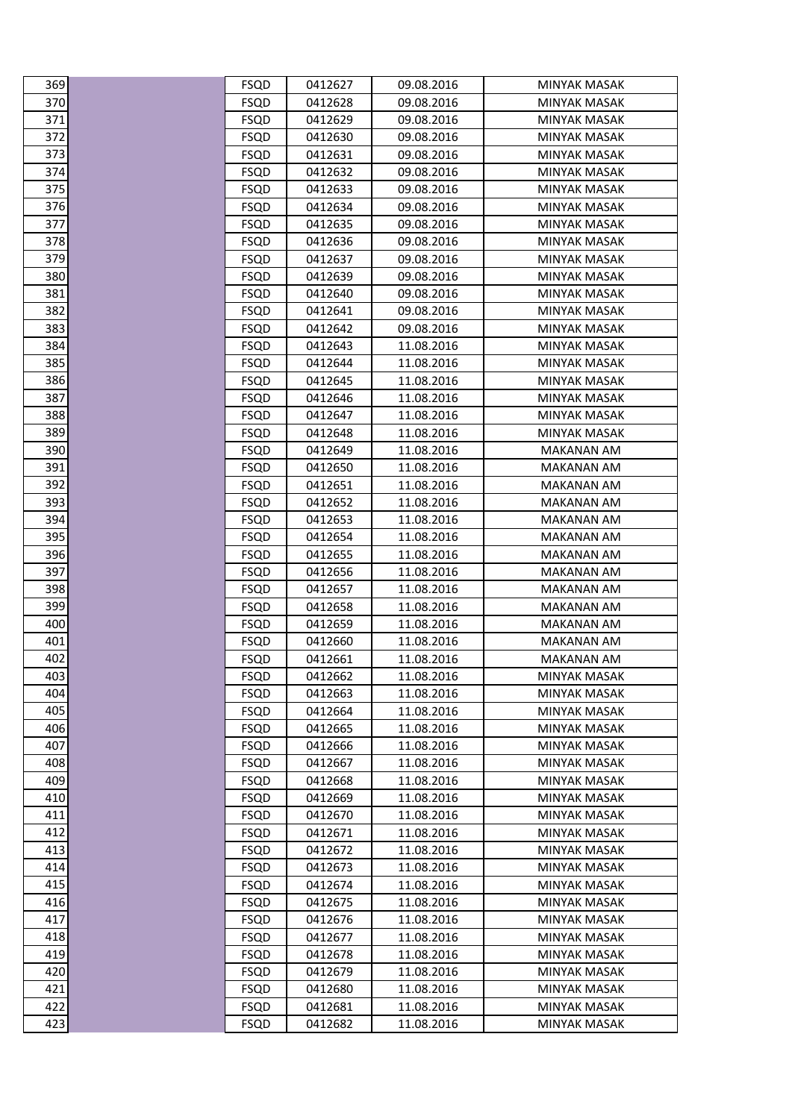| 369        | FSQD                       | 0412627            | 09.08.2016               | MINYAK MASAK                               |
|------------|----------------------------|--------------------|--------------------------|--------------------------------------------|
| 370        | <b>FSQD</b>                | 0412628            | 09.08.2016               | <b>MINYAK MASAK</b>                        |
| 371        | <b>FSQD</b>                | 0412629            | 09.08.2016               | <b>MINYAK MASAK</b>                        |
| 372        | FSQD                       | 0412630            | 09.08.2016               | MINYAK MASAK                               |
| 373        | <b>FSQD</b>                | 0412631            | 09.08.2016               | MINYAK MASAK                               |
| 374        | <b>FSQD</b>                | 0412632            | 09.08.2016               | <b>MINYAK MASAK</b>                        |
| 375        | <b>FSQD</b>                | 0412633            | 09.08.2016               | MINYAK MASAK                               |
| 376        | FSQD                       | 0412634            | 09.08.2016               | <b>MINYAK MASAK</b>                        |
| 377        | FSQD                       | 0412635            | 09.08.2016               | MINYAK MASAK                               |
| 378        | FSQD                       | 0412636            | 09.08.2016               | MINYAK MASAK                               |
| 379        | <b>FSQD</b>                | 0412637            | 09.08.2016               | <b>MINYAK MASAK</b>                        |
| 380        | <b>FSQD</b>                | 0412639            | 09.08.2016               | MINYAK MASAK                               |
| 381        | FSQD                       | 0412640            | 09.08.2016               | <b>MINYAK MASAK</b>                        |
| 382        | <b>FSQD</b>                | 0412641            | 09.08.2016               | <b>MINYAK MASAK</b>                        |
| 383        | FSQD                       | 0412642            | 09.08.2016               | MINYAK MASAK                               |
| 384        | <b>FSQD</b>                | 0412643            | 11.08.2016               | MINYAK MASAK                               |
| 385        | <b>FSQD</b>                | 0412644            | 11.08.2016               | <b>MINYAK MASAK</b>                        |
| 386        | <b>FSQD</b>                | 0412645            | 11.08.2016               | MINYAK MASAK                               |
| 387        | <b>FSQD</b>                | 0412646            | 11.08.2016               | <b>MINYAK MASAK</b>                        |
| 388        | <b>FSQD</b>                | 0412647            | 11.08.2016               | MINYAK MASAK                               |
| 389        | FSQD                       | 0412648            | 11.08.2016               | MINYAK MASAK                               |
| 390        | <b>FSQD</b>                | 0412649            | 11.08.2016               | <b>MAKANAN AM</b>                          |
| 391        | FSQD                       | 0412650            | 11.08.2016               | MAKANAN AM                                 |
| 392        | <b>FSQD</b>                | 0412651            | 11.08.2016               | MAKANAN AM                                 |
| 393        | <b>FSQD</b>                | 0412652            | 11.08.2016               | <b>MAKANAN AM</b>                          |
| 394        | FSQD                       | 0412653            | 11.08.2016               | MAKANAN AM                                 |
| 395<br>396 | <b>FSQD</b><br><b>FSQD</b> | 0412654<br>0412655 | 11.08.2016<br>11.08.2016 | MAKANAN AM<br><b>MAKANAN AM</b>            |
| 397        | <b>FSQD</b>                | 0412656            | 11.08.2016               | MAKANAN AM                                 |
| 398        | <b>FSQD</b>                | 0412657            | 11.08.2016               | <b>MAKANAN AM</b>                          |
| 399        | <b>FSQD</b>                | 0412658            | 11.08.2016               | MAKANAN AM                                 |
| 400        | <b>FSQD</b>                | 0412659            | 11.08.2016               | MAKANAN AM                                 |
| 401        | <b>FSQD</b>                | 0412660            | 11.08.2016               | MAKANAN AM                                 |
| 402        | <b>FSQD</b>                | 0412661            | 11.08.2016               | MAKANAN AM                                 |
| 403        | <b>FSQD</b>                | 0412662            | 11.08.2016               | <b>MINYAK MASAK</b>                        |
| 404        | <b>FSQD</b>                | 0412663            | 11.08.2016               | <b>MINYAK MASAK</b>                        |
| 405        | <b>FSQD</b>                | 0412664            | 11.08.2016               | MINYAK MASAK                               |
| 406        | <b>FSQD</b>                | 0412665            | 11.08.2016               | MINYAK MASAK                               |
| 407        | <b>FSQD</b>                | 0412666            | 11.08.2016               | <b>MINYAK MASAK</b>                        |
| 408        | <b>FSQD</b>                | 0412667            | 11.08.2016               | MINYAK MASAK                               |
| 409        | <b>FSQD</b>                | 0412668            | 11.08.2016               | <b>MINYAK MASAK</b>                        |
| 410        | <b>FSQD</b>                | 0412669            | 11.08.2016               | <b>MINYAK MASAK</b>                        |
| 411        | <b>FSQD</b>                | 0412670            | 11.08.2016               | MINYAK MASAK                               |
| 412        | <b>FSQD</b>                | 0412671            | 11.08.2016               | <b>MINYAK MASAK</b>                        |
| 413        | <b>FSQD</b>                | 0412672            | 11.08.2016               | MINYAK MASAK                               |
| 414        | <b>FSQD</b>                | 0412673            | 11.08.2016               | MINYAK MASAK                               |
| 415        | <b>FSQD</b>                | 0412674            | 11.08.2016               | <b>MINYAK MASAK</b>                        |
| 416        | <b>FSQD</b>                | 0412675            | 11.08.2016               | MINYAK MASAK                               |
| 417<br>418 | FSQD                       | 0412676            | 11.08.2016               | MINYAK MASAK                               |
| 419        | <b>FSQD</b><br><b>FSQD</b> | 0412677<br>0412678 | 11.08.2016<br>11.08.2016 | <b>MINYAK MASAK</b><br><b>MINYAK MASAK</b> |
| 420        | <b>FSQD</b>                | 0412679            | 11.08.2016               | <b>MINYAK MASAK</b>                        |
| 421        | <b>FSQD</b>                | 0412680            | 11.08.2016               | <b>MINYAK MASAK</b>                        |
| 422        | <b>FSQD</b>                | 0412681            | 11.08.2016               | MINYAK MASAK                               |
| 423        | <b>FSQD</b>                | 0412682            | 11.08.2016               | <b>MINYAK MASAK</b>                        |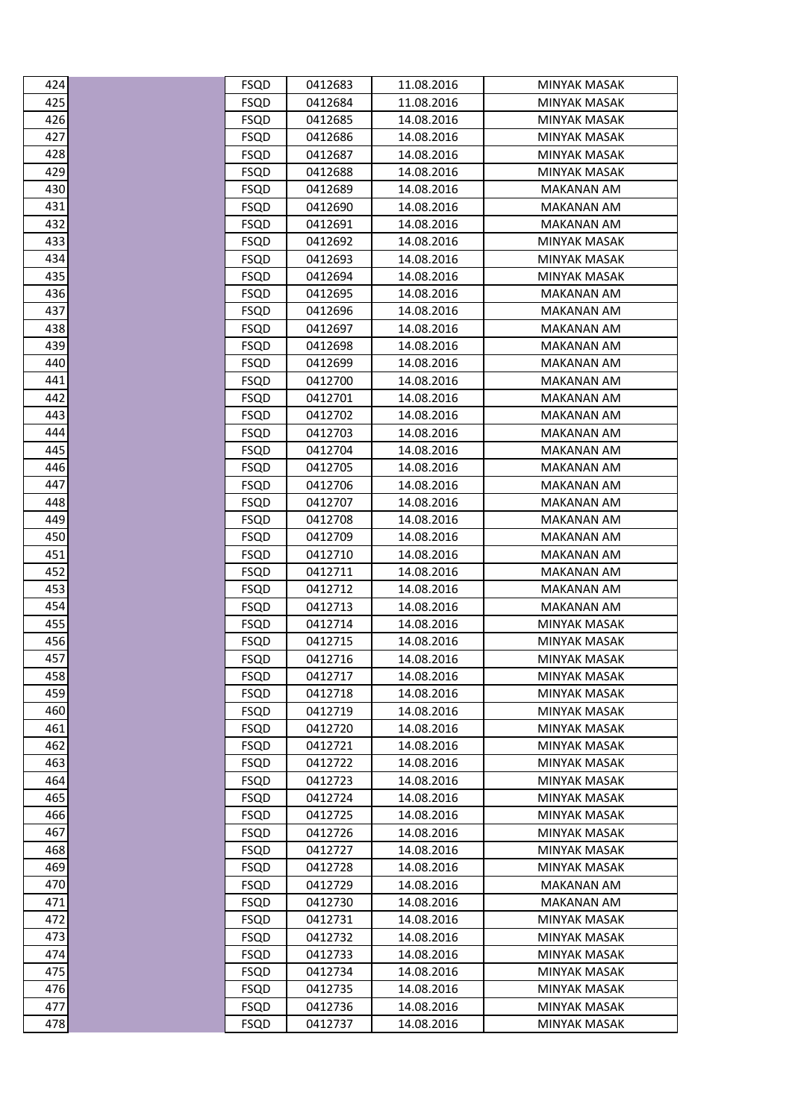| 424 | FSQD        | 0412683 | 11.08.2016 | MINYAK MASAK        |
|-----|-------------|---------|------------|---------------------|
| 425 | <b>FSQD</b> | 0412684 | 11.08.2016 | <b>MINYAK MASAK</b> |
| 426 | <b>FSQD</b> | 0412685 | 14.08.2016 | <b>MINYAK MASAK</b> |
| 427 | FSQD        | 0412686 | 14.08.2016 | MINYAK MASAK        |
| 428 | <b>FSQD</b> | 0412687 | 14.08.2016 | <b>MINYAK MASAK</b> |
| 429 | <b>FSQD</b> | 0412688 | 14.08.2016 | <b>MINYAK MASAK</b> |
| 430 | FSQD        | 0412689 | 14.08.2016 | MAKANAN AM          |
| 431 | <b>FSQD</b> | 0412690 | 14.08.2016 | <b>MAKANAN AM</b>   |
| 432 | FSQD        | 0412691 | 14.08.2016 | MAKANAN AM          |
| 433 | <b>FSQD</b> | 0412692 | 14.08.2016 | MINYAK MASAK        |
| 434 | <b>FSQD</b> | 0412693 | 14.08.2016 | <b>MINYAK MASAK</b> |
| 435 | <b>FSQD</b> | 0412694 | 14.08.2016 | MINYAK MASAK        |
| 436 | <b>FSQD</b> | 0412695 | 14.08.2016 | MAKANAN AM          |
| 437 | <b>FSQD</b> | 0412696 | 14.08.2016 | <b>MAKANAN AM</b>   |
| 438 | FSQD        | 0412697 | 14.08.2016 | MAKANAN AM          |
| 439 | <b>FSQD</b> | 0412698 | 14.08.2016 | MAKANAN AM          |
| 440 | <b>FSQD</b> | 0412699 | 14.08.2016 | <b>MAKANAN AM</b>   |
| 441 | <b>FSQD</b> | 0412700 | 14.08.2016 | MAKANAN AM          |
| 442 | <b>FSQD</b> | 0412701 | 14.08.2016 | <b>MAKANAN AM</b>   |
| 443 | FSQD        | 0412702 | 14.08.2016 | MAKANAN AM          |
| 444 | <b>FSQD</b> | 0412703 | 14.08.2016 | <b>MAKANAN AM</b>   |
| 445 | <b>FSQD</b> | 0412704 | 14.08.2016 | MAKANAN AM          |
| 446 | <b>FSQD</b> | 0412705 | 14.08.2016 | MAKANAN AM          |
| 447 | <b>FSQD</b> | 0412706 | 14.08.2016 | MAKANAN AM          |
| 448 | <b>FSQD</b> | 0412707 | 14.08.2016 | <b>MAKANAN AM</b>   |
| 449 | FSQD        | 0412708 | 14.08.2016 | MAKANAN AM          |
| 450 | <b>FSQD</b> | 0412709 | 14.08.2016 | MAKANAN AM          |
| 451 | <b>FSQD</b> | 0412710 | 14.08.2016 | <b>MAKANAN AM</b>   |
| 452 | <b>FSQD</b> | 0412711 | 14.08.2016 | MAKANAN AM          |
| 453 | <b>FSQD</b> | 0412712 | 14.08.2016 | <b>MAKANAN AM</b>   |
| 454 | FSQD        | 0412713 | 14.08.2016 | MAKANAN AM          |
| 455 | <b>FSQD</b> | 0412714 | 14.08.2016 | <b>MINYAK MASAK</b> |
| 456 | <b>FSQD</b> | 0412715 | 14.08.2016 | <b>MINYAK MASAK</b> |
| 457 | <b>FSQD</b> | 0412716 | 14.08.2016 | MINYAK MASAK        |
| 458 | <b>FSQD</b> | 0412717 | 14.08.2016 | <b>MINYAK MASAK</b> |
| 459 | <b>FSQD</b> | 0412718 | 14.08.2016 | <b>MINYAK MASAK</b> |
| 460 | FSQD        | 0412719 | 14.08.2016 | <b>MINYAK MASAK</b> |
| 461 | <b>FSQD</b> | 0412720 | 14.08.2016 | <b>MINYAK MASAK</b> |
| 462 | <b>FSQD</b> | 0412721 | 14.08.2016 | <b>MINYAK MASAK</b> |
| 463 | FSQD        | 0412722 | 14.08.2016 | <b>MINYAK MASAK</b> |
| 464 | <b>FSQD</b> | 0412723 | 14.08.2016 | <b>MINYAK MASAK</b> |
| 465 | <b>FSQD</b> | 0412724 | 14.08.2016 | <b>MINYAK MASAK</b> |
| 466 | <b>FSQD</b> | 0412725 | 14.08.2016 | <b>MINYAK MASAK</b> |
| 467 | <b>FSQD</b> | 0412726 | 14.08.2016 | <b>MINYAK MASAK</b> |
| 468 | <b>FSQD</b> | 0412727 | 14.08.2016 | MINYAK MASAK        |
| 469 | <b>FSQD</b> | 0412728 | 14.08.2016 | <b>MINYAK MASAK</b> |
| 470 | <b>FSQD</b> | 0412729 | 14.08.2016 | <b>MAKANAN AM</b>   |
| 471 | FSQD        | 0412730 | 14.08.2016 | MAKANAN AM          |
| 472 | <b>FSQD</b> | 0412731 | 14.08.2016 | MINYAK MASAK        |
| 473 | <b>FSQD</b> | 0412732 | 14.08.2016 | <b>MINYAK MASAK</b> |
| 474 | <b>FSQD</b> | 0412733 | 14.08.2016 | MINYAK MASAK        |
| 475 | <b>FSQD</b> | 0412734 | 14.08.2016 | MINYAK MASAK        |
| 476 | <b>FSQD</b> | 0412735 | 14.08.2016 | <b>MINYAK MASAK</b> |
| 477 | <b>FSQD</b> | 0412736 | 14.08.2016 | <b>MINYAK MASAK</b> |
| 478 | <b>FSQD</b> | 0412737 | 14.08.2016 | <b>MINYAK MASAK</b> |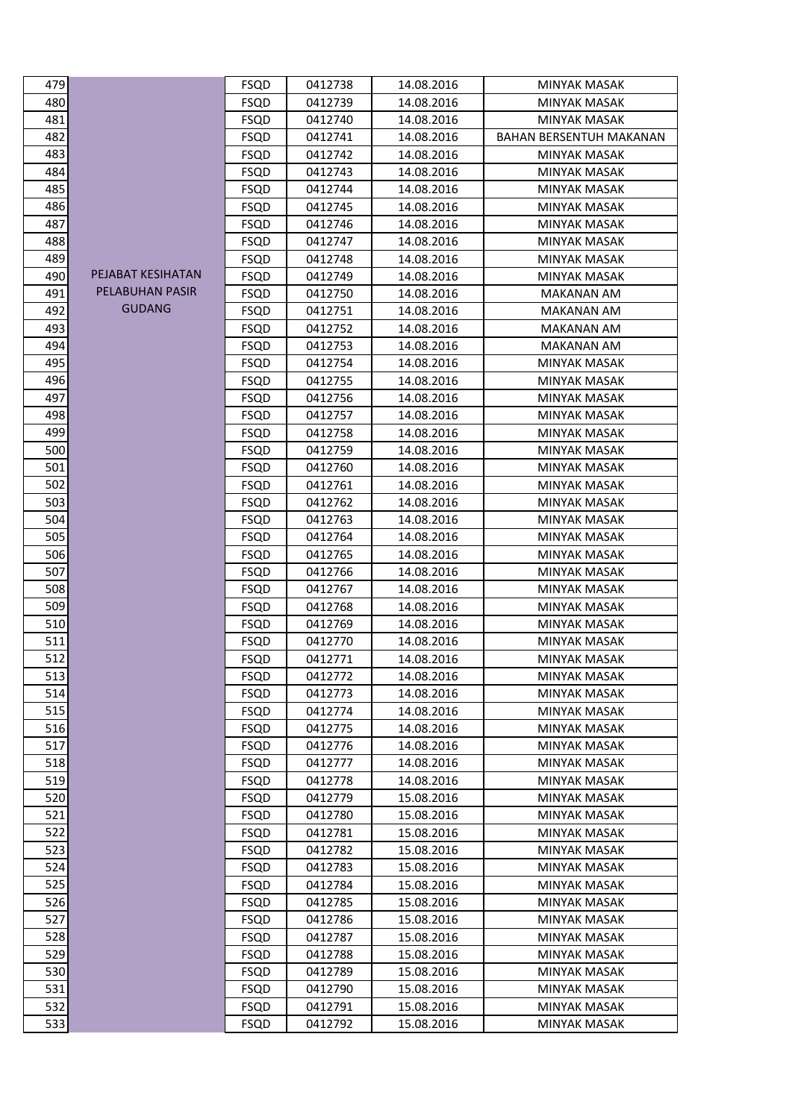| 479 |                   | FSQD        | 0412738 | 14.08.2016 | MINYAK MASAK                   |
|-----|-------------------|-------------|---------|------------|--------------------------------|
| 480 |                   | <b>FSQD</b> | 0412739 | 14.08.2016 | <b>MINYAK MASAK</b>            |
| 481 |                   | <b>FSQD</b> | 0412740 | 14.08.2016 | <b>MINYAK MASAK</b>            |
| 482 |                   | <b>FSQD</b> | 0412741 | 14.08.2016 | <b>BAHAN BERSENTUH MAKANAN</b> |
| 483 |                   | FSQD        | 0412742 | 14.08.2016 | MINYAK MASAK                   |
| 484 |                   | <b>FSQD</b> | 0412743 | 14.08.2016 | MINYAK MASAK                   |
| 485 |                   | <b>FSQD</b> | 0412744 | 14.08.2016 | <b>MINYAK MASAK</b>            |
| 486 |                   | FSQD        | 0412745 | 14.08.2016 | MINYAK MASAK                   |
| 487 |                   | <b>FSQD</b> | 0412746 | 14.08.2016 | MINYAK MASAK                   |
| 488 |                   | <b>FSQD</b> | 0412747 | 14.08.2016 | <b>MINYAK MASAK</b>            |
| 489 |                   | <b>FSQD</b> | 0412748 | 14.08.2016 | MINYAK MASAK                   |
| 490 | PEJABAT KESIHATAN | <b>FSQD</b> | 0412749 | 14.08.2016 | <b>MINYAK MASAK</b>            |
| 491 | PELABUHAN PASIR   | <b>FSQD</b> | 0412750 | 14.08.2016 | <b>MAKANAN AM</b>              |
| 492 | <b>GUDANG</b>     | <b>FSQD</b> | 0412751 | 14.08.2016 | MAKANAN AM                     |
| 493 |                   | FSQD        | 0412752 | 14.08.2016 | MAKANAN AM                     |
| 494 |                   | <b>FSQD</b> | 0412753 | 14.08.2016 | MAKANAN AM                     |
| 495 |                   | <b>FSQD</b> | 0412754 | 14.08.2016 | MINYAK MASAK                   |
| 496 |                   | <b>FSQD</b> | 0412755 | 14.08.2016 | <b>MINYAK MASAK</b>            |
| 497 |                   | FSQD        | 0412756 | 14.08.2016 | MINYAK MASAK                   |
| 498 |                   | <b>FSQD</b> | 0412757 | 14.08.2016 | <b>MINYAK MASAK</b>            |
| 499 |                   | <b>FSQD</b> | 0412758 | 14.08.2016 | <b>MINYAK MASAK</b>            |
| 500 |                   | FSQD        | 0412759 | 14.08.2016 | MINYAK MASAK                   |
| 501 |                   | <b>FSQD</b> | 0412760 | 14.08.2016 | MINYAK MASAK                   |
| 502 |                   | <b>FSQD</b> | 0412761 | 14.08.2016 | <b>MINYAK MASAK</b>            |
| 503 |                   | <b>FSQD</b> | 0412762 | 14.08.2016 | MINYAK MASAK                   |
| 504 |                   | <b>FSQD</b> | 0412763 | 14.08.2016 | MINYAK MASAK                   |
| 505 |                   | <b>FSQD</b> | 0412764 | 14.08.2016 | MINYAK MASAK                   |
| 506 |                   | FSQD        | 0412765 | 14.08.2016 | MINYAK MASAK                   |
| 507 |                   | <b>FSQD</b> | 0412766 | 14.08.2016 | <b>MINYAK MASAK</b>            |
| 508 |                   | FSQD        | 0412767 | 14.08.2016 | MINYAK MASAK                   |
| 509 |                   | <b>FSQD</b> | 0412768 | 14.08.2016 | <b>MINYAK MASAK</b>            |
| 510 |                   | <b>FSQD</b> | 0412769 | 14.08.2016 | <b>MINYAK MASAK</b>            |
| 511 |                   | FSQD        | 0412770 | 14.08.2016 | MINYAK MASAK                   |
| 512 |                   | <b>FSQD</b> | 0412771 | 14.08.2016 | <b>MINYAK MASAK</b>            |
| 513 |                   | <b>FSQD</b> | 0412772 | 14.08.2016 | <b>MINYAK MASAK</b>            |
| 514 |                   | <b>FSQD</b> | 0412773 | 14.08.2016 | MINYAK MASAK                   |
| 515 |                   | <b>FSQD</b> | 0412774 | 14.08.2016 | MINYAK MASAK                   |
| 516 |                   | <b>FSQD</b> | 0412775 | 14.08.2016 | MINYAK MASAK                   |
| 517 |                   | <b>FSQD</b> | 0412776 | 14.08.2016 | <b>MINYAK MASAK</b>            |
| 518 |                   | <b>FSQD</b> | 0412777 | 14.08.2016 | <b>MINYAK MASAK</b>            |
| 519 |                   | FSQD        | 0412778 | 14.08.2016 | <b>MINYAK MASAK</b>            |
| 520 |                   | <b>FSQD</b> | 0412779 | 15.08.2016 | <b>MINYAK MASAK</b>            |
| 521 |                   | <b>FSQD</b> | 0412780 | 15.08.2016 | <b>MINYAK MASAK</b>            |
| 522 |                   | <b>FSQD</b> | 0412781 | 15.08.2016 | <b>MINYAK MASAK</b>            |
| 523 |                   | <b>FSQD</b> | 0412782 | 15.08.2016 | <b>MINYAK MASAK</b>            |
| 524 |                   | <b>FSQD</b> | 0412783 | 15.08.2016 | <b>MINYAK MASAK</b>            |
| 525 |                   | <b>FSQD</b> | 0412784 | 15.08.2016 | <b>MINYAK MASAK</b>            |
| 526 |                   | <b>FSQD</b> | 0412785 | 15.08.2016 | <b>MINYAK MASAK</b>            |
| 527 |                   | <b>FSQD</b> | 0412786 | 15.08.2016 | <b>MINYAK MASAK</b>            |
| 528 |                   | FSQD        | 0412787 | 15.08.2016 | <b>MINYAK MASAK</b>            |
| 529 |                   | <b>FSQD</b> | 0412788 | 15.08.2016 | <b>MINYAK MASAK</b>            |
| 530 |                   | <b>FSQD</b> | 0412789 | 15.08.2016 | MINYAK MASAK                   |
| 531 |                   | <b>FSQD</b> | 0412790 | 15.08.2016 | <b>MINYAK MASAK</b>            |
| 532 |                   | <b>FSQD</b> | 0412791 | 15.08.2016 | MINYAK MASAK                   |
| 533 |                   | <b>FSQD</b> | 0412792 | 15.08.2016 | <b>MINYAK MASAK</b>            |
|     |                   |             |         |            |                                |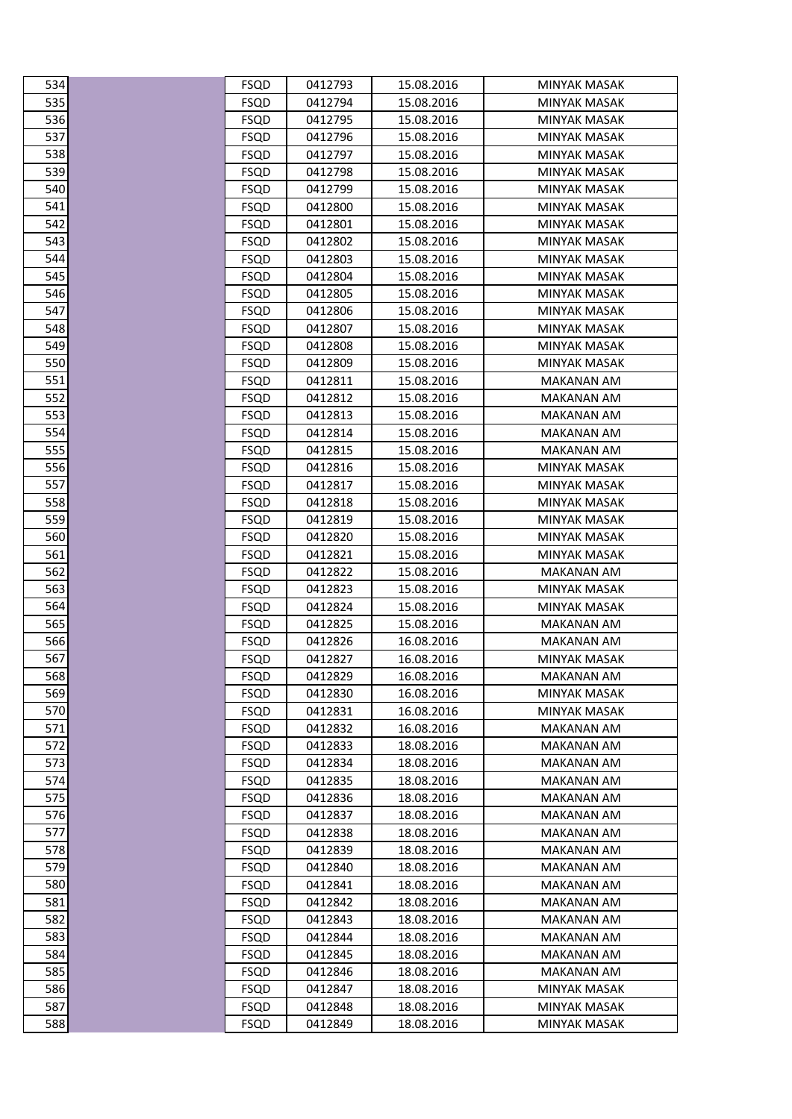| 534 | FSQD        | 0412793 | 15.08.2016 | MINYAK MASAK        |
|-----|-------------|---------|------------|---------------------|
| 535 | <b>FSQD</b> | 0412794 | 15.08.2016 | <b>MINYAK MASAK</b> |
| 536 | <b>FSQD</b> | 0412795 | 15.08.2016 | <b>MINYAK MASAK</b> |
| 537 | FSQD        | 0412796 | 15.08.2016 | MINYAK MASAK        |
| 538 | <b>FSQD</b> | 0412797 | 15.08.2016 | <b>MINYAK MASAK</b> |
| 539 | <b>FSQD</b> | 0412798 | 15.08.2016 | MINYAK MASAK        |
| 540 | <b>FSQD</b> | 0412799 | 15.08.2016 | MINYAK MASAK        |
| 541 | <b>FSQD</b> | 0412800 | 15.08.2016 | <b>MINYAK MASAK</b> |
| 542 | FSQD        | 0412801 | 15.08.2016 | <b>MINYAK MASAK</b> |
| 543 | <b>FSQD</b> | 0412802 | 15.08.2016 | <b>MINYAK MASAK</b> |
| 544 | <b>FSQD</b> | 0412803 | 15.08.2016 | <b>MINYAK MASAK</b> |
| 545 | <b>FSQD</b> | 0412804 | 15.08.2016 | MINYAK MASAK        |
| 546 | <b>FSQD</b> | 0412805 | 15.08.2016 | MINYAK MASAK        |
| 547 | <b>FSQD</b> | 0412806 | 15.08.2016 | <b>MINYAK MASAK</b> |
| 548 | <b>FSQD</b> | 0412807 | 15.08.2016 | MINYAK MASAK        |
| 549 | <b>FSQD</b> | 0412808 | 15.08.2016 | <b>MINYAK MASAK</b> |
| 550 | <b>FSQD</b> | 0412809 | 15.08.2016 | <b>MINYAK MASAK</b> |
| 551 | <b>FSQD</b> | 0412811 | 15.08.2016 | MAKANAN AM          |
| 552 | <b>FSQD</b> | 0412812 | 15.08.2016 | <b>MAKANAN AM</b>   |
| 553 | FSQD        | 0412813 | 15.08.2016 | <b>MAKANAN AM</b>   |
| 554 | <b>FSQD</b> | 0412814 | 15.08.2016 | MAKANAN AM          |
| 555 | <b>FSQD</b> | 0412815 | 15.08.2016 | <b>MAKANAN AM</b>   |
| 556 | <b>FSQD</b> | 0412816 | 15.08.2016 | MINYAK MASAK        |
| 557 | <b>FSQD</b> | 0412817 | 15.08.2016 | MINYAK MASAK        |
| 558 | <b>FSQD</b> | 0412818 | 15.08.2016 | <b>MINYAK MASAK</b> |
| 559 | <b>FSQD</b> | 0412819 | 15.08.2016 | MINYAK MASAK        |
| 560 | <b>FSQD</b> | 0412820 | 15.08.2016 | MINYAK MASAK        |
| 561 | <b>FSQD</b> | 0412821 | 15.08.2016 | MINYAK MASAK        |
| 562 | <b>FSQD</b> | 0412822 | 15.08.2016 | MAKANAN AM          |
| 563 | <b>FSQD</b> | 0412823 | 15.08.2016 | <b>MINYAK MASAK</b> |
| 564 | <b>FSQD</b> | 0412824 | 15.08.2016 | MINYAK MASAK        |
| 565 | <b>FSQD</b> | 0412825 | 15.08.2016 | MAKANAN AM          |
| 566 | <b>FSQD</b> | 0412826 | 16.08.2016 | <b>MAKANAN AM</b>   |
| 567 | <b>FSQD</b> | 0412827 | 16.08.2016 | <b>MINYAK MASAK</b> |
| 568 | <b>FSQD</b> | 0412829 | 16.08.2016 | <b>MAKANAN AM</b>   |
| 569 | <b>FSQD</b> | 0412830 | 16.08.2016 | <b>MINYAK MASAK</b> |
| 570 | <b>FSQD</b> | 0412831 | 16.08.2016 | MINYAK MASAK        |
| 571 | <b>FSQD</b> | 0412832 | 16.08.2016 | MAKANAN AM          |
| 572 | <b>FSQD</b> | 0412833 | 18.08.2016 | MAKANAN AM          |
| 573 | <b>FSQD</b> | 0412834 | 18.08.2016 | <b>MAKANAN AM</b>   |
| 574 | <b>FSQD</b> | 0412835 | 18.08.2016 | <b>MAKANAN AM</b>   |
| 575 | <b>FSQD</b> | 0412836 | 18.08.2016 | <b>MAKANAN AM</b>   |
| 576 | <b>FSQD</b> | 0412837 | 18.08.2016 | MAKANAN AM          |
| 577 | <b>FSQD</b> | 0412838 | 18.08.2016 | <b>MAKANAN AM</b>   |
| 578 | <b>FSQD</b> | 0412839 | 18.08.2016 | MAKANAN AM          |
| 579 | <b>FSQD</b> | 0412840 | 18.08.2016 | MAKANAN AM          |
| 580 | <b>FSQD</b> | 0412841 | 18.08.2016 | <b>MAKANAN AM</b>   |
| 581 | <b>FSQD</b> | 0412842 | 18.08.2016 | <b>MAKANAN AM</b>   |
| 582 | <b>FSQD</b> | 0412843 | 18.08.2016 | <b>MAKANAN AM</b>   |
| 583 | <b>FSQD</b> | 0412844 | 18.08.2016 | MAKANAN AM          |
| 584 | <b>FSQD</b> | 0412845 | 18.08.2016 | <b>MAKANAN AM</b>   |
| 585 | <b>FSQD</b> | 0412846 | 18.08.2016 | MAKANAN AM          |
| 586 | <b>FSQD</b> | 0412847 | 18.08.2016 | MINYAK MASAK        |
| 587 | <b>FSQD</b> | 0412848 | 18.08.2016 | <b>MINYAK MASAK</b> |
| 588 | <b>FSQD</b> | 0412849 | 18.08.2016 | <b>MINYAK MASAK</b> |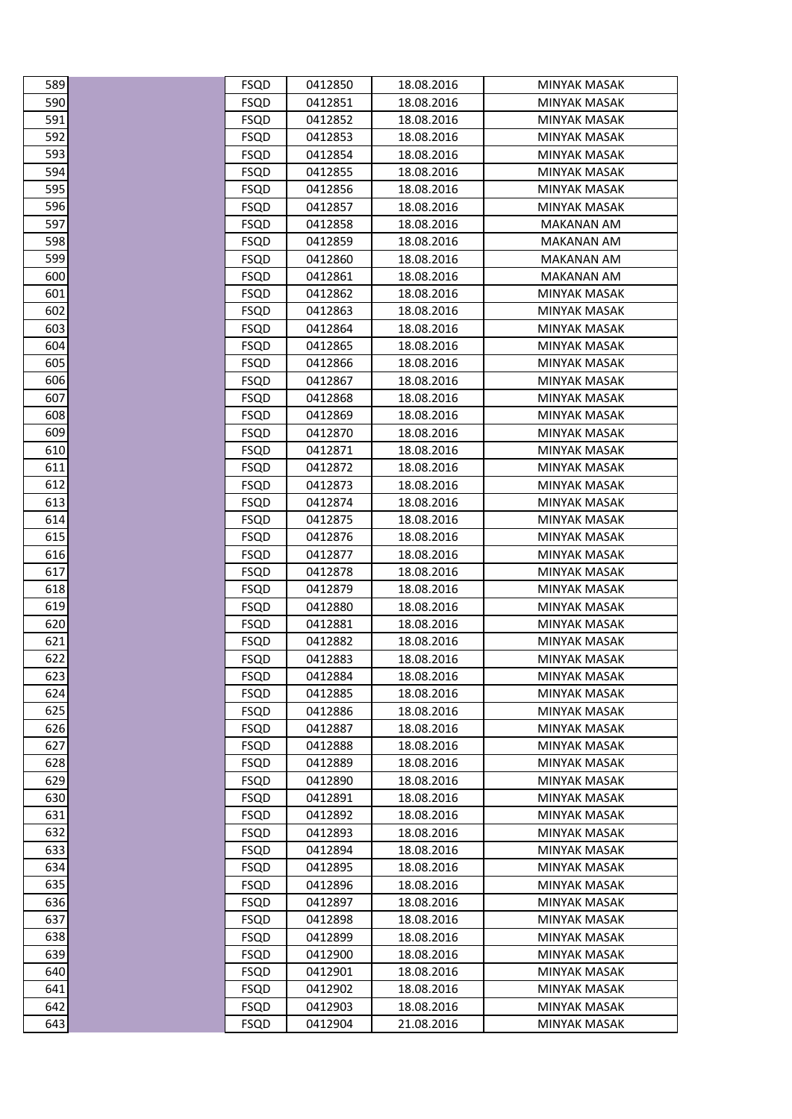| <b>FSQD</b><br>0412851<br>18.08.2016<br><b>MINYAK MASAK</b><br>0412852<br>18.08.2016<br><b>MINYAK MASAK</b><br><b>FSQD</b><br><b>FSQD</b><br>0412853<br>18.08.2016<br>MINYAK MASAK<br><b>FSQD</b><br>0412854<br>18.08.2016<br><b>MINYAK MASAK</b><br><b>FSQD</b><br>0412855<br>18.08.2016<br><b>MINYAK MASAK</b><br>0412856<br>18.08.2016<br><b>FSQD</b><br>MINYAK MASAK<br><b>FSQD</b><br>0412857<br>18.08.2016<br><b>MINYAK MASAK</b><br>18.08.2016<br><b>FSQD</b><br>0412858<br>MAKANAN AM<br>0412859<br>18.08.2016<br><b>FSQD</b><br>MAKANAN AM<br><b>FSQD</b><br>0412860<br>18.08.2016<br><b>MAKANAN AM</b><br><b>FSQD</b><br>0412861<br>18.08.2016<br>MAKANAN AM<br>0412862<br>18.08.2016<br><b>FSQD</b><br>MINYAK MASAK<br><b>FSQD</b><br>0412863<br>18.08.2016<br><b>MINYAK MASAK</b><br><b>FSQD</b><br>0412864<br>18.08.2016<br>MINYAK MASAK<br><b>FSQD</b><br>0412865<br>18.08.2016<br><b>MINYAK MASAK</b><br><b>FSQD</b><br>0412866<br>18.08.2016<br><b>MINYAK MASAK</b><br>606<br>0412867<br>18.08.2016<br><b>FSQD</b><br>MINYAK MASAK<br>607<br><b>FSQD</b><br>0412868<br>18.08.2016<br><b>MINYAK MASAK</b><br>608<br>18.08.2016<br><b>FSQD</b><br>0412869<br>MINYAK MASAK<br>609<br>0412870<br>18.08.2016<br><b>FSQD</b><br>MINYAK MASAK<br>610<br><b>FSQD</b><br>0412871<br>18.08.2016<br><b>MINYAK MASAK</b><br>611<br>FSQD<br>0412872<br>18.08.2016<br>MINYAK MASAK<br>612<br>0412873<br>18.08.2016<br><b>FSQD</b><br>MINYAK MASAK<br>613<br><b>FSQD</b><br>0412874<br>18.08.2016<br><b>MINYAK MASAK</b><br>614<br><b>FSQD</b><br>0412875<br>18.08.2016<br>MINYAK MASAK<br>615<br><b>FSQD</b><br>0412876<br>18.08.2016<br>MINYAK MASAK<br>616<br><b>FSQD</b><br>0412877<br>18.08.2016<br>MINYAK MASAK<br>617<br>0412878<br>18.08.2016<br><b>FSQD</b><br>MINYAK MASAK<br>618<br><b>FSQD</b><br>0412879<br>18.08.2016<br><b>MINYAK MASAK</b><br>619<br>18.08.2016<br><b>FSQD</b><br>0412880<br>MINYAK MASAK<br>620<br>0412881<br>18.08.2016<br><b>FSQD</b><br>MINYAK MASAK<br>621<br><b>FSQD</b><br>0412882<br>18.08.2016<br><b>MINYAK MASAK</b><br><b>FSQD</b><br>0412883<br>18.08.2016<br>MINYAK MASAK<br><b>FSQD</b><br>0412884<br>18.08.2016<br>MINYAK MASAK<br><b>FSQD</b><br>0412885<br>18.08.2016<br><b>MINYAK MASAK</b><br>18.08.2016<br><b>FSQD</b><br>0412886<br>MINYAK MASAK<br><b>FSQD</b><br>0412887<br>18.08.2016<br><b>MINYAK MASAK</b><br><b>FSQD</b><br>0412888<br>18.08.2016<br>MINYAK MASAK<br>0412889<br>18.08.2016<br><b>MINYAK MASAK</b><br><b>FSQD</b><br><b>FSQD</b><br>0412890<br>18.08.2016<br><b>MINYAK MASAK</b><br>18.08.2016<br><b>FSQD</b><br>0412891<br><b>MINYAK MASAK</b><br><b>FSQD</b><br>0412892<br>18.08.2016<br>MINYAK MASAK<br>0412893<br>18.08.2016<br><b>FSQD</b><br>MINYAK MASAK<br>633<br>18.08.2016<br><b>FSQD</b><br>0412894<br>MINYAK MASAK<br>634<br>0412895<br>18.08.2016<br><b>FSQD</b><br>MINYAK MASAK<br>635<br>0412896<br>18.08.2016<br><b>MINYAK MASAK</b><br><b>FSQD</b><br>636<br>18.08.2016<br><b>FSQD</b><br>0412897<br>MINYAK MASAK<br>637<br><b>FSQD</b><br>0412898<br>18.08.2016<br>MINYAK MASAK<br>638<br>18.08.2016<br><b>FSQD</b><br>0412899<br>MINYAK MASAK<br>639<br>0412900<br>18.08.2016<br><b>MINYAK MASAK</b><br><b>FSQD</b><br>640<br>0412901<br>18.08.2016<br><b>MINYAK MASAK</b><br><b>FSQD</b><br>641<br>18.08.2016<br><b>FSQD</b><br>0412902<br><b>MINYAK MASAK</b><br>642<br>0412903<br>18.08.2016<br><b>FSQD</b><br>MINYAK MASAK<br><b>FSQD</b><br>0412904<br>21.08.2016<br><b>MINYAK MASAK</b> | 589 | <b>FSQD</b> | 0412850 | 18.08.2016 | MINYAK MASAK |
|---------------------------------------------------------------------------------------------------------------------------------------------------------------------------------------------------------------------------------------------------------------------------------------------------------------------------------------------------------------------------------------------------------------------------------------------------------------------------------------------------------------------------------------------------------------------------------------------------------------------------------------------------------------------------------------------------------------------------------------------------------------------------------------------------------------------------------------------------------------------------------------------------------------------------------------------------------------------------------------------------------------------------------------------------------------------------------------------------------------------------------------------------------------------------------------------------------------------------------------------------------------------------------------------------------------------------------------------------------------------------------------------------------------------------------------------------------------------------------------------------------------------------------------------------------------------------------------------------------------------------------------------------------------------------------------------------------------------------------------------------------------------------------------------------------------------------------------------------------------------------------------------------------------------------------------------------------------------------------------------------------------------------------------------------------------------------------------------------------------------------------------------------------------------------------------------------------------------------------------------------------------------------------------------------------------------------------------------------------------------------------------------------------------------------------------------------------------------------------------------------------------------------------------------------------------------------------------------------------------------------------------------------------------------------------------------------------------------------------------------------------------------------------------------------------------------------------------------------------------------------------------------------------------------------------------------------------------------------------------------------------------------------------------------------------------------------------------------------------------------------------------------------------------------------------------------------------------------------------------------------------------------------------------------------------------------------------------------------------------------------------------------------------------------------------------------------------------------------------------------|-----|-------------|---------|------------|--------------|
|                                                                                                                                                                                                                                                                                                                                                                                                                                                                                                                                                                                                                                                                                                                                                                                                                                                                                                                                                                                                                                                                                                                                                                                                                                                                                                                                                                                                                                                                                                                                                                                                                                                                                                                                                                                                                                                                                                                                                                                                                                                                                                                                                                                                                                                                                                                                                                                                                                                                                                                                                                                                                                                                                                                                                                                                                                                                                                                                                                                                                                                                                                                                                                                                                                                                                                                                                                                                                                                                                             | 590 |             |         |            |              |
|                                                                                                                                                                                                                                                                                                                                                                                                                                                                                                                                                                                                                                                                                                                                                                                                                                                                                                                                                                                                                                                                                                                                                                                                                                                                                                                                                                                                                                                                                                                                                                                                                                                                                                                                                                                                                                                                                                                                                                                                                                                                                                                                                                                                                                                                                                                                                                                                                                                                                                                                                                                                                                                                                                                                                                                                                                                                                                                                                                                                                                                                                                                                                                                                                                                                                                                                                                                                                                                                                             | 591 |             |         |            |              |
|                                                                                                                                                                                                                                                                                                                                                                                                                                                                                                                                                                                                                                                                                                                                                                                                                                                                                                                                                                                                                                                                                                                                                                                                                                                                                                                                                                                                                                                                                                                                                                                                                                                                                                                                                                                                                                                                                                                                                                                                                                                                                                                                                                                                                                                                                                                                                                                                                                                                                                                                                                                                                                                                                                                                                                                                                                                                                                                                                                                                                                                                                                                                                                                                                                                                                                                                                                                                                                                                                             | 592 |             |         |            |              |
|                                                                                                                                                                                                                                                                                                                                                                                                                                                                                                                                                                                                                                                                                                                                                                                                                                                                                                                                                                                                                                                                                                                                                                                                                                                                                                                                                                                                                                                                                                                                                                                                                                                                                                                                                                                                                                                                                                                                                                                                                                                                                                                                                                                                                                                                                                                                                                                                                                                                                                                                                                                                                                                                                                                                                                                                                                                                                                                                                                                                                                                                                                                                                                                                                                                                                                                                                                                                                                                                                             | 593 |             |         |            |              |
|                                                                                                                                                                                                                                                                                                                                                                                                                                                                                                                                                                                                                                                                                                                                                                                                                                                                                                                                                                                                                                                                                                                                                                                                                                                                                                                                                                                                                                                                                                                                                                                                                                                                                                                                                                                                                                                                                                                                                                                                                                                                                                                                                                                                                                                                                                                                                                                                                                                                                                                                                                                                                                                                                                                                                                                                                                                                                                                                                                                                                                                                                                                                                                                                                                                                                                                                                                                                                                                                                             | 594 |             |         |            |              |
|                                                                                                                                                                                                                                                                                                                                                                                                                                                                                                                                                                                                                                                                                                                                                                                                                                                                                                                                                                                                                                                                                                                                                                                                                                                                                                                                                                                                                                                                                                                                                                                                                                                                                                                                                                                                                                                                                                                                                                                                                                                                                                                                                                                                                                                                                                                                                                                                                                                                                                                                                                                                                                                                                                                                                                                                                                                                                                                                                                                                                                                                                                                                                                                                                                                                                                                                                                                                                                                                                             | 595 |             |         |            |              |
|                                                                                                                                                                                                                                                                                                                                                                                                                                                                                                                                                                                                                                                                                                                                                                                                                                                                                                                                                                                                                                                                                                                                                                                                                                                                                                                                                                                                                                                                                                                                                                                                                                                                                                                                                                                                                                                                                                                                                                                                                                                                                                                                                                                                                                                                                                                                                                                                                                                                                                                                                                                                                                                                                                                                                                                                                                                                                                                                                                                                                                                                                                                                                                                                                                                                                                                                                                                                                                                                                             | 596 |             |         |            |              |
|                                                                                                                                                                                                                                                                                                                                                                                                                                                                                                                                                                                                                                                                                                                                                                                                                                                                                                                                                                                                                                                                                                                                                                                                                                                                                                                                                                                                                                                                                                                                                                                                                                                                                                                                                                                                                                                                                                                                                                                                                                                                                                                                                                                                                                                                                                                                                                                                                                                                                                                                                                                                                                                                                                                                                                                                                                                                                                                                                                                                                                                                                                                                                                                                                                                                                                                                                                                                                                                                                             | 597 |             |         |            |              |
|                                                                                                                                                                                                                                                                                                                                                                                                                                                                                                                                                                                                                                                                                                                                                                                                                                                                                                                                                                                                                                                                                                                                                                                                                                                                                                                                                                                                                                                                                                                                                                                                                                                                                                                                                                                                                                                                                                                                                                                                                                                                                                                                                                                                                                                                                                                                                                                                                                                                                                                                                                                                                                                                                                                                                                                                                                                                                                                                                                                                                                                                                                                                                                                                                                                                                                                                                                                                                                                                                             | 598 |             |         |            |              |
|                                                                                                                                                                                                                                                                                                                                                                                                                                                                                                                                                                                                                                                                                                                                                                                                                                                                                                                                                                                                                                                                                                                                                                                                                                                                                                                                                                                                                                                                                                                                                                                                                                                                                                                                                                                                                                                                                                                                                                                                                                                                                                                                                                                                                                                                                                                                                                                                                                                                                                                                                                                                                                                                                                                                                                                                                                                                                                                                                                                                                                                                                                                                                                                                                                                                                                                                                                                                                                                                                             | 599 |             |         |            |              |
|                                                                                                                                                                                                                                                                                                                                                                                                                                                                                                                                                                                                                                                                                                                                                                                                                                                                                                                                                                                                                                                                                                                                                                                                                                                                                                                                                                                                                                                                                                                                                                                                                                                                                                                                                                                                                                                                                                                                                                                                                                                                                                                                                                                                                                                                                                                                                                                                                                                                                                                                                                                                                                                                                                                                                                                                                                                                                                                                                                                                                                                                                                                                                                                                                                                                                                                                                                                                                                                                                             | 600 |             |         |            |              |
|                                                                                                                                                                                                                                                                                                                                                                                                                                                                                                                                                                                                                                                                                                                                                                                                                                                                                                                                                                                                                                                                                                                                                                                                                                                                                                                                                                                                                                                                                                                                                                                                                                                                                                                                                                                                                                                                                                                                                                                                                                                                                                                                                                                                                                                                                                                                                                                                                                                                                                                                                                                                                                                                                                                                                                                                                                                                                                                                                                                                                                                                                                                                                                                                                                                                                                                                                                                                                                                                                             | 601 |             |         |            |              |
|                                                                                                                                                                                                                                                                                                                                                                                                                                                                                                                                                                                                                                                                                                                                                                                                                                                                                                                                                                                                                                                                                                                                                                                                                                                                                                                                                                                                                                                                                                                                                                                                                                                                                                                                                                                                                                                                                                                                                                                                                                                                                                                                                                                                                                                                                                                                                                                                                                                                                                                                                                                                                                                                                                                                                                                                                                                                                                                                                                                                                                                                                                                                                                                                                                                                                                                                                                                                                                                                                             | 602 |             |         |            |              |
|                                                                                                                                                                                                                                                                                                                                                                                                                                                                                                                                                                                                                                                                                                                                                                                                                                                                                                                                                                                                                                                                                                                                                                                                                                                                                                                                                                                                                                                                                                                                                                                                                                                                                                                                                                                                                                                                                                                                                                                                                                                                                                                                                                                                                                                                                                                                                                                                                                                                                                                                                                                                                                                                                                                                                                                                                                                                                                                                                                                                                                                                                                                                                                                                                                                                                                                                                                                                                                                                                             | 603 |             |         |            |              |
|                                                                                                                                                                                                                                                                                                                                                                                                                                                                                                                                                                                                                                                                                                                                                                                                                                                                                                                                                                                                                                                                                                                                                                                                                                                                                                                                                                                                                                                                                                                                                                                                                                                                                                                                                                                                                                                                                                                                                                                                                                                                                                                                                                                                                                                                                                                                                                                                                                                                                                                                                                                                                                                                                                                                                                                                                                                                                                                                                                                                                                                                                                                                                                                                                                                                                                                                                                                                                                                                                             | 604 |             |         |            |              |
|                                                                                                                                                                                                                                                                                                                                                                                                                                                                                                                                                                                                                                                                                                                                                                                                                                                                                                                                                                                                                                                                                                                                                                                                                                                                                                                                                                                                                                                                                                                                                                                                                                                                                                                                                                                                                                                                                                                                                                                                                                                                                                                                                                                                                                                                                                                                                                                                                                                                                                                                                                                                                                                                                                                                                                                                                                                                                                                                                                                                                                                                                                                                                                                                                                                                                                                                                                                                                                                                                             | 605 |             |         |            |              |
|                                                                                                                                                                                                                                                                                                                                                                                                                                                                                                                                                                                                                                                                                                                                                                                                                                                                                                                                                                                                                                                                                                                                                                                                                                                                                                                                                                                                                                                                                                                                                                                                                                                                                                                                                                                                                                                                                                                                                                                                                                                                                                                                                                                                                                                                                                                                                                                                                                                                                                                                                                                                                                                                                                                                                                                                                                                                                                                                                                                                                                                                                                                                                                                                                                                                                                                                                                                                                                                                                             |     |             |         |            |              |
|                                                                                                                                                                                                                                                                                                                                                                                                                                                                                                                                                                                                                                                                                                                                                                                                                                                                                                                                                                                                                                                                                                                                                                                                                                                                                                                                                                                                                                                                                                                                                                                                                                                                                                                                                                                                                                                                                                                                                                                                                                                                                                                                                                                                                                                                                                                                                                                                                                                                                                                                                                                                                                                                                                                                                                                                                                                                                                                                                                                                                                                                                                                                                                                                                                                                                                                                                                                                                                                                                             |     |             |         |            |              |
|                                                                                                                                                                                                                                                                                                                                                                                                                                                                                                                                                                                                                                                                                                                                                                                                                                                                                                                                                                                                                                                                                                                                                                                                                                                                                                                                                                                                                                                                                                                                                                                                                                                                                                                                                                                                                                                                                                                                                                                                                                                                                                                                                                                                                                                                                                                                                                                                                                                                                                                                                                                                                                                                                                                                                                                                                                                                                                                                                                                                                                                                                                                                                                                                                                                                                                                                                                                                                                                                                             |     |             |         |            |              |
|                                                                                                                                                                                                                                                                                                                                                                                                                                                                                                                                                                                                                                                                                                                                                                                                                                                                                                                                                                                                                                                                                                                                                                                                                                                                                                                                                                                                                                                                                                                                                                                                                                                                                                                                                                                                                                                                                                                                                                                                                                                                                                                                                                                                                                                                                                                                                                                                                                                                                                                                                                                                                                                                                                                                                                                                                                                                                                                                                                                                                                                                                                                                                                                                                                                                                                                                                                                                                                                                                             |     |             |         |            |              |
|                                                                                                                                                                                                                                                                                                                                                                                                                                                                                                                                                                                                                                                                                                                                                                                                                                                                                                                                                                                                                                                                                                                                                                                                                                                                                                                                                                                                                                                                                                                                                                                                                                                                                                                                                                                                                                                                                                                                                                                                                                                                                                                                                                                                                                                                                                                                                                                                                                                                                                                                                                                                                                                                                                                                                                                                                                                                                                                                                                                                                                                                                                                                                                                                                                                                                                                                                                                                                                                                                             |     |             |         |            |              |
|                                                                                                                                                                                                                                                                                                                                                                                                                                                                                                                                                                                                                                                                                                                                                                                                                                                                                                                                                                                                                                                                                                                                                                                                                                                                                                                                                                                                                                                                                                                                                                                                                                                                                                                                                                                                                                                                                                                                                                                                                                                                                                                                                                                                                                                                                                                                                                                                                                                                                                                                                                                                                                                                                                                                                                                                                                                                                                                                                                                                                                                                                                                                                                                                                                                                                                                                                                                                                                                                                             |     |             |         |            |              |
|                                                                                                                                                                                                                                                                                                                                                                                                                                                                                                                                                                                                                                                                                                                                                                                                                                                                                                                                                                                                                                                                                                                                                                                                                                                                                                                                                                                                                                                                                                                                                                                                                                                                                                                                                                                                                                                                                                                                                                                                                                                                                                                                                                                                                                                                                                                                                                                                                                                                                                                                                                                                                                                                                                                                                                                                                                                                                                                                                                                                                                                                                                                                                                                                                                                                                                                                                                                                                                                                                             |     |             |         |            |              |
|                                                                                                                                                                                                                                                                                                                                                                                                                                                                                                                                                                                                                                                                                                                                                                                                                                                                                                                                                                                                                                                                                                                                                                                                                                                                                                                                                                                                                                                                                                                                                                                                                                                                                                                                                                                                                                                                                                                                                                                                                                                                                                                                                                                                                                                                                                                                                                                                                                                                                                                                                                                                                                                                                                                                                                                                                                                                                                                                                                                                                                                                                                                                                                                                                                                                                                                                                                                                                                                                                             |     |             |         |            |              |
|                                                                                                                                                                                                                                                                                                                                                                                                                                                                                                                                                                                                                                                                                                                                                                                                                                                                                                                                                                                                                                                                                                                                                                                                                                                                                                                                                                                                                                                                                                                                                                                                                                                                                                                                                                                                                                                                                                                                                                                                                                                                                                                                                                                                                                                                                                                                                                                                                                                                                                                                                                                                                                                                                                                                                                                                                                                                                                                                                                                                                                                                                                                                                                                                                                                                                                                                                                                                                                                                                             |     |             |         |            |              |
|                                                                                                                                                                                                                                                                                                                                                                                                                                                                                                                                                                                                                                                                                                                                                                                                                                                                                                                                                                                                                                                                                                                                                                                                                                                                                                                                                                                                                                                                                                                                                                                                                                                                                                                                                                                                                                                                                                                                                                                                                                                                                                                                                                                                                                                                                                                                                                                                                                                                                                                                                                                                                                                                                                                                                                                                                                                                                                                                                                                                                                                                                                                                                                                                                                                                                                                                                                                                                                                                                             |     |             |         |            |              |
|                                                                                                                                                                                                                                                                                                                                                                                                                                                                                                                                                                                                                                                                                                                                                                                                                                                                                                                                                                                                                                                                                                                                                                                                                                                                                                                                                                                                                                                                                                                                                                                                                                                                                                                                                                                                                                                                                                                                                                                                                                                                                                                                                                                                                                                                                                                                                                                                                                                                                                                                                                                                                                                                                                                                                                                                                                                                                                                                                                                                                                                                                                                                                                                                                                                                                                                                                                                                                                                                                             |     |             |         |            |              |
|                                                                                                                                                                                                                                                                                                                                                                                                                                                                                                                                                                                                                                                                                                                                                                                                                                                                                                                                                                                                                                                                                                                                                                                                                                                                                                                                                                                                                                                                                                                                                                                                                                                                                                                                                                                                                                                                                                                                                                                                                                                                                                                                                                                                                                                                                                                                                                                                                                                                                                                                                                                                                                                                                                                                                                                                                                                                                                                                                                                                                                                                                                                                                                                                                                                                                                                                                                                                                                                                                             |     |             |         |            |              |
|                                                                                                                                                                                                                                                                                                                                                                                                                                                                                                                                                                                                                                                                                                                                                                                                                                                                                                                                                                                                                                                                                                                                                                                                                                                                                                                                                                                                                                                                                                                                                                                                                                                                                                                                                                                                                                                                                                                                                                                                                                                                                                                                                                                                                                                                                                                                                                                                                                                                                                                                                                                                                                                                                                                                                                                                                                                                                                                                                                                                                                                                                                                                                                                                                                                                                                                                                                                                                                                                                             |     |             |         |            |              |
|                                                                                                                                                                                                                                                                                                                                                                                                                                                                                                                                                                                                                                                                                                                                                                                                                                                                                                                                                                                                                                                                                                                                                                                                                                                                                                                                                                                                                                                                                                                                                                                                                                                                                                                                                                                                                                                                                                                                                                                                                                                                                                                                                                                                                                                                                                                                                                                                                                                                                                                                                                                                                                                                                                                                                                                                                                                                                                                                                                                                                                                                                                                                                                                                                                                                                                                                                                                                                                                                                             |     |             |         |            |              |
|                                                                                                                                                                                                                                                                                                                                                                                                                                                                                                                                                                                                                                                                                                                                                                                                                                                                                                                                                                                                                                                                                                                                                                                                                                                                                                                                                                                                                                                                                                                                                                                                                                                                                                                                                                                                                                                                                                                                                                                                                                                                                                                                                                                                                                                                                                                                                                                                                                                                                                                                                                                                                                                                                                                                                                                                                                                                                                                                                                                                                                                                                                                                                                                                                                                                                                                                                                                                                                                                                             |     |             |         |            |              |
|                                                                                                                                                                                                                                                                                                                                                                                                                                                                                                                                                                                                                                                                                                                                                                                                                                                                                                                                                                                                                                                                                                                                                                                                                                                                                                                                                                                                                                                                                                                                                                                                                                                                                                                                                                                                                                                                                                                                                                                                                                                                                                                                                                                                                                                                                                                                                                                                                                                                                                                                                                                                                                                                                                                                                                                                                                                                                                                                                                                                                                                                                                                                                                                                                                                                                                                                                                                                                                                                                             | 622 |             |         |            |              |
|                                                                                                                                                                                                                                                                                                                                                                                                                                                                                                                                                                                                                                                                                                                                                                                                                                                                                                                                                                                                                                                                                                                                                                                                                                                                                                                                                                                                                                                                                                                                                                                                                                                                                                                                                                                                                                                                                                                                                                                                                                                                                                                                                                                                                                                                                                                                                                                                                                                                                                                                                                                                                                                                                                                                                                                                                                                                                                                                                                                                                                                                                                                                                                                                                                                                                                                                                                                                                                                                                             | 623 |             |         |            |              |
|                                                                                                                                                                                                                                                                                                                                                                                                                                                                                                                                                                                                                                                                                                                                                                                                                                                                                                                                                                                                                                                                                                                                                                                                                                                                                                                                                                                                                                                                                                                                                                                                                                                                                                                                                                                                                                                                                                                                                                                                                                                                                                                                                                                                                                                                                                                                                                                                                                                                                                                                                                                                                                                                                                                                                                                                                                                                                                                                                                                                                                                                                                                                                                                                                                                                                                                                                                                                                                                                                             | 624 |             |         |            |              |
|                                                                                                                                                                                                                                                                                                                                                                                                                                                                                                                                                                                                                                                                                                                                                                                                                                                                                                                                                                                                                                                                                                                                                                                                                                                                                                                                                                                                                                                                                                                                                                                                                                                                                                                                                                                                                                                                                                                                                                                                                                                                                                                                                                                                                                                                                                                                                                                                                                                                                                                                                                                                                                                                                                                                                                                                                                                                                                                                                                                                                                                                                                                                                                                                                                                                                                                                                                                                                                                                                             | 625 |             |         |            |              |
|                                                                                                                                                                                                                                                                                                                                                                                                                                                                                                                                                                                                                                                                                                                                                                                                                                                                                                                                                                                                                                                                                                                                                                                                                                                                                                                                                                                                                                                                                                                                                                                                                                                                                                                                                                                                                                                                                                                                                                                                                                                                                                                                                                                                                                                                                                                                                                                                                                                                                                                                                                                                                                                                                                                                                                                                                                                                                                                                                                                                                                                                                                                                                                                                                                                                                                                                                                                                                                                                                             | 626 |             |         |            |              |
|                                                                                                                                                                                                                                                                                                                                                                                                                                                                                                                                                                                                                                                                                                                                                                                                                                                                                                                                                                                                                                                                                                                                                                                                                                                                                                                                                                                                                                                                                                                                                                                                                                                                                                                                                                                                                                                                                                                                                                                                                                                                                                                                                                                                                                                                                                                                                                                                                                                                                                                                                                                                                                                                                                                                                                                                                                                                                                                                                                                                                                                                                                                                                                                                                                                                                                                                                                                                                                                                                             | 627 |             |         |            |              |
|                                                                                                                                                                                                                                                                                                                                                                                                                                                                                                                                                                                                                                                                                                                                                                                                                                                                                                                                                                                                                                                                                                                                                                                                                                                                                                                                                                                                                                                                                                                                                                                                                                                                                                                                                                                                                                                                                                                                                                                                                                                                                                                                                                                                                                                                                                                                                                                                                                                                                                                                                                                                                                                                                                                                                                                                                                                                                                                                                                                                                                                                                                                                                                                                                                                                                                                                                                                                                                                                                             | 628 |             |         |            |              |
|                                                                                                                                                                                                                                                                                                                                                                                                                                                                                                                                                                                                                                                                                                                                                                                                                                                                                                                                                                                                                                                                                                                                                                                                                                                                                                                                                                                                                                                                                                                                                                                                                                                                                                                                                                                                                                                                                                                                                                                                                                                                                                                                                                                                                                                                                                                                                                                                                                                                                                                                                                                                                                                                                                                                                                                                                                                                                                                                                                                                                                                                                                                                                                                                                                                                                                                                                                                                                                                                                             | 629 |             |         |            |              |
|                                                                                                                                                                                                                                                                                                                                                                                                                                                                                                                                                                                                                                                                                                                                                                                                                                                                                                                                                                                                                                                                                                                                                                                                                                                                                                                                                                                                                                                                                                                                                                                                                                                                                                                                                                                                                                                                                                                                                                                                                                                                                                                                                                                                                                                                                                                                                                                                                                                                                                                                                                                                                                                                                                                                                                                                                                                                                                                                                                                                                                                                                                                                                                                                                                                                                                                                                                                                                                                                                             | 630 |             |         |            |              |
|                                                                                                                                                                                                                                                                                                                                                                                                                                                                                                                                                                                                                                                                                                                                                                                                                                                                                                                                                                                                                                                                                                                                                                                                                                                                                                                                                                                                                                                                                                                                                                                                                                                                                                                                                                                                                                                                                                                                                                                                                                                                                                                                                                                                                                                                                                                                                                                                                                                                                                                                                                                                                                                                                                                                                                                                                                                                                                                                                                                                                                                                                                                                                                                                                                                                                                                                                                                                                                                                                             | 631 |             |         |            |              |
|                                                                                                                                                                                                                                                                                                                                                                                                                                                                                                                                                                                                                                                                                                                                                                                                                                                                                                                                                                                                                                                                                                                                                                                                                                                                                                                                                                                                                                                                                                                                                                                                                                                                                                                                                                                                                                                                                                                                                                                                                                                                                                                                                                                                                                                                                                                                                                                                                                                                                                                                                                                                                                                                                                                                                                                                                                                                                                                                                                                                                                                                                                                                                                                                                                                                                                                                                                                                                                                                                             | 632 |             |         |            |              |
|                                                                                                                                                                                                                                                                                                                                                                                                                                                                                                                                                                                                                                                                                                                                                                                                                                                                                                                                                                                                                                                                                                                                                                                                                                                                                                                                                                                                                                                                                                                                                                                                                                                                                                                                                                                                                                                                                                                                                                                                                                                                                                                                                                                                                                                                                                                                                                                                                                                                                                                                                                                                                                                                                                                                                                                                                                                                                                                                                                                                                                                                                                                                                                                                                                                                                                                                                                                                                                                                                             |     |             |         |            |              |
|                                                                                                                                                                                                                                                                                                                                                                                                                                                                                                                                                                                                                                                                                                                                                                                                                                                                                                                                                                                                                                                                                                                                                                                                                                                                                                                                                                                                                                                                                                                                                                                                                                                                                                                                                                                                                                                                                                                                                                                                                                                                                                                                                                                                                                                                                                                                                                                                                                                                                                                                                                                                                                                                                                                                                                                                                                                                                                                                                                                                                                                                                                                                                                                                                                                                                                                                                                                                                                                                                             |     |             |         |            |              |
|                                                                                                                                                                                                                                                                                                                                                                                                                                                                                                                                                                                                                                                                                                                                                                                                                                                                                                                                                                                                                                                                                                                                                                                                                                                                                                                                                                                                                                                                                                                                                                                                                                                                                                                                                                                                                                                                                                                                                                                                                                                                                                                                                                                                                                                                                                                                                                                                                                                                                                                                                                                                                                                                                                                                                                                                                                                                                                                                                                                                                                                                                                                                                                                                                                                                                                                                                                                                                                                                                             |     |             |         |            |              |
|                                                                                                                                                                                                                                                                                                                                                                                                                                                                                                                                                                                                                                                                                                                                                                                                                                                                                                                                                                                                                                                                                                                                                                                                                                                                                                                                                                                                                                                                                                                                                                                                                                                                                                                                                                                                                                                                                                                                                                                                                                                                                                                                                                                                                                                                                                                                                                                                                                                                                                                                                                                                                                                                                                                                                                                                                                                                                                                                                                                                                                                                                                                                                                                                                                                                                                                                                                                                                                                                                             |     |             |         |            |              |
|                                                                                                                                                                                                                                                                                                                                                                                                                                                                                                                                                                                                                                                                                                                                                                                                                                                                                                                                                                                                                                                                                                                                                                                                                                                                                                                                                                                                                                                                                                                                                                                                                                                                                                                                                                                                                                                                                                                                                                                                                                                                                                                                                                                                                                                                                                                                                                                                                                                                                                                                                                                                                                                                                                                                                                                                                                                                                                                                                                                                                                                                                                                                                                                                                                                                                                                                                                                                                                                                                             |     |             |         |            |              |
|                                                                                                                                                                                                                                                                                                                                                                                                                                                                                                                                                                                                                                                                                                                                                                                                                                                                                                                                                                                                                                                                                                                                                                                                                                                                                                                                                                                                                                                                                                                                                                                                                                                                                                                                                                                                                                                                                                                                                                                                                                                                                                                                                                                                                                                                                                                                                                                                                                                                                                                                                                                                                                                                                                                                                                                                                                                                                                                                                                                                                                                                                                                                                                                                                                                                                                                                                                                                                                                                                             |     |             |         |            |              |
|                                                                                                                                                                                                                                                                                                                                                                                                                                                                                                                                                                                                                                                                                                                                                                                                                                                                                                                                                                                                                                                                                                                                                                                                                                                                                                                                                                                                                                                                                                                                                                                                                                                                                                                                                                                                                                                                                                                                                                                                                                                                                                                                                                                                                                                                                                                                                                                                                                                                                                                                                                                                                                                                                                                                                                                                                                                                                                                                                                                                                                                                                                                                                                                                                                                                                                                                                                                                                                                                                             |     |             |         |            |              |
|                                                                                                                                                                                                                                                                                                                                                                                                                                                                                                                                                                                                                                                                                                                                                                                                                                                                                                                                                                                                                                                                                                                                                                                                                                                                                                                                                                                                                                                                                                                                                                                                                                                                                                                                                                                                                                                                                                                                                                                                                                                                                                                                                                                                                                                                                                                                                                                                                                                                                                                                                                                                                                                                                                                                                                                                                                                                                                                                                                                                                                                                                                                                                                                                                                                                                                                                                                                                                                                                                             |     |             |         |            |              |
|                                                                                                                                                                                                                                                                                                                                                                                                                                                                                                                                                                                                                                                                                                                                                                                                                                                                                                                                                                                                                                                                                                                                                                                                                                                                                                                                                                                                                                                                                                                                                                                                                                                                                                                                                                                                                                                                                                                                                                                                                                                                                                                                                                                                                                                                                                                                                                                                                                                                                                                                                                                                                                                                                                                                                                                                                                                                                                                                                                                                                                                                                                                                                                                                                                                                                                                                                                                                                                                                                             |     |             |         |            |              |
|                                                                                                                                                                                                                                                                                                                                                                                                                                                                                                                                                                                                                                                                                                                                                                                                                                                                                                                                                                                                                                                                                                                                                                                                                                                                                                                                                                                                                                                                                                                                                                                                                                                                                                                                                                                                                                                                                                                                                                                                                                                                                                                                                                                                                                                                                                                                                                                                                                                                                                                                                                                                                                                                                                                                                                                                                                                                                                                                                                                                                                                                                                                                                                                                                                                                                                                                                                                                                                                                                             | 643 |             |         |            |              |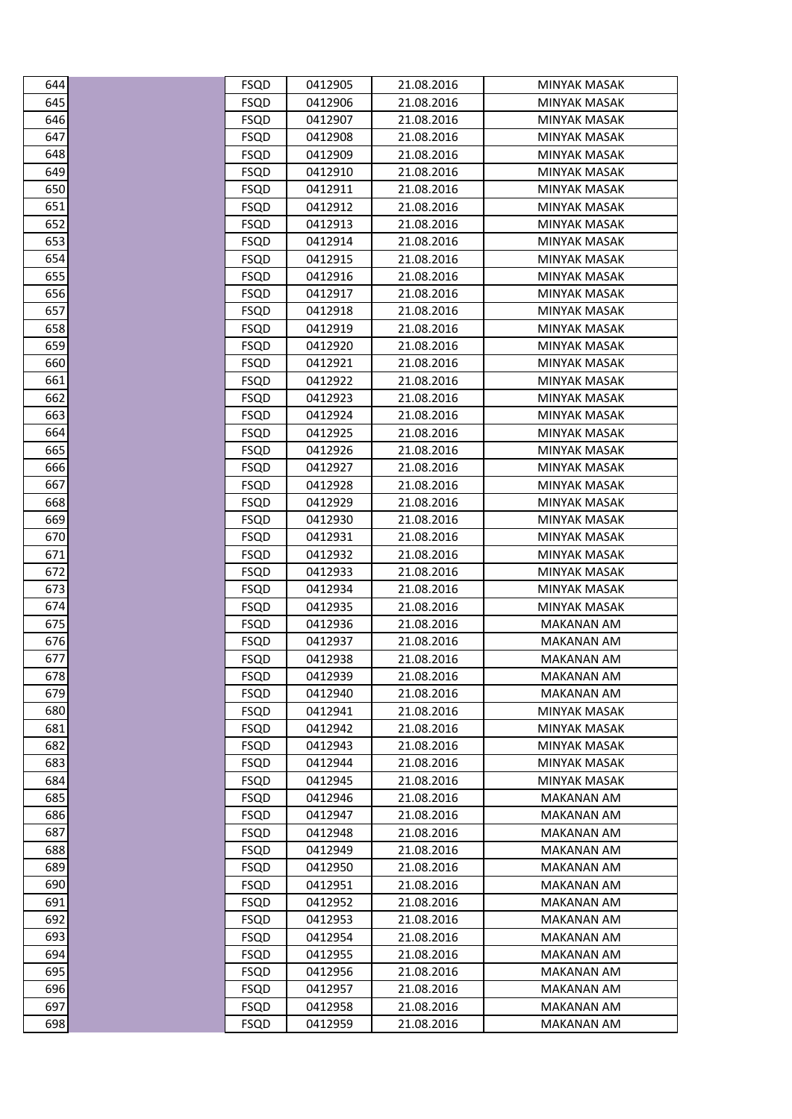| 644              | FSQD        | 0412905 | 21.08.2016 | MINYAK MASAK        |
|------------------|-------------|---------|------------|---------------------|
| $\overline{645}$ | <b>FSQD</b> | 0412906 | 21.08.2016 | <b>MINYAK MASAK</b> |
| 646              | <b>FSQD</b> | 0412907 | 21.08.2016 | <b>MINYAK MASAK</b> |
| 647              | <b>FSQD</b> | 0412908 | 21.08.2016 | MINYAK MASAK        |
| 648              | <b>FSQD</b> | 0412909 | 21.08.2016 | <b>MINYAK MASAK</b> |
| 649              | <b>FSQD</b> | 0412910 | 21.08.2016 | <b>MINYAK MASAK</b> |
| 650              | <b>FSQD</b> | 0412911 | 21.08.2016 | MINYAK MASAK        |
| 651              | <b>FSQD</b> | 0412912 | 21.08.2016 | <b>MINYAK MASAK</b> |
| 652              | <b>FSQD</b> | 0412913 | 21.08.2016 | <b>MINYAK MASAK</b> |
| 653              | <b>FSQD</b> | 0412914 | 21.08.2016 | MINYAK MASAK        |
| 654              | <b>FSQD</b> | 0412915 | 21.08.2016 | <b>MINYAK MASAK</b> |
| 655              | <b>FSQD</b> | 0412916 | 21.08.2016 | <b>MINYAK MASAK</b> |
| 656              | <b>FSQD</b> | 0412917 | 21.08.2016 | MINYAK MASAK        |
| 657              | <b>FSQD</b> | 0412918 | 21.08.2016 | <b>MINYAK MASAK</b> |
| 658              | <b>FSQD</b> | 0412919 | 21.08.2016 | MINYAK MASAK        |
| 659              | <b>FSQD</b> | 0412920 | 21.08.2016 | MINYAK MASAK        |
| 660              | <b>FSQD</b> | 0412921 | 21.08.2016 | <b>MINYAK MASAK</b> |
| 661              | <b>FSQD</b> | 0412922 | 21.08.2016 | MINYAK MASAK        |
| 662              | <b>FSQD</b> | 0412923 | 21.08.2016 | MINYAK MASAK        |
| 663              | <b>FSQD</b> | 0412924 | 21.08.2016 | <b>MINYAK MASAK</b> |
| 664              | <b>FSQD</b> | 0412925 | 21.08.2016 | MINYAK MASAK        |
| 665              | <b>FSQD</b> | 0412926 | 21.08.2016 | MINYAK MASAK        |
| 666              | <b>FSQD</b> | 0412927 | 21.08.2016 | <b>MINYAK MASAK</b> |
| 667              | <b>FSQD</b> | 0412928 | 21.08.2016 | MINYAK MASAK        |
| 668              | <b>FSQD</b> | 0412929 | 21.08.2016 | <b>MINYAK MASAK</b> |
| 669              | <b>FSQD</b> | 0412930 | 21.08.2016 | MINYAK MASAK        |
| 670              | <b>FSQD</b> | 0412931 | 21.08.2016 | MINYAK MASAK        |
| 671              | <b>FSQD</b> | 0412932 | 21.08.2016 | <b>MINYAK MASAK</b> |
| 672              | <b>FSQD</b> | 0412933 | 21.08.2016 | MINYAK MASAK        |
| 673              | <b>FSQD</b> | 0412934 | 21.08.2016 | <b>MINYAK MASAK</b> |
| 674              | <b>FSQD</b> | 0412935 | 21.08.2016 | <b>MINYAK MASAK</b> |
| 675              | <b>FSQD</b> | 0412936 | 21.08.2016 | MAKANAN AM          |
| 676              | <b>FSQD</b> | 0412937 | 21.08.2016 | MAKANAN AM          |
| 677              | <b>FSQD</b> | 0412938 | 21.08.2016 | <b>MAKANAN AM</b>   |
| 678              | <b>FSQD</b> | 0412939 | 21.08.2016 | <b>MAKANAN AM</b>   |
| 679              | <b>FSQD</b> | 0412940 | 21.08.2016 | MAKANAN AM          |
| 680              | <b>FSQD</b> | 0412941 | 21.08.2016 | MINYAK MASAK        |
| 681              | <b>FSQD</b> | 0412942 | 21.08.2016 | MINYAK MASAK        |
| 682              | <b>FSQD</b> | 0412943 | 21.08.2016 | <b>MINYAK MASAK</b> |
| 683              | <b>FSQD</b> | 0412944 | 21.08.2016 | MINYAK MASAK        |
| 684              | <b>FSQD</b> | 0412945 | 21.08.2016 | <b>MINYAK MASAK</b> |
| 685              | <b>FSQD</b> | 0412946 | 21.08.2016 | <b>MAKANAN AM</b>   |
| 686              | FSQD        | 0412947 | 21.08.2016 | <b>MAKANAN AM</b>   |
| 687              | <b>FSQD</b> | 0412948 | 21.08.2016 | MAKANAN AM          |
| 688              | <b>FSQD</b> | 0412949 | 21.08.2016 | <b>MAKANAN AM</b>   |
| 689              | <b>FSQD</b> | 0412950 | 21.08.2016 | MAKANAN AM          |
| 690              | <b>FSQD</b> | 0412951 | 21.08.2016 | <b>MAKANAN AM</b>   |
| 691              | FSQD        | 0412952 | 21.08.2016 | MAKANAN AM          |
| 692              | <b>FSQD</b> | 0412953 | 21.08.2016 | MAKANAN AM          |
| 693              | <b>FSQD</b> | 0412954 | 21.08.2016 | MAKANAN AM          |
| 694              | <b>FSQD</b> | 0412955 | 21.08.2016 | MAKANAN AM          |
| 695              | <b>FSQD</b> | 0412956 | 21.08.2016 | <b>MAKANAN AM</b>   |
| 696              | <b>FSQD</b> | 0412957 | 21.08.2016 | <b>MAKANAN AM</b>   |
| 697              | <b>FSQD</b> | 0412958 | 21.08.2016 | MAKANAN AM          |
| 698              | <b>FSQD</b> | 0412959 | 21.08.2016 | MAKANAN AM          |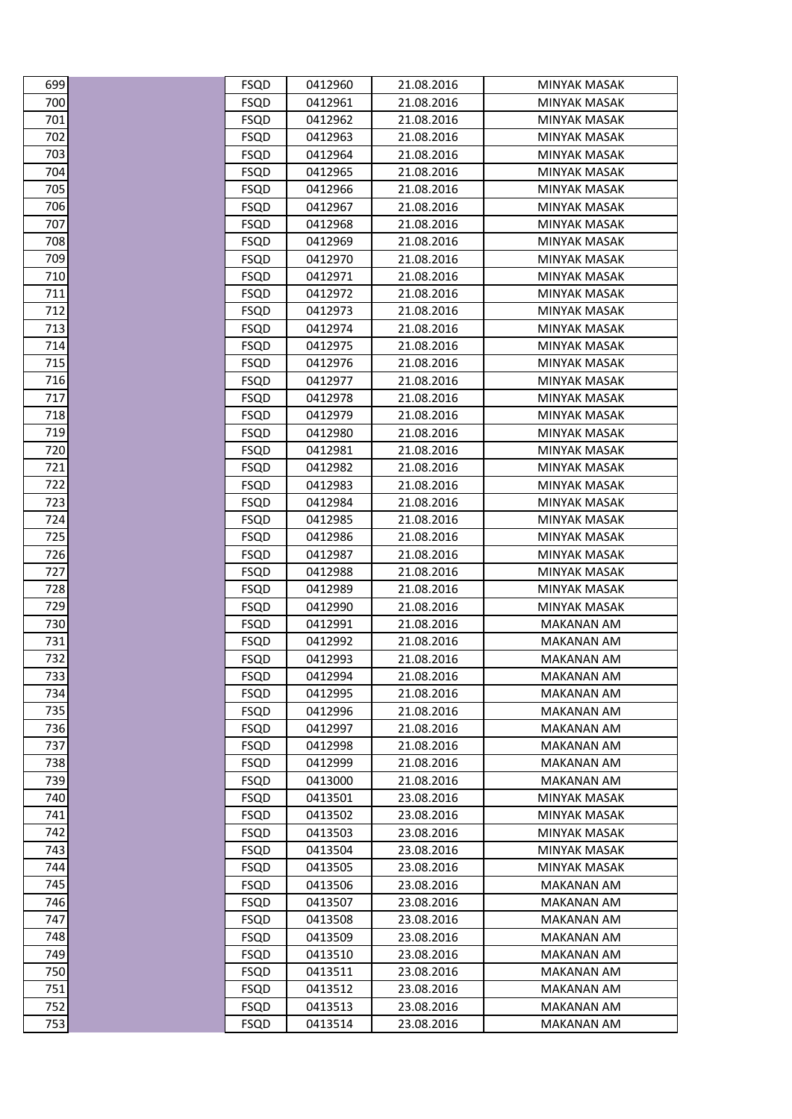| 699        | FSQD                       | 0412960            | 21.08.2016               | MINYAK MASAK                           |
|------------|----------------------------|--------------------|--------------------------|----------------------------------------|
| 700        | <b>FSQD</b>                | 0412961            | 21.08.2016               | <b>MINYAK MASAK</b>                    |
| 701        | <b>FSQD</b>                | 0412962            | 21.08.2016               | <b>MINYAK MASAK</b>                    |
| 702        | <b>FSQD</b>                | 0412963            | 21.08.2016               | MINYAK MASAK                           |
| 703        | <b>FSQD</b>                | 0412964            | 21.08.2016               | MINYAK MASAK                           |
| 704        | <b>FSQD</b>                | 0412965            | 21.08.2016               | <b>MINYAK MASAK</b>                    |
| 705        | <b>FSQD</b>                | 0412966            | 21.08.2016               | MINYAK MASAK                           |
| 706        | <b>FSQD</b>                | 0412967            | 21.08.2016               | <b>MINYAK MASAK</b>                    |
| 707        | <b>FSQD</b>                | 0412968            | 21.08.2016               | MINYAK MASAK                           |
| 708        | <b>FSQD</b>                | 0412969            | 21.08.2016               | MINYAK MASAK                           |
| 709        | <b>FSQD</b>                | 0412970            | 21.08.2016               | <b>MINYAK MASAK</b>                    |
| 710        | <b>FSQD</b>                | 0412971            | 21.08.2016               | MINYAK MASAK                           |
| 711        | <b>FSQD</b>                | 0412972            | 21.08.2016               | MINYAK MASAK                           |
| 712        | <b>FSQD</b>                | 0412973            | 21.08.2016               | <b>MINYAK MASAK</b>                    |
| 713        | <b>FSQD</b>                | 0412974            | 21.08.2016               | MINYAK MASAK                           |
| 714        | <b>FSQD</b>                | 0412975            | 21.08.2016               | MINYAK MASAK                           |
| 715        | <b>FSQD</b>                | 0412976            | 21.08.2016               | <b>MINYAK MASAK</b>                    |
| 716        | <b>FSQD</b>                | 0412977            | 21.08.2016               | <b>MINYAK MASAK</b>                    |
| 717        | <b>FSQD</b>                | 0412978            | 21.08.2016               | <b>MINYAK MASAK</b>                    |
| 718        | <b>FSQD</b>                | 0412979            | 21.08.2016               | MINYAK MASAK                           |
| 719        | <b>FSQD</b>                | 0412980            | 21.08.2016               | MINYAK MASAK                           |
| 720        | <b>FSQD</b>                | 0412981            | 21.08.2016               | MINYAK MASAK                           |
| 721        | <b>FSQD</b>                | 0412982            | 21.08.2016               | MINYAK MASAK                           |
| 722        | <b>FSQD</b>                | 0412983            | 21.08.2016               | <b>MINYAK MASAK</b>                    |
| 723        | <b>FSQD</b>                | 0412984            | 21.08.2016               | <b>MINYAK MASAK</b>                    |
| 724        | <b>FSQD</b>                | 0412985            | 21.08.2016               | MINYAK MASAK                           |
| 725<br>726 | <b>FSQD</b>                | 0412986            | 21.08.2016               | MINYAK MASAK                           |
| 727        | <b>FSQD</b><br><b>FSQD</b> | 0412987<br>0412988 | 21.08.2016<br>21.08.2016 | <b>MINYAK MASAK</b><br>MINYAK MASAK    |
| 728        | <b>FSQD</b>                | 0412989            | 21.08.2016               | <b>MINYAK MASAK</b>                    |
| 729        | <b>FSQD</b>                | 0412990            | 21.08.2016               | MINYAK MASAK                           |
| 730        | <b>FSQD</b>                | 0412991            | 21.08.2016               | MAKANAN AM                             |
| 731        | <b>FSQD</b>                | 0412992            | 21.08.2016               | MAKANAN AM                             |
| 732        | <b>FSQD</b>                | 0412993            | 21.08.2016               | MAKANAN AM                             |
| 733        | <b>FSQD</b>                | 0412994            | 21.08.2016               | <b>MAKANAN AM</b>                      |
| 734        | <b>FSQD</b>                | 0412995            | 21.08.2016               | <b>MAKANAN AM</b>                      |
| 735        | <b>FSQD</b>                | 0412996            | 21.08.2016               | MAKANAN AM                             |
| 736        | <b>FSQD</b>                | 0412997            | 21.08.2016               | MAKANAN AM                             |
| 737        | <b>FSQD</b>                | 0412998            | 21.08.2016               | <b>MAKANAN AM</b>                      |
| 738        | <b>FSQD</b>                | 0412999            | 21.08.2016               | <b>MAKANAN AM</b>                      |
| 739        | <b>FSQD</b>                | 0413000            | 21.08.2016               | <b>MAKANAN AM</b>                      |
| 740        | <b>FSQD</b>                | 0413501            | 23.08.2016               | <b>MINYAK MASAK</b>                    |
| 741        | <b>FSQD</b>                | 0413502            | 23.08.2016               | <b>MINYAK MASAK</b>                    |
| 742        | <b>FSQD</b>                | 0413503            | 23.08.2016               | MINYAK MASAK                           |
| 743        | <b>FSQD</b>                | 0413504            | 23.08.2016               | <b>MINYAK MASAK</b>                    |
| 744        | <b>FSQD</b>                | 0413505            | 23.08.2016               | <b>MINYAK MASAK</b>                    |
| 745        | <b>FSQD</b>                | 0413506            | 23.08.2016               | <b>MAKANAN AM</b>                      |
| 746        | <b>FSQD</b>                | 0413507            | 23.08.2016               | MAKANAN AM                             |
| 747        | <b>FSQD</b>                | 0413508            | 23.08.2016               | MAKANAN AM                             |
| 748        | <b>FSQD</b>                | 0413509            | 23.08.2016               | <b>MAKANAN AM</b>                      |
| 749        | <b>FSQD</b>                | 0413510            | 23.08.2016               | <b>MAKANAN AM</b>                      |
| 750        | <b>FSQD</b>                | 0413511            | 23.08.2016               | <b>MAKANAN AM</b>                      |
| 751        | <b>FSQD</b>                | 0413512            | 23.08.2016               | <b>MAKANAN AM</b>                      |
| 752<br>753 | <b>FSQD</b><br><b>FSQD</b> | 0413513<br>0413514 | 23.08.2016<br>23.08.2016 | <b>MAKANAN AM</b><br><b>MAKANAN AM</b> |
|            |                            |                    |                          |                                        |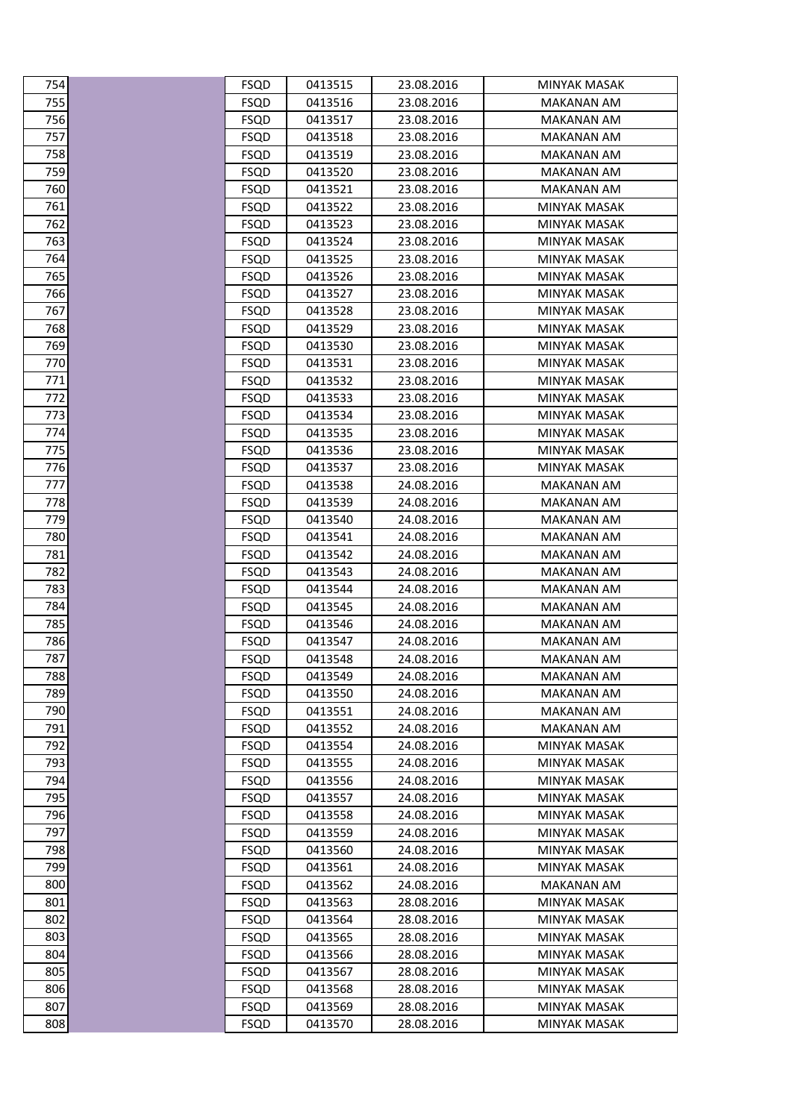| 754        | <b>FSQD</b>                | 0413515            | 23.08.2016               | MINYAK MASAK                               |
|------------|----------------------------|--------------------|--------------------------|--------------------------------------------|
| 755        | <b>FSQD</b>                | 0413516            | 23.08.2016               | <b>MAKANAN AM</b>                          |
| 756        | <b>FSQD</b>                | 0413517            | 23.08.2016               | <b>MAKANAN AM</b>                          |
| 757        | <b>FSQD</b>                | 0413518            | 23.08.2016               | <b>MAKANAN AM</b>                          |
| 758        | <b>FSQD</b>                | 0413519            | 23.08.2016               | MAKANAN AM                                 |
| 759        | <b>FSQD</b>                | 0413520            | 23.08.2016               | <b>MAKANAN AM</b>                          |
| 760        | <b>FSQD</b>                | 0413521            | 23.08.2016               | MAKANAN AM                                 |
| 761        | <b>FSQD</b>                | 0413522            | 23.08.2016               | MINYAK MASAK                               |
| 762        | <b>FSQD</b>                | 0413523            | 23.08.2016               | <b>MINYAK MASAK</b>                        |
| 763        | <b>FSQD</b>                | 0413524            | 23.08.2016               | MINYAK MASAK                               |
| 764        | <b>FSQD</b>                | 0413525            | 23.08.2016               | MINYAK MASAK                               |
| 765        | <b>FSQD</b>                | 0413526            | 23.08.2016               | <b>MINYAK MASAK</b>                        |
| 766        | <b>FSQD</b>                | 0413527            | 23.08.2016               | <b>MINYAK MASAK</b>                        |
| 767        | <b>FSQD</b>                | 0413528            | 23.08.2016               | MINYAK MASAK                               |
| 768        | <b>FSQD</b>                | 0413529            | 23.08.2016               | <b>MINYAK MASAK</b>                        |
| 769        | <b>FSQD</b>                | 0413530            | 23.08.2016               | MINYAK MASAK                               |
| 770        | <b>FSQD</b>                | 0413531            | 23.08.2016               | MINYAK MASAK                               |
| 771        | <b>FSQD</b>                | 0413532            | 23.08.2016               | MINYAK MASAK                               |
| 772        | <b>FSQD</b>                | 0413533            | 23.08.2016               | MINYAK MASAK                               |
| 773        | <b>FSQD</b>                | 0413534            | 23.08.2016               | <b>MINYAK MASAK</b>                        |
| 774        | <b>FSQD</b>                | 0413535            | 23.08.2016               | MINYAK MASAK                               |
| 775        | <b>FSQD</b>                | 0413536            | 23.08.2016               | MINYAK MASAK                               |
| 776        | <b>FSQD</b>                | 0413537            | 23.08.2016               | MINYAK MASAK                               |
| 777        | <b>FSQD</b>                | 0413538            | 24.08.2016               | MAKANAN AM                                 |
| 778        | <b>FSQD</b>                | 0413539            | 24.08.2016               | <b>MAKANAN AM</b>                          |
| 779        | <b>FSQD</b>                | 0413540            | 24.08.2016               | <b>MAKANAN AM</b>                          |
| 780        | <b>FSQD</b>                | 0413541            | 24.08.2016               | MAKANAN AM                                 |
| 781        | <b>FSQD</b>                | 0413542            | 24.08.2016               | MAKANAN AM                                 |
| 782        | <b>FSQD</b>                | 0413543            | 24.08.2016               | MAKANAN AM                                 |
| 783        | <b>FSQD</b>                | 0413544            | 24.08.2016               | MAKANAN AM                                 |
| 784        | <b>FSQD</b>                | 0413545            | 24.08.2016               | <b>MAKANAN AM</b>                          |
| 785        | <b>FSQD</b>                | 0413546            | 24.08.2016               | MAKANAN AM                                 |
| 786        | <b>FSQD</b>                | 0413547            | 24.08.2016               | MAKANAN AM                                 |
| 787        | <b>FSQD</b>                | 0413548            | 24.08.2016               | <b>MAKANAN AM</b>                          |
| 788        | <b>FSQD</b>                | 0413549            | 24.08.2016               | MAKANAN AM                                 |
| 789        | <b>FSQD</b>                | 0413550            | 24.08.2016               | MAKANAN AM                                 |
| 790        | <b>FSQD</b>                | 0413551            | 24.08.2016               | <b>MAKANAN AM</b>                          |
| 791        | <b>FSQD</b>                | 0413552            | 24.08.2016               | MAKANAN AM                                 |
| 792<br>793 | <b>FSQD</b>                | 0413554            | 24.08.2016               | <b>MINYAK MASAK</b>                        |
|            | <b>FSQD</b>                | 0413555            | 24.08.2016               | MINYAK MASAK                               |
| 794<br>795 | <b>FSQD</b>                | 0413556<br>0413557 | 24.08.2016               | MINYAK MASAK                               |
| 796        | <b>FSQD</b>                |                    | 24.08.2016               | MINYAK MASAK                               |
| 797        | <b>FSQD</b><br><b>FSQD</b> | 0413558<br>0413559 | 24.08.2016<br>24.08.2016 | <b>MINYAK MASAK</b><br><b>MINYAK MASAK</b> |
| 798        | <b>FSQD</b>                | 0413560            | 24.08.2016               | MINYAK MASAK                               |
| 799        |                            |                    |                          |                                            |
| 800        | <b>FSQD</b><br><b>FSQD</b> | 0413561<br>0413562 | 24.08.2016<br>24.08.2016 | MINYAK MASAK<br><b>MAKANAN AM</b>          |
| 801        | <b>FSQD</b>                | 0413563            | 28.08.2016               | MINYAK MASAK                               |
| 802        | <b>FSQD</b>                | 0413564            | 28.08.2016               | MINYAK MASAK                               |
| 803        | <b>FSQD</b>                | 0413565            | 28.08.2016               | <b>MINYAK MASAK</b>                        |
| 804        | <b>FSQD</b>                | 0413566            | 28.08.2016               | MINYAK MASAK                               |
| 805        | <b>FSQD</b>                | 0413567            | 28.08.2016               | MINYAK MASAK                               |
| 806        | <b>FSQD</b>                | 0413568            | 28.08.2016               | <b>MINYAK MASAK</b>                        |
| 807        | <b>FSQD</b>                | 0413569            | 28.08.2016               | <b>MINYAK MASAK</b>                        |
| 808        | <b>FSQD</b>                | 0413570            | 28.08.2016               | <b>MINYAK MASAK</b>                        |
|            |                            |                    |                          |                                            |

| C<br>$\frac{1}{4}$                                |  |
|---------------------------------------------------|--|
| ľ<br>C                                            |  |
| ľ<br>,<br>١                                       |  |
| ľ                                                 |  |
| ľ                                                 |  |
| 58<br>$\overline{\iota}$                          |  |
| 9<br>Έ                                            |  |
| ί<br>5O<br>í                                      |  |
| 76<br>$\mathbf{1}$                                |  |
| 2<br>76                                           |  |
| 76<br>ξ                                           |  |
| Έ<br>4<br>Ĩ                                       |  |
| Е<br>Ε<br>j                                       |  |
| Е                                                 |  |
| J                                                 |  |
| f                                                 |  |
| ₹                                                 |  |
| $\overline{\phantom{a}}$<br>9<br>Е                |  |
| 0<br>Ĩ                                            |  |
| 1                                                 |  |
| ,<br>7                                            |  |
| ξ                                                 |  |
| Ά<br>7<br>1                                       |  |
| D                                                 |  |
|                                                   |  |
| t<br>)                                            |  |
|                                                   |  |
| ۶<br>ξ                                            |  |
| )                                                 |  |
| 7<br>80                                           |  |
| 81                                                |  |
| ,<br>۶<br>S.                                      |  |
| ₹<br>$\overline{\phantom{a}}$<br>٤<br>ξ           |  |
| ۶                                                 |  |
| 4                                                 |  |
| 8<br>l<br>7<br>;                                  |  |
| $\overline{\phantom{a}}$<br>86<br>)               |  |
| 8<br>7<br>1<br>ŗ                                  |  |
| 88<br>7                                           |  |
| 789                                               |  |
| 790                                               |  |
| 791                                               |  |
| 792                                               |  |
| $\epsilon$<br>$\overline{\mathcal{U}}$<br>J.<br>≀ |  |
| 4ډ<br>ï                                           |  |
| $\overline{\phantom{a}}$                          |  |
| '95                                               |  |
| 796<br>)                                          |  |
| 797                                               |  |
| 798                                               |  |
| 799                                               |  |
| 800                                               |  |
| 801                                               |  |
| 802                                               |  |
|                                                   |  |
| 803                                               |  |
| 804                                               |  |
| 805<br>5                                          |  |
| 806                                               |  |
| 807                                               |  |
| 808                                               |  |
|                                                   |  |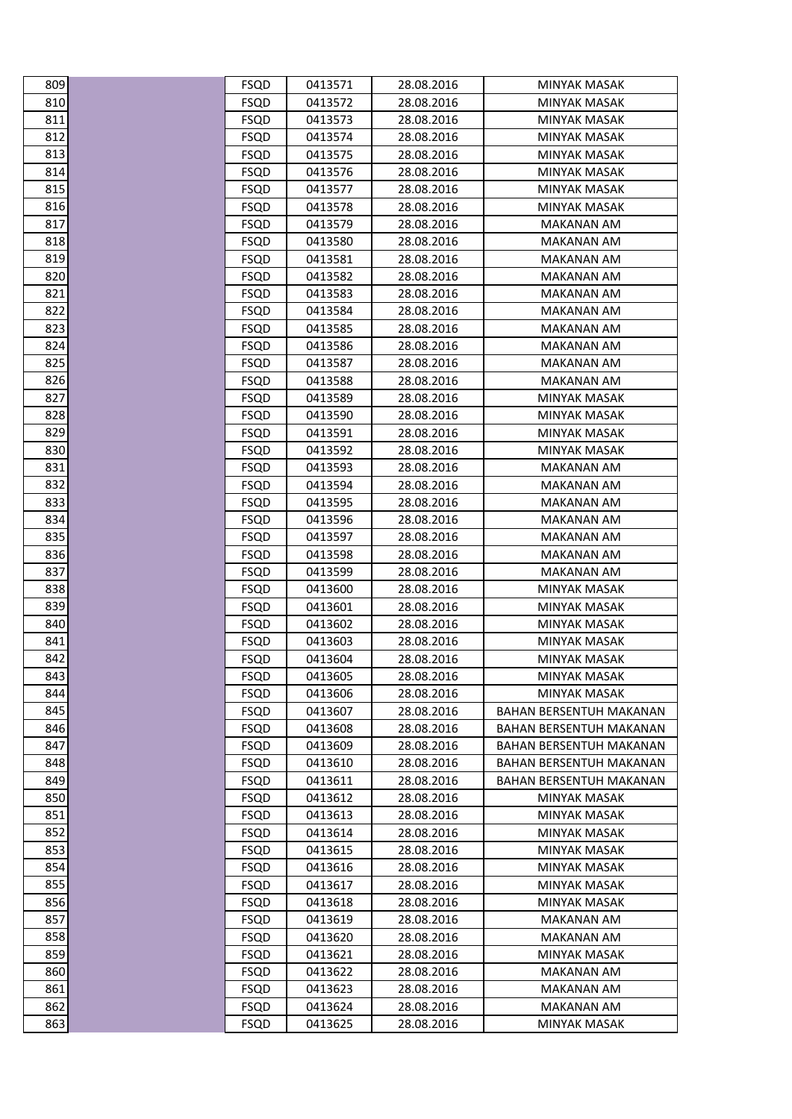| 809 | FSQD        | 0413571 | 28.08.2016 | MINYAK MASAK                   |
|-----|-------------|---------|------------|--------------------------------|
| 810 | <b>FSQD</b> | 0413572 | 28.08.2016 | MINYAK MASAK                   |
| 811 | <b>FSQD</b> | 0413573 | 28.08.2016 | <b>MINYAK MASAK</b>            |
| 812 | FSQD        | 0413574 | 28.08.2016 | MINYAK MASAK                   |
| 813 | <b>FSQD</b> | 0413575 | 28.08.2016 | MINYAK MASAK                   |
| 814 | <b>FSQD</b> | 0413576 | 28.08.2016 | <b>MINYAK MASAK</b>            |
| 815 | FSQD        | 0413577 | 28.08.2016 | MINYAK MASAK                   |
| 816 | FSQD        | 0413578 | 28.08.2016 | MINYAK MASAK                   |
| 817 | <b>FSQD</b> | 0413579 | 28.08.2016 | <b>MAKANAN AM</b>              |
| 818 | FSQD        | 0413580 | 28.08.2016 | MAKANAN AM                     |
| 819 | FSQD        | 0413581 | 28.08.2016 | MAKANAN AM                     |
| 820 | <b>FSQD</b> | 0413582 | 28.08.2016 | MAKANAN AM                     |
| 821 | <b>FSQD</b> | 0413583 | 28.08.2016 | MAKANAN AM                     |
| 822 | FSQD        | 0413584 | 28.08.2016 | <b>MAKANAN AM</b>              |
| 823 | FSQD        | 0413585 | 28.08.2016 | MAKANAN AM                     |
| 824 | <b>FSQD</b> | 0413586 | 28.08.2016 | <b>MAKANAN AM</b>              |
| 825 | <b>FSQD</b> | 0413587 | 28.08.2016 | <b>MAKANAN AM</b>              |
| 826 | FSQD        | 0413588 | 28.08.2016 | MAKANAN AM                     |
| 827 | FSQD        | 0413589 | 28.08.2016 | MINYAK MASAK                   |
| 828 | <b>FSQD</b> | 0413590 | 28.08.2016 | <b>MINYAK MASAK</b>            |
| 829 | FSQD        | 0413591 | 28.08.2016 | MINYAK MASAK                   |
| 830 | FSQD        | 0413592 | 28.08.2016 | MINYAK MASAK                   |
| 831 | <b>FSQD</b> | 0413593 | 28.08.2016 | <b>MAKANAN AM</b>              |
| 832 | FSQD        | 0413594 | 28.08.2016 | MAKANAN AM                     |
| 833 | FSQD        | 0413595 | 28.08.2016 | <b>MAKANAN AM</b>              |
| 834 | FSQD        | 0413596 | 28.08.2016 | <b>MAKANAN AM</b>              |
| 835 | <b>FSQD</b> | 0413597 | 28.08.2016 | <b>MAKANAN AM</b>              |
| 836 | <b>FSQD</b> | 0413598 | 28.08.2016 | <b>MAKANAN AM</b>              |
| 837 | FSQD        | 0413599 | 28.08.2016 | MAKANAN AM                     |
| 838 | FSQD        | 0413600 | 28.08.2016 | <b>MINYAK MASAK</b>            |
| 839 | <b>FSQD</b> | 0413601 | 28.08.2016 | <b>MINYAK MASAK</b>            |
| 840 | <b>FSQD</b> | 0413602 | 28.08.2016 | MINYAK MASAK                   |
| 841 | <b>FSQD</b> | 0413603 | 28.08.2016 | <b>MINYAK MASAK</b>            |
| 842 | <b>FSQD</b> | 0413604 | 28.08.2016 | <b>MINYAK MASAK</b>            |
| 843 | <b>FSQD</b> | 0413605 | 28.08.2016 | <b>MINYAK MASAK</b>            |
| 844 | <b>FSQD</b> | 0413606 | 28.08.2016 | MINYAK MASAK                   |
| 845 | <b>FSQD</b> | 0413607 | 28.08.2016 | <b>BAHAN BERSENTUH MAKANAN</b> |
| 846 | FSQD        | 0413608 | 28.08.2016 | BAHAN BERSENTUH MAKANAN        |
| 847 | <b>FSQD</b> | 0413609 | 28.08.2016 | BAHAN BERSENTUH MAKANAN        |
| 848 | FSQD        | 0413610 | 28.08.2016 | BAHAN BERSENTUH MAKANAN        |
| 849 | FSQD        | 0413611 | 28.08.2016 | <b>BAHAN BERSENTUH MAKANAN</b> |
| 850 | <b>FSQD</b> | 0413612 | 28.08.2016 | <b>MINYAK MASAK</b>            |
| 851 | FSQD        | 0413613 | 28.08.2016 | MINYAK MASAK                   |
| 852 | <b>FSQD</b> | 0413614 | 28.08.2016 | MINYAK MASAK                   |
| 853 | <b>FSQD</b> | 0413615 | 28.08.2016 | <b>MINYAK MASAK</b>            |
| 854 | <b>FSQD</b> | 0413616 | 28.08.2016 | MINYAK MASAK                   |
| 855 | <b>FSQD</b> | 0413617 | 28.08.2016 | MINYAK MASAK                   |
| 856 | FSQD        | 0413618 | 28.08.2016 | MINYAK MASAK                   |
| 857 |             |         | 28.08.2016 |                                |
| 858 | FSQD        | 0413619 |            | MAKANAN AM                     |
| 859 | <b>FSQD</b> | 0413620 | 28.08.2016 | MAKANAN AM                     |
|     | FSQD        | 0413621 | 28.08.2016 | MINYAK MASAK                   |
| 860 | FSQD        | 0413622 | 28.08.2016 | MAKANAN AM                     |
| 861 | <b>FSQD</b> | 0413623 | 28.08.2016 | <b>MAKANAN AM</b>              |
| 862 | <b>FSQD</b> | 0413624 | 28.08.2016 | MAKANAN AM                     |
| 863 | <b>FSQD</b> | 0413625 | 28.08.2016 | <b>MINYAK MASAK</b>            |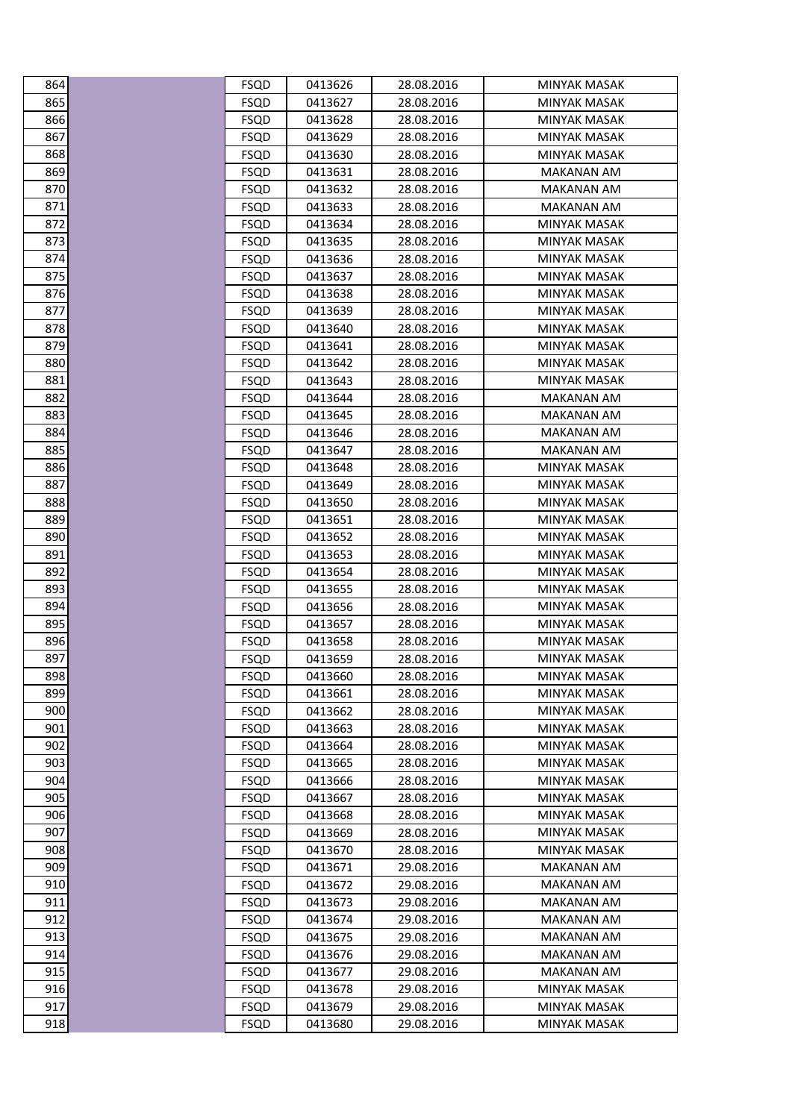| 864        | <b>FSQD</b>                | 0413626            | 28.08.2016               | MINYAK MASAK                        |
|------------|----------------------------|--------------------|--------------------------|-------------------------------------|
| 865        | <b>FSQD</b>                | 0413627            | 28.08.2016               | MINYAK MASAK                        |
| 866        | <b>FSQD</b>                | 0413628            | 28.08.2016               | <b>MINYAK MASAK</b>                 |
| 867        | FSQD                       | 0413629            | 28.08.2016               | MINYAK MASAK                        |
| 868        | <b>FSQD</b>                | 0413630            | 28.08.2016               | MINYAK MASAK                        |
| 869        | <b>FSQD</b>                | 0413631            | 28.08.2016               | <b>MAKANAN AM</b>                   |
| 870        | <b>FSQD</b>                | 0413632            | 28.08.2016               | MAKANAN AM                          |
| 871        | <b>FSQD</b>                | 0413633            | 28.08.2016               | <b>MAKANAN AM</b>                   |
| 872        | <b>FSQD</b>                | 0413634            | 28.08.2016               | <b>MINYAK MASAK</b>                 |
| 873        | <b>FSQD</b>                | 0413635            | 28.08.2016               | <b>MINYAK MASAK</b>                 |
| 874        | <b>FSQD</b>                | 0413636            | 28.08.2016               | <b>MINYAK MASAK</b>                 |
| 875        | <b>FSQD</b>                | 0413637            | 28.08.2016               | MINYAK MASAK                        |
| 876        | <b>FSQD</b>                | 0413638            | 28.08.2016               | MINYAK MASAK                        |
| 877        | <b>FSQD</b>                | 0413639            | 28.08.2016               | <b>MINYAK MASAK</b>                 |
| 878        | FSQD                       | 0413640            | 28.08.2016               | MINYAK MASAK                        |
| 879        | <b>FSQD</b>                | 0413641            | 28.08.2016               | MINYAK MASAK                        |
| 880        | <b>FSQD</b>                | 0413642            | 28.08.2016               | <b>MINYAK MASAK</b>                 |
| 881        | <b>FSQD</b>                | 0413643            | 28.08.2016               | <b>MINYAK MASAK</b>                 |
| 882        | <b>FSQD</b>                | 0413644            | 28.08.2016               | MAKANAN AM                          |
| 883        | FSQD                       | 0413645            | 28.08.2016               | MAKANAN AM                          |
| 884        | <b>FSQD</b>                | 0413646            | 28.08.2016               | MAKANAN AM                          |
| 885        | <b>FSQD</b>                | 0413647            | 28.08.2016               | <b>MAKANAN AM</b>                   |
| 886        | <b>FSQD</b>                | 0413648            | 28.08.2016               | MINYAK MASAK                        |
| 887        | <b>FSQD</b>                | 0413649            | 28.08.2016               | MINYAK MASAK                        |
| 888        | <b>FSQD</b>                | 0413650            | 28.08.2016               | <b>MINYAK MASAK</b>                 |
| 889        | FSQD                       | 0413651            | 28.08.2016               | MINYAK MASAK                        |
| 890        | <b>FSQD</b>                | 0413652            | 28.08.2016               | MINYAK MASAK                        |
| 891<br>892 | <b>FSQD</b>                | 0413653            | 28.08.2016<br>28.08.2016 | <b>MINYAK MASAK</b><br>MINYAK MASAK |
| 893        | <b>FSQD</b><br><b>FSQD</b> | 0413654<br>0413655 | 28.08.2016               | MINYAK MASAK                        |
| 894        | FSQD                       | 0413656            | 28.08.2016               | <b>MINYAK MASAK</b>                 |
| 895        | <b>FSQD</b>                | 0413657            | 28.08.2016               | MINYAK MASAK                        |
| 896        | <b>FSQD</b>                | 0413658            | 28.08.2016               | MINYAK MASAK                        |
| 897        | <b>FSQD</b>                | 0413659            | 28.08.2016               | MINYAK MASAK                        |
| 898        | <b>FSQD</b>                | 0413660            | 28.08.2016               | <b>MINYAK MASAK</b>                 |
| 899        | <b>FSQD</b>                | 0413661            | 28.08.2016               | <b>MINYAK MASAK</b>                 |
| 900        | FSQD                       | 0413662            | 28.08.2016               | MINYAK MASAK                        |
| 901        | <b>FSQD</b>                | 0413663            | 28.08.2016               | <b>MINYAK MASAK</b>                 |
| 902        | <b>FSQD</b>                | 0413664            | 28.08.2016               | <b>MINYAK MASAK</b>                 |
| 903        | <b>FSQD</b>                | 0413665            | 28.08.2016               | <b>MINYAK MASAK</b>                 |
| 904        | <b>FSQD</b>                | 0413666            | 28.08.2016               | <b>MINYAK MASAK</b>                 |
| 905        | <b>FSQD</b>                | 0413667            | 28.08.2016               | <b>MINYAK MASAK</b>                 |
| 906        | <b>FSQD</b>                | 0413668            | 28.08.2016               | MINYAK MASAK                        |
| 907        | <b>FSQD</b>                | 0413669            | 28.08.2016               | MINYAK MASAK                        |
| 908        | <b>FSQD</b>                | 0413670            | 28.08.2016               | MINYAK MASAK                        |
| 909        | <b>FSQD</b>                | 0413671            | 29.08.2016               | MAKANAN AM                          |
| 910        | <b>FSQD</b>                | 0413672            | 29.08.2016               | <b>MAKANAN AM</b>                   |
| 911        | FSQD                       | 0413673            | 29.08.2016               | MAKANAN AM                          |
| 912        | <b>FSQD</b>                | 0413674            | 29.08.2016               | <b>MAKANAN AM</b>                   |
| 913        | <b>FSQD</b>                | 0413675            | 29.08.2016               | <b>MAKANAN AM</b>                   |
| 914        | <b>FSQD</b>                | 0413676            | 29.08.2016               | MAKANAN AM                          |
| 915        | <b>FSQD</b>                | 0413677            | 29.08.2016               | MAKANAN AM                          |
| 916        | <b>FSQD</b>                | 0413678            | 29.08.2016               | <b>MINYAK MASAK</b>                 |
| 917        | <b>FSQD</b>                | 0413679            | 29.08.2016               | <b>MINYAK MASAK</b>                 |
| 918        | <b>FSQD</b>                | 0413680            | 29.08.2016               | <b>MINYAK MASAK</b>                 |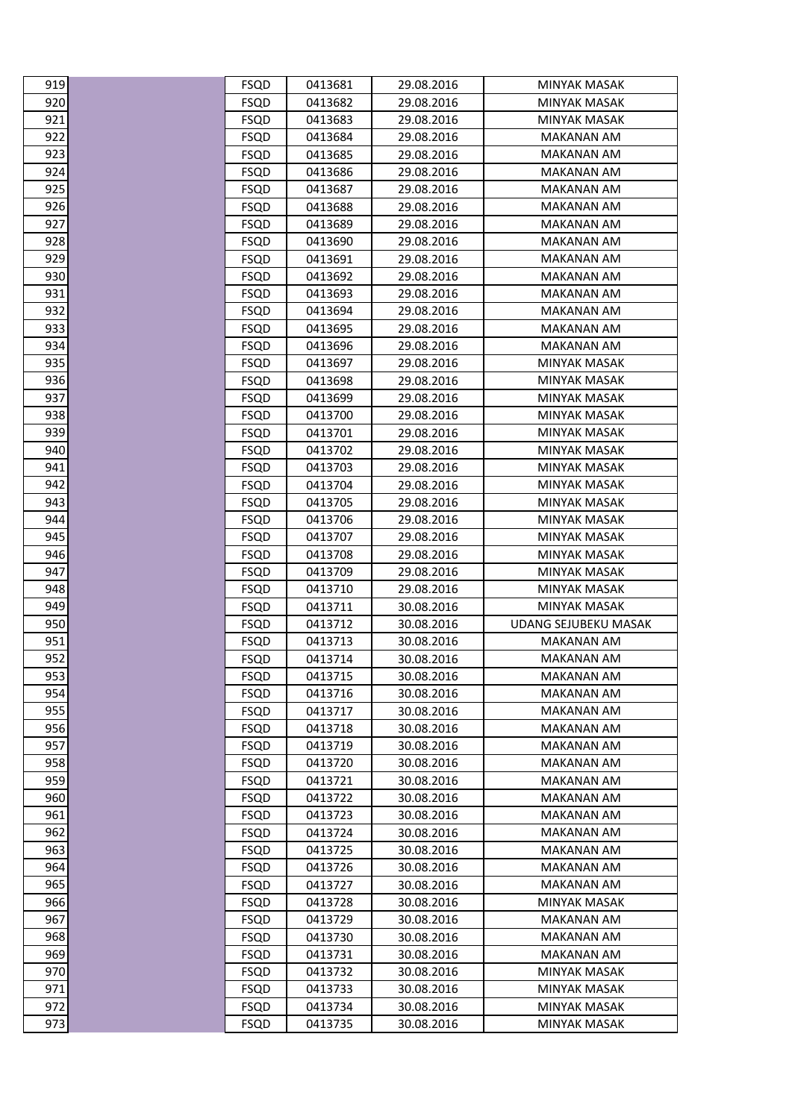| 919 | FSQD        | 0413681 | 29.08.2016 | MINYAK MASAK                |
|-----|-------------|---------|------------|-----------------------------|
| 920 | <b>FSQD</b> | 0413682 | 29.08.2016 | MINYAK MASAK                |
| 921 | <b>FSQD</b> | 0413683 | 29.08.2016 | <b>MINYAK MASAK</b>         |
| 922 | <b>FSQD</b> | 0413684 | 29.08.2016 | MAKANAN AM                  |
| 923 | <b>FSQD</b> | 0413685 | 29.08.2016 | MAKANAN AM                  |
| 924 | <b>FSQD</b> | 0413686 | 29.08.2016 | <b>MAKANAN AM</b>           |
| 925 | <b>FSQD</b> | 0413687 | 29.08.2016 | MAKANAN AM                  |
| 926 | <b>FSQD</b> | 0413688 | 29.08.2016 | <b>MAKANAN AM</b>           |
| 927 | FSQD        | 0413689 | 29.08.2016 | <b>MAKANAN AM</b>           |
| 928 | <b>FSQD</b> | 0413690 | 29.08.2016 | <b>MAKANAN AM</b>           |
| 929 | <b>FSQD</b> | 0413691 | 29.08.2016 | MAKANAN AM                  |
| 930 | <b>FSQD</b> | 0413692 | 29.08.2016 | <b>MAKANAN AM</b>           |
| 931 | <b>FSQD</b> | 0413693 | 29.08.2016 | MAKANAN AM                  |
| 932 | <b>FSQD</b> | 0413694 | 29.08.2016 | <b>MAKANAN AM</b>           |
| 933 | <b>FSQD</b> | 0413695 | 29.08.2016 | MAKANAN AM                  |
| 934 | <b>FSQD</b> | 0413696 | 29.08.2016 | MAKANAN AM                  |
| 935 | <b>FSQD</b> | 0413697 | 29.08.2016 | <b>MINYAK MASAK</b>         |
| 936 | <b>FSQD</b> | 0413698 | 29.08.2016 | <b>MINYAK MASAK</b>         |
| 937 | <b>FSQD</b> | 0413699 | 29.08.2016 | MINYAK MASAK                |
| 938 | <b>FSQD</b> | 0413700 | 29.08.2016 | <b>MINYAK MASAK</b>         |
| 939 | <b>FSQD</b> | 0413701 | 29.08.2016 | MINYAK MASAK                |
| 940 | <b>FSQD</b> | 0413702 | 29.08.2016 | <b>MINYAK MASAK</b>         |
| 941 | <b>FSQD</b> | 0413703 | 29.08.2016 | <b>MINYAK MASAK</b>         |
| 942 | FSQD        | 0413704 | 29.08.2016 | MINYAK MASAK                |
| 943 | <b>FSQD</b> | 0413705 | 29.08.2016 | MINYAK MASAK                |
| 944 | <b>FSQD</b> | 0413706 | 29.08.2016 | <b>MINYAK MASAK</b>         |
| 945 | <b>FSQD</b> | 0413707 | 29.08.2016 | MINYAK MASAK                |
| 946 | <b>FSQD</b> | 0413708 | 29.08.2016 | <b>MINYAK MASAK</b>         |
| 947 | <b>FSQD</b> | 0413709 | 29.08.2016 | MINYAK MASAK                |
| 948 | <b>FSQD</b> | 0413710 | 29.08.2016 | <b>MINYAK MASAK</b>         |
| 949 | <b>FSQD</b> | 0413711 | 30.08.2016 | <b>MINYAK MASAK</b>         |
| 950 | <b>FSQD</b> | 0413712 | 30.08.2016 | <b>UDANG SEJUBEKU MASAK</b> |
| 951 | <b>FSQD</b> | 0413713 | 30.08.2016 | MAKANAN AM                  |
| 952 | <b>FSQD</b> | 0413714 | 30.08.2016 | MAKANAN AM                  |
| 953 | <b>FSQD</b> | 0413715 | 30.08.2016 | <b>MAKANAN AM</b>           |
| 954 | <b>FSQD</b> | 0413716 | 30.08.2016 | <b>MAKANAN AM</b>           |
| 955 | FSQD        | 0413717 | 30.08.2016 | MAKANAN AM                  |
| 956 | <b>FSQD</b> | 0413718 | 30.08.2016 | <b>MAKANAN AM</b>           |
| 957 | <b>FSQD</b> | 0413719 | 30.08.2016 | <b>MAKANAN AM</b>           |
| 958 | <b>FSQD</b> | 0413720 | 30.08.2016 | <b>MAKANAN AM</b>           |
| 959 | <b>FSQD</b> | 0413721 | 30.08.2016 | <b>MAKANAN AM</b>           |
| 960 | <b>FSQD</b> | 0413722 | 30.08.2016 | <b>MAKANAN AM</b>           |
| 961 | <b>FSQD</b> | 0413723 | 30.08.2016 | <b>MAKANAN AM</b>           |
| 962 | <b>FSQD</b> | 0413724 | 30.08.2016 | <b>MAKANAN AM</b>           |
| 963 | <b>FSQD</b> | 0413725 | 30.08.2016 | <b>MAKANAN AM</b>           |
| 964 | <b>FSQD</b> | 0413726 | 30.08.2016 | MAKANAN AM                  |
| 965 | <b>FSQD</b> | 0413727 | 30.08.2016 | <b>MAKANAN AM</b>           |
| 966 | FSQD        | 0413728 | 30.08.2016 | MINYAK MASAK                |
| 967 | <b>FSQD</b> | 0413729 | 30.08.2016 | MAKANAN AM                  |
| 968 | <b>FSQD</b> | 0413730 | 30.08.2016 | MAKANAN AM                  |
| 969 | <b>FSQD</b> | 0413731 | 30.08.2016 | <b>MAKANAN AM</b>           |
| 970 | <b>FSQD</b> | 0413732 | 30.08.2016 | <b>MINYAK MASAK</b>         |
| 971 | <b>FSQD</b> | 0413733 | 30.08.2016 | MINYAK MASAK                |
| 972 | <b>FSQD</b> | 0413734 | 30.08.2016 | <b>MINYAK MASAK</b>         |
| 973 | <b>FSQD</b> | 0413735 | 30.08.2016 | <b>MINYAK MASAK</b>         |

| 919                               |  |
|-----------------------------------|--|
| $\overline{920}$                  |  |
| 921                               |  |
| $\overline{2}$<br>,<br>¢          |  |
| 923                               |  |
| 924                               |  |
|                                   |  |
| 925                               |  |
| $\mathbf$<br>26<br>J              |  |
| C<br>)27                          |  |
| 928                               |  |
| 929                               |  |
| _<br>930                          |  |
| 931<br>C                          |  |
| 932                               |  |
| C<br>933                          |  |
| 934                               |  |
| 935                               |  |
| 936                               |  |
| ,<br>93                           |  |
| 37                                |  |
| 938                               |  |
| 939                               |  |
| 940                               |  |
| 941                               |  |
| 4<br>C<br>$\overline{\mathbf{c}}$ |  |
| 943                               |  |
| C<br>944                          |  |
| 945                               |  |
| 946                               |  |
| 947                               |  |
| C<br>48                           |  |
| 949                               |  |
| .<br>950                          |  |
| 951                               |  |
| 95<br>J                           |  |
| $\overline{953}$                  |  |
| 954                               |  |
| ¢<br>JΞ<br>5!                     |  |
| 956<br>)                          |  |
| ٩F                                |  |
| ۹F<br>C<br>វ<br>ξ                 |  |
| C<br>)!<br>۶<br>J                 |  |
| 960<br>J                          |  |
| 96<br>1                           |  |
| 96.<br>$\overline{\mathbf{c}}$    |  |
| 96<br>3                           |  |
| 64<br>C                           |  |
| 96<br>55                          |  |
| C<br>966<br>J                     |  |
| 96.                               |  |
| 968                               |  |
| C                                 |  |
| ЭE<br>ĵ۹<br>J                     |  |
| C<br>97(<br>)                     |  |
| C<br>J<br>1                       |  |
| )<br>g                            |  |
| C<br>ו,<br>ξ                      |  |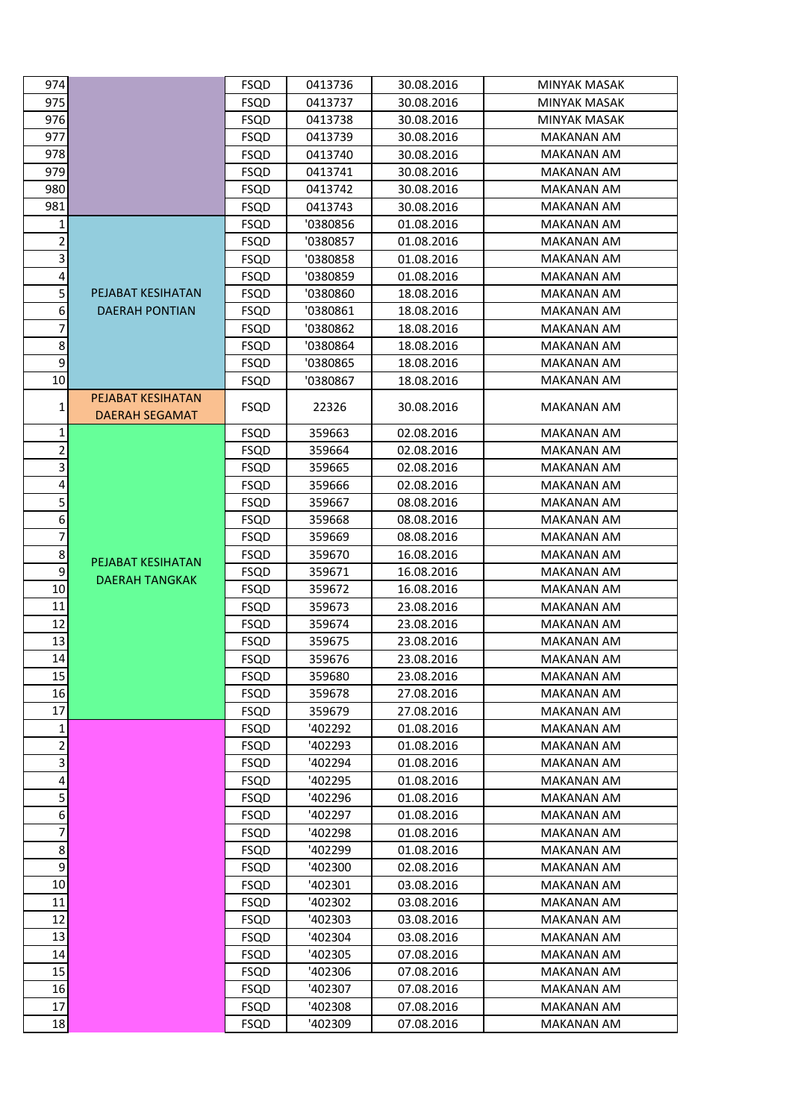| 974                     |                       | FSQD        | 0413736  | 30.08.2016 | MINYAK MASAK        |
|-------------------------|-----------------------|-------------|----------|------------|---------------------|
| 975                     |                       | <b>FSQD</b> | 0413737  | 30.08.2016 | <b>MINYAK MASAK</b> |
| 976                     |                       | <b>FSQD</b> | 0413738  | 30.08.2016 | <b>MINYAK MASAK</b> |
| 977                     |                       | <b>FSQD</b> | 0413739  | 30.08.2016 | MAKANAN AM          |
| 978                     |                       | <b>FSQD</b> | 0413740  | 30.08.2016 | MAKANAN AM          |
| 979                     |                       | <b>FSQD</b> | 0413741  | 30.08.2016 | <b>MAKANAN AM</b>   |
| 980                     |                       | <b>FSQD</b> | 0413742  | 30.08.2016 | MAKANAN AM          |
| 981                     |                       | <b>FSQD</b> | 0413743  | 30.08.2016 | <b>MAKANAN AM</b>   |
| 1                       |                       | <b>FSQD</b> | '0380856 | 01.08.2016 | <b>MAKANAN AM</b>   |
| $\overline{2}$          |                       | <b>FSQD</b> | '0380857 | 01.08.2016 | <b>MAKANAN AM</b>   |
| $\vert$ 3               |                       | <b>FSQD</b> | '0380858 | 01.08.2016 | MAKANAN AM          |
| $\vert$                 |                       | <b>FSQD</b> | '0380859 | 01.08.2016 | MAKANAN AM          |
| 5                       | PEJABAT KESIHATAN     | <b>FSQD</b> | '0380860 | 18.08.2016 | <b>MAKANAN AM</b>   |
| $6 \mid$                | <b>DAERAH PONTIAN</b> | <b>FSQD</b> | '0380861 | 18.08.2016 | <b>MAKANAN AM</b>   |
| 7                       |                       | <b>FSQD</b> | '0380862 | 18.08.2016 | MAKANAN AM          |
| 8 <sup>1</sup>          |                       | <b>FSQD</b> | '0380864 | 18.08.2016 | MAKANAN AM          |
| $\overline{9}$          |                       | <b>FSQD</b> | '0380865 | 18.08.2016 | <b>MAKANAN AM</b>   |
| 10                      |                       | <b>FSQD</b> | '0380867 | 18.08.2016 | MAKANAN AM          |
|                         | PEJABAT KESIHATAN     |             |          |            |                     |
| 1                       | <b>DAERAH SEGAMAT</b> | <b>FSQD</b> | 22326    | 30.08.2016 | MAKANAN AM          |
| 1                       |                       | <b>FSQD</b> | 359663   | 02.08.2016 | <b>MAKANAN AM</b>   |
| $\overline{2}$          |                       | <b>FSQD</b> | 359664   | 02.08.2016 | MAKANAN AM          |
| $\vert$ 3               |                       | <b>FSQD</b> | 359665   | 02.08.2016 | MAKANAN AM          |
| $\overline{4}$          |                       | <b>FSQD</b> | 359666   | 02.08.2016 | <b>MAKANAN AM</b>   |
| $\overline{5}$          |                       | <b>FSQD</b> | 359667   | 08.08.2016 | <b>MAKANAN AM</b>   |
| $6 \mid$                |                       | <b>FSQD</b> | 359668   | 08.08.2016 | MAKANAN AM          |
| 7                       |                       | <b>FSQD</b> | 359669   | 08.08.2016 | MAKANAN AM          |
| $\bf 8$                 | PEJABAT KESIHATAN     | <b>FSQD</b> | 359670   | 16.08.2016 | <b>MAKANAN AM</b>   |
| 9                       | <b>DAERAH TANGKAK</b> | <b>FSQD</b> | 359671   | 16.08.2016 | MAKANAN AM          |
| 10                      |                       | <b>FSQD</b> | 359672   | 16.08.2016 | <b>MAKANAN AM</b>   |
| 11                      |                       | <b>FSQD</b> | 359673   | 23.08.2016 | MAKANAN AM          |
| 12                      |                       | <b>FSQD</b> | 359674   | 23.08.2016 | MAKANAN AM          |
| 13                      |                       | <b>FSQD</b> | 359675   | 23.08.2016 | MAKANAN AM          |
| 14                      |                       | <b>FSQD</b> | 359676   | 23.08.2016 | MAKANAN AM          |
| 15                      |                       | <b>FSQD</b> | 359680   | 23.08.2016 | <b>MAKANAN AM</b>   |
| 16                      |                       | <b>FSQD</b> | 359678   | 27.08.2016 | <b>MAKANAN AM</b>   |
| 17                      |                       | <b>FSQD</b> | 359679   | 27.08.2016 | MAKANAN AM          |
| $\mathbf{1}$            |                       | <b>FSQD</b> | '402292  | 01.08.2016 | MAKANAN AM          |
| $\overline{a}$          |                       | <b>FSQD</b> | '402293  | 01.08.2016 | <b>MAKANAN AM</b>   |
| 3                       |                       | <b>FSQD</b> | '402294  | 01.08.2016 | MAKANAN AM          |
| $\overline{\mathbf{r}}$ |                       | <b>FSQD</b> | '402295  | 01.08.2016 | <b>MAKANAN AM</b>   |
| 5                       |                       | <b>FSQD</b> | '402296  | 01.08.2016 | <b>MAKANAN AM</b>   |
| 6                       |                       | <b>FSQD</b> | '402297  | 01.08.2016 | MAKANAN AM          |
| 7                       |                       | <b>FSQD</b> | '402298  | 01.08.2016 | MAKANAN AM          |
| $\bf 8$                 |                       | <b>FSQD</b> | '402299  | 01.08.2016 | MAKANAN AM          |
| $\boldsymbol{9}$        |                       | <b>FSQD</b> | '402300  | 02.08.2016 | MAKANAN AM          |
| 10                      |                       | <b>FSQD</b> | '402301  | 03.08.2016 | <b>MAKANAN AM</b>   |
| 11                      |                       | <b>FSQD</b> | '402302  | 03.08.2016 | MAKANAN AM          |
| 12                      |                       | <b>FSQD</b> | '402303  | 03.08.2016 | MAKANAN AM          |
| 13                      |                       | <b>FSQD</b> | '402304  | 03.08.2016 | <b>MAKANAN AM</b>   |
| 14                      |                       | <b>FSQD</b> | '402305  | 07.08.2016 | MAKANAN AM          |
| 15                      |                       | <b>FSQD</b> | '402306  | 07.08.2016 | <b>MAKANAN AM</b>   |
| 16                      |                       | <b>FSQD</b> | '402307  | 07.08.2016 | <b>MAKANAN AM</b>   |
| 17                      |                       | <b>FSQD</b> | '402308  | 07.08.2016 | <b>MAKANAN AM</b>   |
| 18                      |                       | <b>FSQD</b> | '402309  | 07.08.2016 | MAKANAN AM          |
|                         |                       |             |          |            |                     |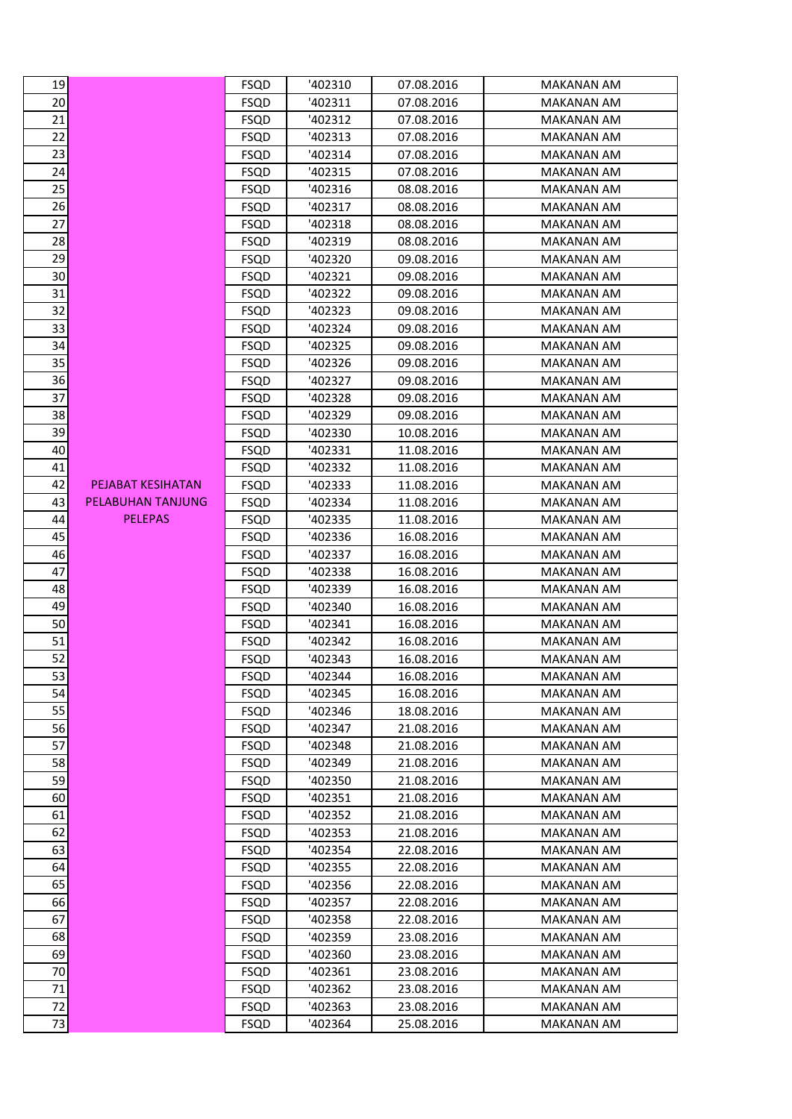| 19              |                   | <b>FSQD</b> | '402310 | 07.08.2016 | MAKANAN AM        |
|-----------------|-------------------|-------------|---------|------------|-------------------|
| 20              |                   | <b>FSQD</b> | '402311 | 07.08.2016 | <b>MAKANAN AM</b> |
| 21              |                   | <b>FSQD</b> | '402312 | 07.08.2016 | MAKANAN AM        |
| 22              |                   | <b>FSQD</b> | '402313 | 07.08.2016 | <b>MAKANAN AM</b> |
| 23              |                   | <b>FSQD</b> | '402314 | 07.08.2016 | <b>MAKANAN AM</b> |
| 24              |                   | <b>FSQD</b> | '402315 | 07.08.2016 | MAKANAN AM        |
| 25              |                   | <b>FSQD</b> | '402316 | 08.08.2016 | <b>MAKANAN AM</b> |
| $\frac{26}{5}$  |                   | <b>FSQD</b> | '402317 | 08.08.2016 | MAKANAN AM        |
| 27              |                   | <b>FSQD</b> | '402318 | 08.08.2016 | <b>MAKANAN AM</b> |
| 28              |                   | <b>FSQD</b> | '402319 | 08.08.2016 | MAKANAN AM        |
| 29              |                   | <b>FSQD</b> | '402320 | 09.08.2016 | MAKANAN AM        |
| 30              |                   | <b>FSQD</b> | '402321 | 09.08.2016 | <b>MAKANAN AM</b> |
| 31              |                   | <b>FSQD</b> | '402322 | 09.08.2016 | <b>MAKANAN AM</b> |
| 32              |                   | <b>FSQD</b> | '402323 | 09.08.2016 | MAKANAN AM        |
| 33              |                   | <b>FSQD</b> | '402324 | 09.08.2016 | <b>MAKANAN AM</b> |
| 34              |                   | <b>FSQD</b> | '402325 | 09.08.2016 | MAKANAN AM        |
| 35              |                   | <b>FSQD</b> | '402326 | 09.08.2016 | <b>MAKANAN AM</b> |
| 36              |                   | <b>FSQD</b> | '402327 | 09.08.2016 | <b>MAKANAN AM</b> |
| $\overline{37}$ |                   | <b>FSQD</b> | '402328 | 09.08.2016 | MAKANAN AM        |
| 38              |                   | <b>FSQD</b> | '402329 | 09.08.2016 | <b>MAKANAN AM</b> |
| 39              |                   | <b>FSQD</b> | '402330 | 10.08.2016 | MAKANAN AM        |
| 40              |                   |             | '402331 | 11.08.2016 | <b>MAKANAN AM</b> |
|                 |                   | <b>FSQD</b> |         |            | <b>MAKANAN AM</b> |
| 41<br>42        |                   | <b>FSQD</b> | '402332 | 11.08.2016 |                   |
|                 | PEJABAT KESIHATAN | <b>FSQD</b> | '402333 | 11.08.2016 | MAKANAN AM        |
| 43              | PELABUHAN TANJUNG | <b>FSQD</b> | '402334 | 11.08.2016 | MAKANAN AM        |
| 44              | <b>PELEPAS</b>    | <b>FSQD</b> | '402335 | 11.08.2016 | <b>MAKANAN AM</b> |
| 45              |                   | <b>FSQD</b> | '402336 | 16.08.2016 | MAKANAN AM        |
| 46              |                   | <b>FSQD</b> | '402337 | 16.08.2016 | MAKANAN AM        |
| 47              |                   | <b>FSQD</b> | '402338 | 16.08.2016 | <b>MAKANAN AM</b> |
| 48              |                   | <b>FSQD</b> | '402339 | 16.08.2016 | MAKANAN AM        |
| 49              |                   | <b>FSQD</b> | '402340 | 16.08.2016 | <b>MAKANAN AM</b> |
| 50              |                   | <b>FSQD</b> | '402341 | 16.08.2016 | <b>MAKANAN AM</b> |
| 51              |                   | <b>FSQD</b> | '402342 | 16.08.2016 | <b>MAKANAN AM</b> |
| 52              |                   | <b>FSQD</b> | '402343 | 16.08.2016 | <b>MAKANAN AM</b> |
| 53              |                   | FSQD        | '402344 | 16.08.2016 | MAKANAN AM        |
| 54<br>55        |                   | <b>FSQD</b> | '402345 | 16.08.2016 | MAKANAN AM        |
|                 |                   | <b>FSQD</b> | '402346 | 18.08.2016 | MAKANAN AM        |
| 56              |                   | FSQD        | '402347 | 21.08.2016 | MAKANAN AM        |
| 57              |                   | <b>FSQD</b> | '402348 | 21.08.2016 | <b>MAKANAN AM</b> |
| $\overline{58}$ |                   | <b>FSQD</b> | '402349 | 21.08.2016 | <b>MAKANAN AM</b> |
| 59              |                   | <b>FSQD</b> | '402350 | 21.08.2016 | <b>MAKANAN AM</b> |
| 60              |                   | <b>FSQD</b> | '402351 | 21.08.2016 | <b>MAKANAN AM</b> |
| 61              |                   | FSQD        | '402352 | 21.08.2016 | MAKANAN AM        |
| 62              |                   | <b>FSQD</b> | '402353 | 21.08.2016 | <b>MAKANAN AM</b> |
| 63              |                   | <b>FSQD</b> | '402354 | 22.08.2016 | <b>MAKANAN AM</b> |
| 64              |                   | <b>FSQD</b> | '402355 | 22.08.2016 | <b>MAKANAN AM</b> |
| 65              |                   | <b>FSQD</b> | '402356 | 22.08.2016 | MAKANAN AM        |
| 66              |                   | <b>FSQD</b> | '402357 | 22.08.2016 | <b>MAKANAN AM</b> |
| 67              |                   | FSQD        | '402358 | 22.08.2016 | MAKANAN AM        |
| 68              |                   | <b>FSQD</b> | '402359 | 23.08.2016 | MAKANAN AM        |
| 69              |                   | <b>FSQD</b> | '402360 | 23.08.2016 | <b>MAKANAN AM</b> |
| 70              |                   | <b>FSQD</b> | '402361 | 23.08.2016 | <b>MAKANAN AM</b> |
| 71              |                   | <b>FSQD</b> | '402362 | 23.08.2016 | MAKANAN AM        |
| 72              |                   | <b>FSQD</b> | '402363 | 23.08.2016 | <b>MAKANAN AM</b> |
| 73              |                   | <b>FSQD</b> | '402364 | 25.08.2016 | <b>MAKANAN AM</b> |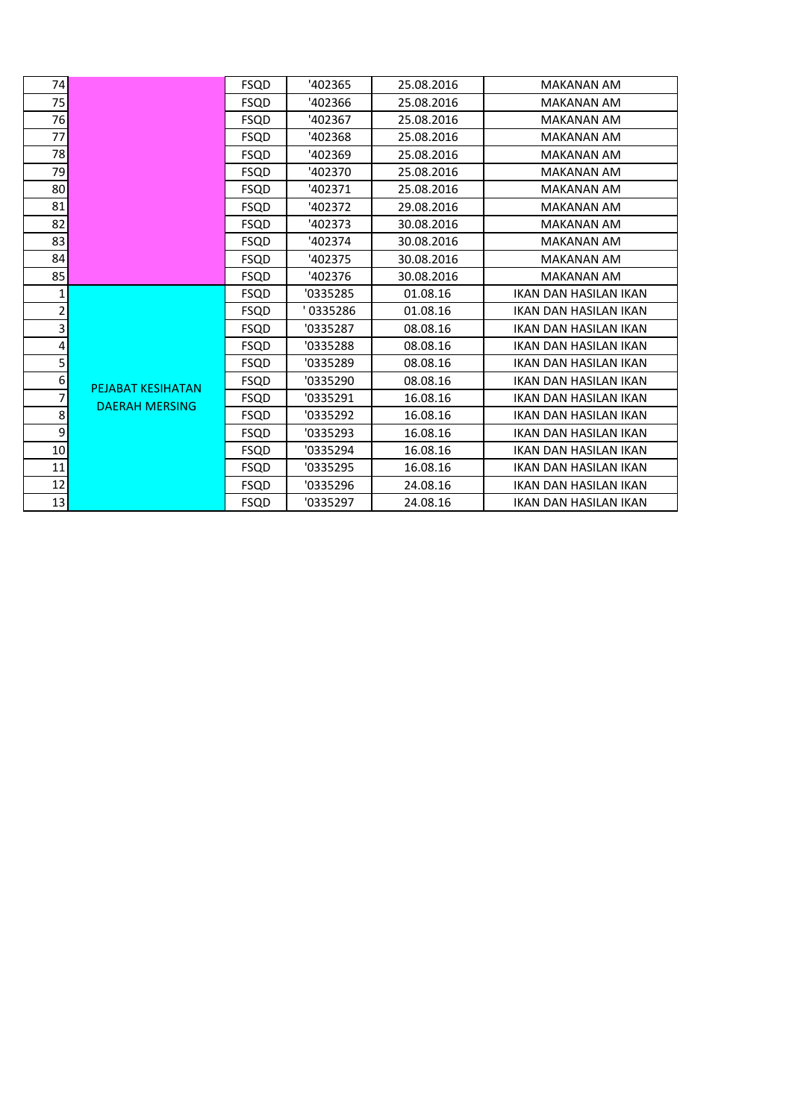| 74               |                                                   | <b>FSQD</b> | '402365  | 25.08.2016 | <b>MAKANAN AM</b>            |
|------------------|---------------------------------------------------|-------------|----------|------------|------------------------------|
| 75               |                                                   | <b>FSQD</b> | '402366  | 25.08.2016 | <b>MAKANAN AM</b>            |
| 76               |                                                   | <b>FSQD</b> | '402367  | 25.08.2016 | <b>MAKANAN AM</b>            |
| 77               |                                                   | <b>FSQD</b> | '402368  | 25.08.2016 | <b>MAKANAN AM</b>            |
| 78               |                                                   | <b>FSQD</b> | '402369  | 25.08.2016 | <b>MAKANAN AM</b>            |
| 79               |                                                   | <b>FSQD</b> | '402370  | 25.08.2016 | <b>MAKANAN AM</b>            |
| 80               |                                                   | <b>FSQD</b> | '402371  | 25.08.2016 | <b>MAKANAN AM</b>            |
| 81               |                                                   | <b>FSQD</b> | '402372  | 29.08.2016 | <b>MAKANAN AM</b>            |
| 82               |                                                   | <b>FSQD</b> | '402373  | 30.08.2016 | <b>MAKANAN AM</b>            |
| 83               |                                                   | <b>FSQD</b> | '402374  | 30.08.2016 | <b>MAKANAN AM</b>            |
| 84               |                                                   | <b>FSQD</b> | '402375  | 30.08.2016 | <b>MAKANAN AM</b>            |
| 85               |                                                   | <b>FSQD</b> | '402376  | 30.08.2016 | <b>MAKANAN AM</b>            |
| 1                |                                                   | <b>FSQD</b> | '0335285 | 01.08.16   | <b>IKAN DAN HASILAN IKAN</b> |
| 2                |                                                   | <b>FSQD</b> | 0335286  | 01.08.16   | IKAN DAN HASILAN IKAN        |
| 3                |                                                   | <b>FSQD</b> | '0335287 | 08.08.16   | IKAN DAN HASILAN IKAN        |
| $\pmb{4}$        |                                                   | <b>FSQD</b> | '0335288 | 08.08.16   | IKAN DAN HASILAN IKAN        |
| 5                | <b>PEJABAT KESIHATAN</b><br><b>DAERAH MERSING</b> | <b>FSQD</b> | '0335289 | 08.08.16   | IKAN DAN HASILAN IKAN        |
| 6                |                                                   | <b>FSQD</b> | '0335290 | 08.08.16   | <b>IKAN DAN HASILAN IKAN</b> |
| 7                |                                                   | <b>FSQD</b> | '0335291 | 16.08.16   | IKAN DAN HASILAN IKAN        |
| 8                |                                                   | <b>FSQD</b> | '0335292 | 16.08.16   | IKAN DAN HASILAN IKAN        |
| $\boldsymbol{9}$ |                                                   | <b>FSQD</b> | '0335293 | 16.08.16   | IKAN DAN HASILAN IKAN        |
| 10               |                                                   | <b>FSQD</b> | '0335294 | 16.08.16   | IKAN DAN HASILAN IKAN        |
| 11               |                                                   | <b>FSQD</b> | '0335295 | 16.08.16   | IKAN DAN HASILAN IKAN        |
| 12               |                                                   | <b>FSQD</b> | '0335296 | 24.08.16   | IKAN DAN HASILAN IKAN        |
| 13               |                                                   | <b>FSQD</b> | '0335297 | 24.08.16   | IKAN DAN HASILAN IKAN        |